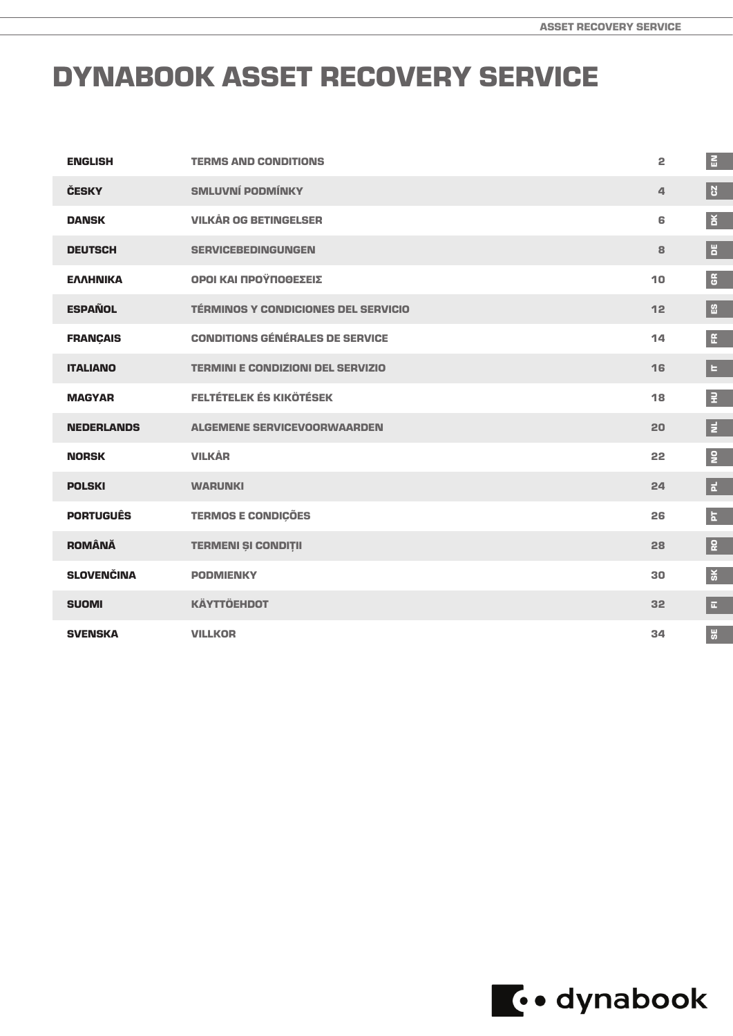# DYNABOOK ASSET RECOVERY SERVICE

| <b>ENGLISH</b>    | <b>TERMS AND CONDITIONS</b>                | 2  | $\mathbf{E}$            |
|-------------------|--------------------------------------------|----|-------------------------|
| <b>ČESKY</b>      | <b>SMLUVNÍ PODMÍNKY</b>                    | 4  | <b>B</b>                |
| <b>DANSK</b>      | <b>VILKÅR OG BETINGELSER</b>               | 6  | ă                       |
| <b>DEUTSCH</b>    | <b>SERVICEBEDINGUNGEN</b>                  | 8  | E                       |
| <b>EAAHNIKA</b>   | ΟΡΟΙ ΚΑΙ ΠΡΟΫΠΟΘΕΣΕΙΣ                      | 10 | $5^{\circ}$             |
| <b>ESPAÑOL</b>    | <b>TÉRMINOS Y CONDICIONES DEL SERVICIO</b> | 12 | 留                       |
| <b>FRANÇAIS</b>   | <b>CONDITIONS GÉNÉRALES DE SERVICE</b>     | 14 | $\mathop{\mathfrak{E}}$ |
| <b>ITALIANO</b>   | <b>TERMINI E CONDIZIONI DEL SERVIZIO</b>   | 16 | E                       |
| <b>MAGYAR</b>     | <b>FELTÉTELEK ÉS KIKÖTÉSEK</b>             | 18 | $\overline{z}$          |
| <b>NEDERLANDS</b> | <b>ALGEMENE SERVICEVOORWAARDEN</b>         | 20 | E                       |
| <b>NORSK</b>      | <b>VILKÅR</b>                              | 22 | $\overline{2}$          |
| <b>POLSKI</b>     | <b>WARUNKI</b>                             | 24 | E.                      |
| <b>PORTUGUÊS</b>  | <b>TERMOS E CONDIÇÕES</b>                  | 26 | $\mathbf{k}$            |
| <b>ROMÂNĂ</b>     | <b>TERMENI ȘI CONDIȚII</b>                 | 28 | 윤                       |
| <b>SLOVENČINA</b> | <b>PODMIENKY</b>                           | 30 | $\frac{1}{2}$           |
| <b>SUOMI</b>      | <b>KÄYTTÖEHDOT</b>                         | 32 | $\overline{\mathbf{u}}$ |
| <b>SVENSKA</b>    | <b>VILLKOR</b>                             | 34 | $\ddot{5}$              |

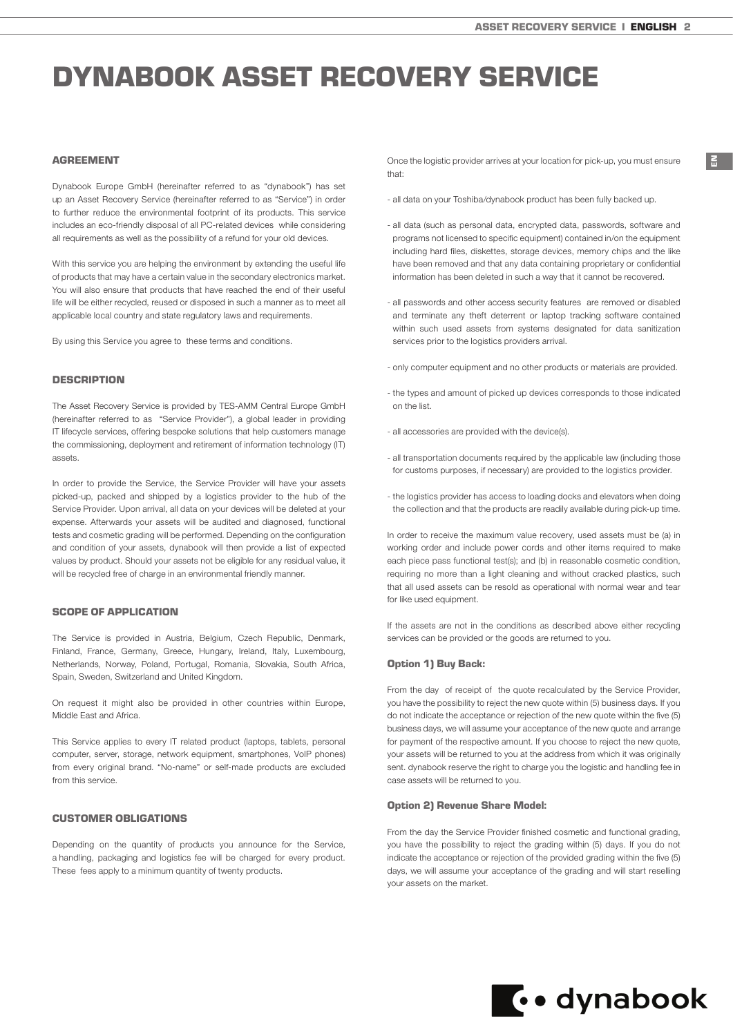EN

# <span id="page-1-0"></span>DYNABOOK ASSET RECOVERY SERVICE

# AGREEMENT

Dynabook Europe GmbH (hereinafter referred to as "dynabook") has set up an Asset Recovery Service (hereinafter referred to as "Service") in order to further reduce the environmental footprint of its products. This service includes an eco-friendly disposal of all PC-related devices while considering all requirements as well as the possibility of a refund for your old devices.

With this service you are helping the environment by extending the useful life of products that may have a certain value in the secondary electronics market. You will also ensure that products that have reached the end of their useful life will be either recycled, reused or disposed in such a manner as to meet all applicable local country and state regulatory laws and requirements.

By using this Service you agree to these terms and conditions.

### **DESCRIPTION**

The Asset Recovery Service is provided by TES-AMM Central Europe GmbH (hereinafter referred to as "Service Provider"), a global leader in providing IT lifecycle services, offering bespoke solutions that help customers manage the commissioning, deployment and retirement of information technology (IT) assets.

In order to provide the Service, the Service Provider will have your assets picked-up, packed and shipped by a logistics provider to the hub of the Service Provider. Upon arrival, all data on your devices will be deleted at your expense. Afterwards your assets will be audited and diagnosed, functional tests and cosmetic grading will be performed. Depending on the configuration and condition of your assets, dynabook will then provide a list of expected values by product. Should your assets not be eligible for any residual value, it will be recycled free of charge in an environmental friendly manner.

## SCOPE OF APPLICATION

The Service is provided in Austria, Belgium, Czech Republic, Denmark, Finland, France, Germany, Greece, Hungary, Ireland, Italy, Luxembourg, Netherlands, Norway, Poland, Portugal, Romania, Slovakia, South Africa, Spain, Sweden, Switzerland and United Kingdom.

On request it might also be provided in other countries within Europe, Middle East and Africa.

This Service applies to every IT related product (laptops, tablets, personal computer, server, storage, network equipment, smartphones, VoIP phones) from every original brand. "No-name" or self-made products are excluded from this service.

#### CUSTOMER OBLIGATIONS

Depending on the quantity of products you announce for the Service, a handling, packaging and logistics fee will be charged for every product. These fees apply to a minimum quantity of twenty products.

Once the logistic provider arrives at your location for pick-up, you must ensure that:

- all data on your Toshiba/dynabook product has been fully backed up.
- all data (such as personal data, encrypted data, passwords, software and programs not licensed to specific equipment) contained in/on the equipment including hard files, diskettes, storage devices, memory chips and the like have been removed and that any data containing proprietary or confidential information has been deleted in such a way that it cannot be recovered.
- all passwords and other access security features are removed or disabled and terminate any theft deterrent or laptop tracking software contained within such used assets from systems designated for data sanitization services prior to the logistics providers arrival.
- only computer equipment and no other products or materials are provided.
- the types and amount of picked up devices corresponds to those indicated on the list.
- all accessories are provided with the device(s).
- all transportation documents required by the applicable law (including those) for customs purposes, if necessary) are provided to the logistics provider.
- the logistics provider has access to loading docks and elevators when doing the collection and that the products are readily available during pick-up time.

In order to receive the maximum value recovery, used assets must be (a) in working order and include power cords and other items required to make each piece pass functional test(s); and (b) in reasonable cosmetic condition, requiring no more than a light cleaning and without cracked plastics, such that all used assets can be resold as operational with normal wear and tear for like used equipment.

If the assets are not in the conditions as described above either recycling services can be provided or the goods are returned to you.

#### Option 1) Buy Back:

From the day of receipt of the quote recalculated by the Service Provider, you have the possibility to reject the new quote within (5) business days. If you do not indicate the acceptance or rejection of the new quote within the five (5) business days, we will assume your acceptance of the new quote and arrange for payment of the respective amount. If you choose to reject the new quote, your assets will be returned to you at the address from which it was originally sent. dynabook reserve the right to charge you the logistic and handling fee in case assets will be returned to you.

## Option 2) Revenue Share Model:

From the day the Service Provider finished cosmetic and functional grading, you have the possibility to reject the grading within (5) days. If you do not indicate the acceptance or rejection of the provided grading within the five (5) days, we will assume your acceptance of the grading and will start reselling your assets on the market.

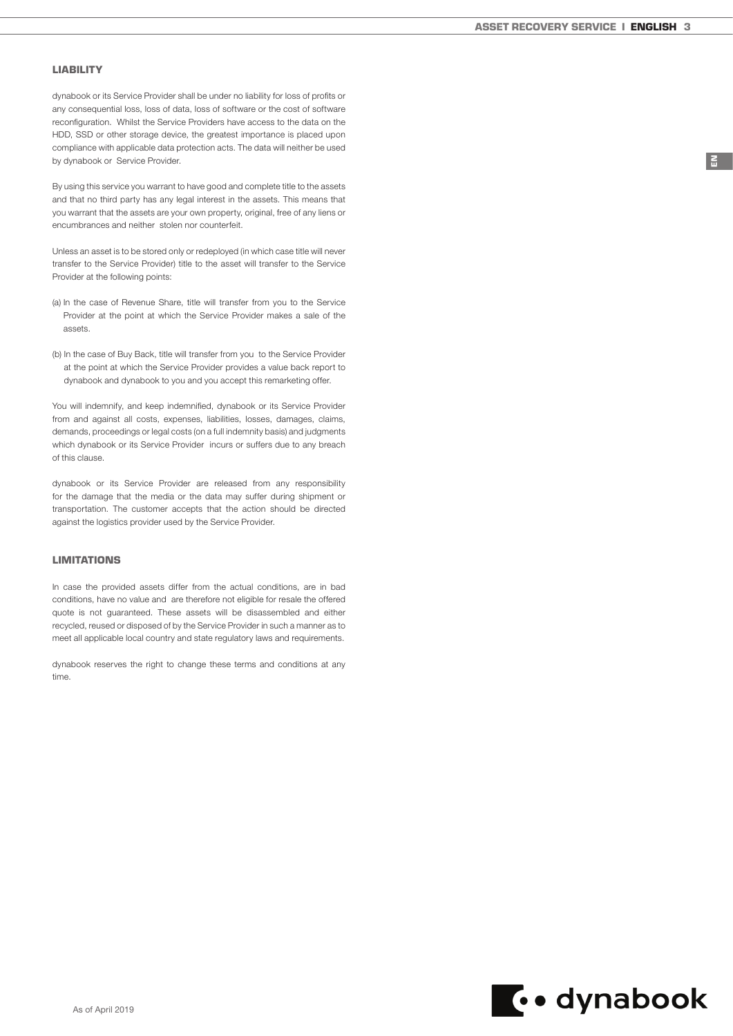EN

## LIABILITY

dynabook or its Service Provider shall be under no liability for loss of profits or any consequential loss, loss of data, loss of software or the cost of software reconfiguration. Whilst the Service Providers have access to the data on the HDD, SSD or other storage device, the greatest importance is placed upon compliance with applicable data protection acts. The data will neither be used by dynabook or Service Provider.

By using this service you warrant to have good and complete title to the assets and that no third party has any legal interest in the assets. This means that you warrant that the assets are your own property, original, free of any liens or encumbrances and neither stolen nor counterfeit.

Unless an asset is to be stored only or redeployed (in which case title will never transfer to the Service Provider) title to the asset will transfer to the Service Provider at the following points:

- (a) In the case of Revenue Share, title will transfer from you to the Service Provider at the point at which the Service Provider makes a sale of the assets.
- (b) In the case of Buy Back, title will transfer from you to the Service Provider at the point at which the Service Provider provides a value back report to dynabook and dynabook to you and you accept this remarketing offer.

You will indemnify, and keep indemnified, dynabook or its Service Provider from and against all costs, expenses, liabilities, losses, damages, claims, demands, proceedings or legal costs (on a full indemnity basis) and judgments which dynabook or its Service Provider incurs or suffers due to any breach of this clause.

dynabook or its Service Provider are released from any responsibility for the damage that the media or the data may suffer during shipment or transportation. The customer accepts that the action should be directed against the logistics provider used by the Service Provider.

# LIMITATIONS

In case the provided assets differ from the actual conditions, are in bad conditions, have no value and are therefore not eligible for resale the offered quote is not guaranteed. These assets will be disassembled and either recycled, reused or disposed of by the Service Provider in such a manner as to meet all applicable local country and state regulatory laws and requirements.

dynabook reserves the right to change these terms and conditions at any time.

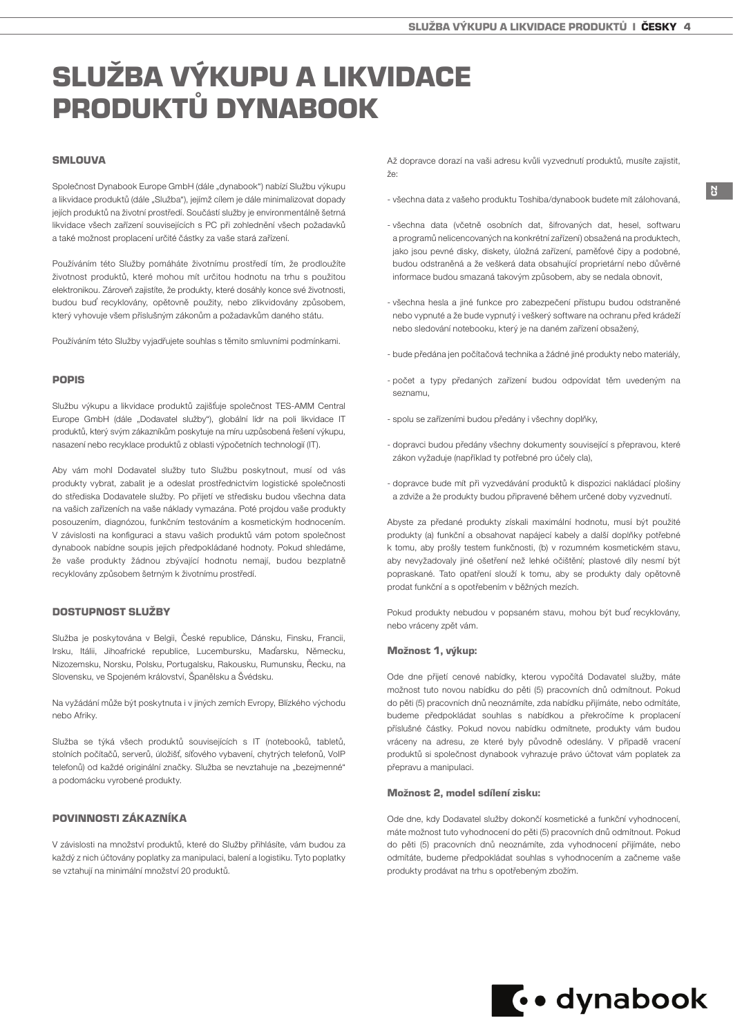# <span id="page-3-0"></span>SLUŽBA VÝKUPU A LIKVIDACE PRODUKTŮ DYNABOOK

# **SMLOUVA**

Společnost Dynabook Europe GmbH (dále "dynabook") nabízí Službu výkupu a likvidace produktů (dále "Služba"), jejímž cílem je dále minimalizovat dopady jejích produktů na životní prostředí. Součástí služby je environmentálně šetrná likvidace všech zařízení souvisejících s PC při zohlednění všech požadavků a také možnost proplacení určité částky za vaše stará zařízení.

Používáním této Služby pomáháte životnímu prostředí tím, že prodloužíte životnost produktů, které mohou mít určitou hodnotu na trhu s použitou elektronikou. Zároveň zajistíte, že produkty, které dosáhly konce své životnosti, budou buď recyklovány, opětovně použity, nebo zlikvidovány způsobem, který vyhovuje všem příslušným zákonům a požadavkům daného státu.

Používáním této Služby vyjadřujete souhlas s těmito smluvními podmínkami.

#### POPIS

Službu výkupu a likvidace produktů zajišťuje společnost TES-AMM Central Europe GmbH (dále "Dodavatel služby"), globální lídr na poli likvidace IT produktů, který svým zákazníkům poskytuje na míru uzpůsobená řešení výkupu, nasazení nebo recyklace produktů z oblasti výpočetních technologií (IT).

Aby vám mohl Dodavatel služby tuto Službu poskytnout, musí od vás produkty vybrat, zabalit je a odeslat prostřednictvím logistické společnosti do střediska Dodavatele služby. Po přijetí ve středisku budou všechna data na vašich zařízeních na vaše náklady vymazána. Poté projdou vaše produkty posouzením, diagnózou, funkčním testováním a kosmetickým hodnocením. V závislosti na konfiguraci a stavu vašich produktů vám potom společnost dynabook nabídne soupis jejich předpokládané hodnoty. Pokud shledáme, že vaše produkty žádnou zbývající hodnotu nemají, budou bezplatně recyklovány způsobem šetrným k životnímu prostředí.

# DOSTUPNOST SLUŽBY

Služba je poskytována v Belgii, České republice, Dánsku, Finsku, Francii, Irsku, Itálii, Jihoafrické republice, Lucembursku, Maďarsku, Německu, Nizozemsku, Norsku, Polsku, Portugalsku, Rakousku, Rumunsku, Řecku, na Slovensku, ve Spojeném království, Španělsku a Švédsku.

Na vyžádání může být poskytnuta i v jiných zemích Evropy, Blízkého východu nebo Afriky.

Služba se týká všech produktů souvisejících s IT (notebooků, tabletů, stolních počítačů, serverů, úložišť, síťového vybavení, chytrých telefonů, VoIP telefonů) od každé originální značky. Služba se nevztahuje na "bezejmenné" a podomácku vyrobené produkty.

### POVINNOSTI ZÁKAZNÍKA

V závislosti na množství produktů, které do Služby přihlásíte, vám budou za každý z nich účtovány poplatky za manipulaci, balení a logistiku. Tyto poplatky se vztahují na minimální množství 20 produktů.

Až dopravce dorazí na vaši adresu kvůli vyzvednutí produktů, musíte zajistit, že:

- všechna data z vašeho produktu Toshiba/dynabook budete mít zálohovaná,

**CZ** 

- všechna data (včetně osobních dat, šifrovaných dat, hesel, softwaru a programů nelicencovaných na konkrétní zařízení) obsažená na produktech, jako jsou pevné disky, diskety, úložná zařízení, paměťové čipy a podobné, budou odstraněná a že veškerá data obsahující proprietární nebo důvěrné informace budou smazaná takovým způsobem, aby se nedala obnovit,
- všechna hesla a jiné funkce pro zabezpečení přístupu budou odstraněné nebo vypnuté a že bude vypnutý i veškerý software na ochranu před krádeží nebo sledování notebooku, který je na daném zařízení obsažený,
- bude předána jen počítačová technika a žádné jiné produkty nebo materiály,
- počet a typy předaných zařízení budou odpovídat těm uvedeným na seznamu,
- spolu se zařízeními budou předány i všechny doplňky,
- dopravci budou předány všechny dokumenty související s přepravou, které zákon vyžaduje (například ty potřebné pro účely cla),
- dopravce bude mít při vyzvedávání produktů k dispozici nakládací plošiny a zdviže a že produkty budou připravené během určené doby vyzvednutí.

Abyste za předané produkty získali maximální hodnotu, musí být použité produkty (a) funkční a obsahovat napájecí kabely a další doplňky potřebné k tomu, aby prošly testem funkčnosti, (b) v rozumném kosmetickém stavu, aby nevyžadovaly jiné ošetření než lehké očištění; plastové díly nesmí být popraskané. Tato opatření slouží k tomu, aby se produkty daly opětovně prodat funkční a s opotřebením v běžných mezích.

Pokud produkty nebudou v popsaném stavu, mohou být buď recyklovány, nebo vráceny zpět vám.

#### Možnost 1, výkup:

Ode dne přijetí cenové nabídky, kterou vypočítá Dodavatel služby, máte možnost tuto novou nabídku do pěti (5) pracovních dnů odmítnout. Pokud do pěti (5) pracovních dnů neoznámíte, zda nabídku přijímáte, nebo odmítáte, budeme předpokládat souhlas s nabídkou a překročíme k proplacení příslušné částky. Pokud novou nabídku odmítnete, produkty vám budou vráceny na adresu, ze které byly původně odeslány. V případě vracení produktů si společnost dynabook vyhrazuje právo účtovat vám poplatek za přepravu a manipulaci.

#### Možnost 2, model sdílení zisku:

Ode dne, kdy Dodavatel služby dokončí kosmetické a funkční vyhodnocení, máte možnost tuto vyhodnocení do pěti (5) pracovních dnů odmítnout. Pokud do pěti (5) pracovních dnů neoznámíte, zda vyhodnocení přijímáte, nebo odmítáte, budeme předpokládat souhlas s vyhodnocením a začneme vaše produkty prodávat na trhu s opotřebeným zbožím.

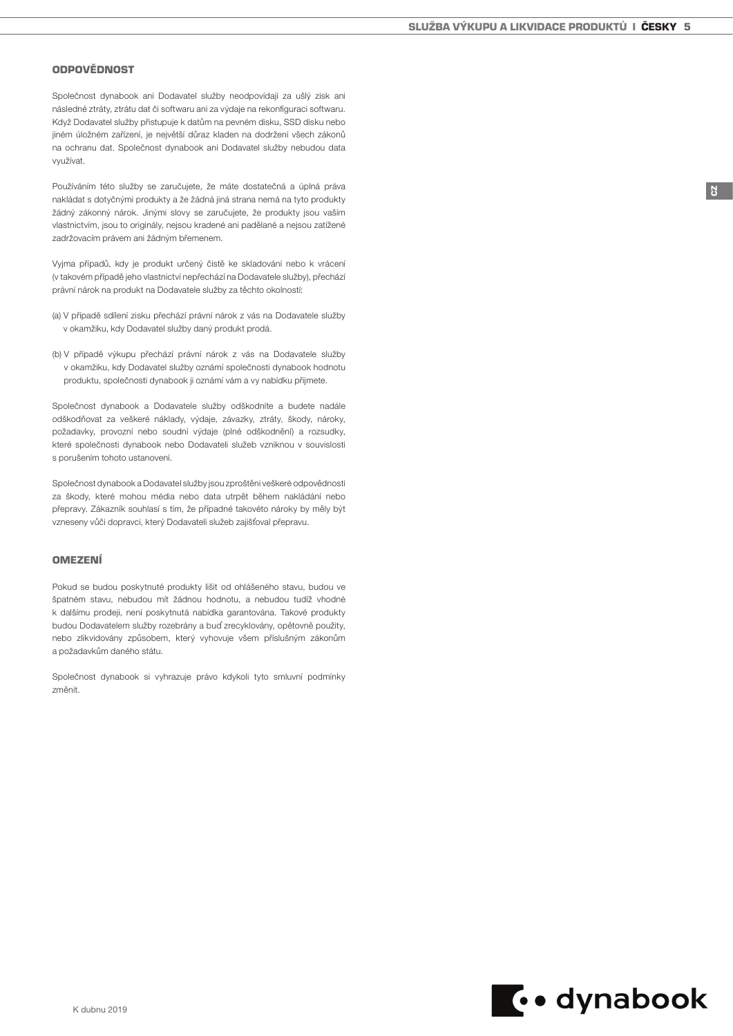CZ

## ODPOVĚDNOST

Společnost dynabook ani Dodavatel služby neodpovídají za ušlý zisk ani následné ztráty, ztrátu dat či softwaru ani za výdaje na rekonfiguraci softwaru. Když Dodavatel služby přistupuje k datům na pevném disku, SSD disku nebo jiném úložném zařízení, je největší důraz kladen na dodržení všech zákonů na ochranu dat. Společnost dynabook ani Dodavatel služby nebudou data využívat.

Používáním této služby se zaručujete, že máte dostatečná a úplná práva nakládat s dotyčnými produkty a že žádná jiná strana nemá na tyto produkty žádný zákonný nárok. Jinými slovy se zaručujete, že produkty jsou vaším vlastnictvím, jsou to originály, nejsou kradené ani padělané a nejsou zatížené zadržovacím právem ani žádným břemenem.

Vyjma případů, kdy je produkt určený čistě ke skladování nebo k vrácení (v takovém případě jeho vlastnictví nepřechází na Dodavatele služby), přechází právní nárok na produkt na Dodavatele služby za těchto okolností:

- (a) V případě sdílení zisku přechází právní nárok z vás na Dodavatele služby v okamžiku, kdy Dodavatel služby daný produkt prodá.
- (b) V případě výkupu přechází právní nárok z vás na Dodavatele služby v okamžiku, kdy Dodavatel služby oznámí společnosti dynabook hodnotu produktu, společnosti dynabook ji oznámí vám a vy nabídku přijmete.

Společnost dynabook a Dodavatele služby odškodníte a budete nadále odškodňovat za veškeré náklady, výdaje, závazky, ztráty, škody, nároky, požadavky, provozní nebo soudní výdaje (plné odškodnění) a rozsudky, které společnosti dynabook nebo Dodavateli služeb vzniknou v souvislosti s porušením tohoto ustanovení.

Společnost dynabook a Dodavatel služby jsou zproštěni veškeré odpovědnosti za škody, které mohou média nebo data utrpět během nakládání nebo přepravy. Zákazník souhlasí s tím, že případné takovéto nároky by měly být vzneseny vůči dopravci, který Dodavateli služeb zajišťoval přepravu.

## OMEZENÍ

Pokud se budou poskytnuté produkty lišit od ohlášeného stavu, budou ve špatném stavu, nebudou mít žádnou hodnotu, a nebudou tudíž vhodné k dalšímu prodeji, není poskytnutá nabídka garantována. Takové produkty budou Dodavatelem služby rozebrány a buď zrecyklovány, opětovně použity, nebo zlikvidovány způsobem, který vyhovuje všem příslušným zákonům a požadavkům daného státu.

Společnost dynabook si vyhrazuje právo kdykoli tyto smluvní podmínky změnit.

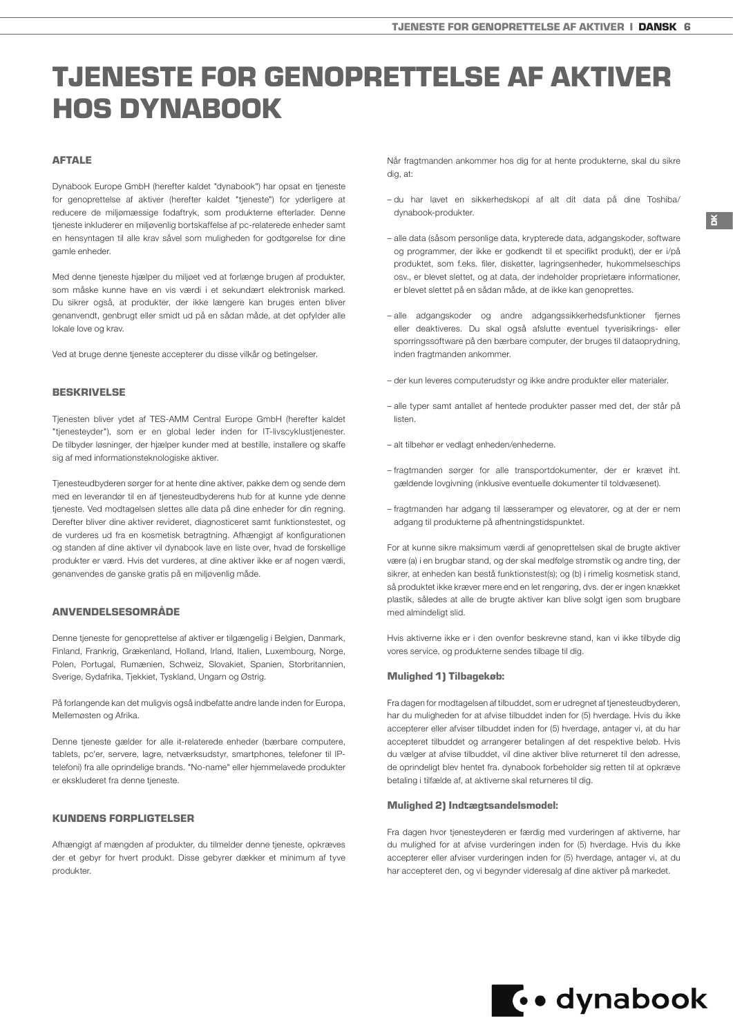# <span id="page-5-0"></span>TJENESTE FOR GENOPRETTELSE AF AKTIVER HOS DYNABOOK

# AFTALE

Dynabook Europe GmbH (herefter kaldet "dynabook") har opsat en tjeneste for genoprettelse af aktiver (herefter kaldet "tjeneste") for yderligere at reducere de miljømæssige fodaftryk, som produkterne efterlader. Denne tjeneste inkluderer en miljøvenlig bortskaffelse af pc-relaterede enheder samt en hensyntagen til alle krav såvel som muligheden for godtgørelse for dine gamle enheder.

Med denne tieneste hjælper du miljøet ved at forlænge brugen af produkter. som måske kunne have en vis værdi i et sekundært elektronisk marked. Du sikrer også, at produkter, der ikke længere kan bruges enten bliver genanvendt, genbrugt eller smidt ud på en sådan måde, at det opfylder alle lokale love og krav.

Ved at bruge denne tjeneste accepterer du disse vilkår og betingelser.

#### BESKRIVELSE

Tjenesten bliver ydet af TES-AMM Central Europe GmbH (herefter kaldet "tjenesteyder"), som er en global leder inden for IT-livscyklustjenester. De tilbyder løsninger, der hjælper kunder med at bestille, installere og skaffe sig af med informationsteknologiske aktiver.

Tjenesteudbyderen sørger for at hente dine aktiver, pakke dem og sende dem med en leverandør til en af tjenesteudbyderens hub for at kunne yde denne tjeneste. Ved modtagelsen slettes alle data på dine enheder for din regning. Derefter bliver dine aktiver revideret, diagnosticeret samt funktionstestet, og de vurderes ud fra en kosmetisk betragtning. Afhængigt af konfigurationen og standen af dine aktiver vil dynabook lave en liste over, hvad de forskellige produkter er værd. Hvis det vurderes, at dine aktiver ikke er af nogen værdi, genanvendes de ganske gratis på en miljøvenlig måde.

## ANVENDELSESOMRÅDE

Denne tjeneste for genoprettelse af aktiver er tilgængelig i Belgien, Danmark, Finland, Frankrig, Grækenland, Holland, Irland, Italien, Luxembourg, Norge, Polen, Portugal, Rumænien, Schweiz, Slovakiet, Spanien, Storbritannien, Sverige, Sydafrika, Tjekkiet, Tyskland, Ungarn og Østrig.

På forlangende kan det muligvis også indbefatte andre lande inden for Europa, Mellemøsten og Afrika.

Denne tjeneste gælder for alle it-relaterede enheder (bærbare computere, tablets, pc'er, servere, lagre, netværksudstyr, smartphones, telefoner til IPtelefoni) fra alle oprindelige brands. "No-name" eller hjemmelavede produkter er ekskluderet fra denne tjeneste.

#### KUNDENS FORPLIGTELSER

Afhængigt af mængden af produkter, du tilmelder denne tjeneste, opkræves der et gebyr for hvert produkt. Disse gebyrer dækker et minimum af tyve produkter.

Når fragtmanden ankommer hos dig for at hente produkterne, skal du sikre dig, at:

– du har lavet en sikkerhedskopi af alt dit data på dine Toshiba/ dynabook-produkter.

 $\sum_{i=1}^{\infty}$ 

- alle data (såsom personlige data, krypterede data, adgangskoder, software og programmer, der ikke er godkendt til et specifikt produkt), der er i/på produktet, som f.eks. filer, disketter, lagringsenheder, hukommelseschips osv., er blevet slettet, og at data, der indeholder proprietære informationer, er blevet slettet på en sådan måde, at de ikke kan genoprettes.
- alle adgangskoder og andre adgangssikkerhedsfunktioner fjernes eller deaktiveres. Du skal også afslutte eventuel tyverisikrings- eller sporringssoftware på den bærbare computer, der bruges til dataoprydning, inden fragtmanden ankommer.
- der kun leveres computerudstyr og ikke andre produkter eller materialer.
- alle typer samt antallet af hentede produkter passer med det, der står på listen.
- alt tilbehør er vedlagt enheden/enhederne.
- fragtmanden sørger for alle transportdokumenter, der er krævet iht. gældende lovgivning (inklusive eventuelle dokumenter til toldvæsenet).
- fragtmanden har adgang til læsseramper og elevatorer, og at der er nem adgang til produkterne på afhentningstidspunktet.

For at kunne sikre maksimum værdi af genoprettelsen skal de brugte aktiver være (a) i en brugbar stand, og der skal medfølge strømstik og andre ting, der sikrer, at enheden kan bestå funktionstest(s); og (b) i rimelig kosmetisk stand, så produktet ikke kræver mere end en let rengøring, dvs. der er ingen knækket plastik, således at alle de brugte aktiver kan blive solgt igen som brugbare med almindeligt slid.

Hvis aktiverne ikke er i den ovenfor beskrevne stand, kan vi ikke tilbyde dig vores service, og produkterne sendes tilbage til dig.

#### Mulighed 1) Tilbagekøb:

Fra dagen for modtagelsen af tilbuddet, som er udregnet af tjenesteudbyderen, har du muligheden for at afvise tilbuddet inden for (5) hverdage. Hvis du ikke accepterer eller afviser tilbuddet inden for (5) hverdage, antager vi, at du har accepteret tilbuddet og arrangerer betalingen af det respektive beløb. Hvis du vælger at afvise tilbuddet, vil dine aktiver blive returneret til den adresse, de oprindeligt blev hentet fra. dynabook forbeholder sig retten til at opkræve betaling i tilfælde af, at aktiverne skal returneres til dig.

#### Mulighed 2) Indtægtsandelsmodel:

Fra dagen hvor tjenesteyderen er færdig med vurderingen af aktiverne, har du mulighed for at afvise vurderingen inden for (5) hverdage. Hvis du ikke accepterer eller afviser vurderingen inden for (5) hverdage, antager vi, at du har accepteret den, og vi begynder videresalg af dine aktiver på markedet.

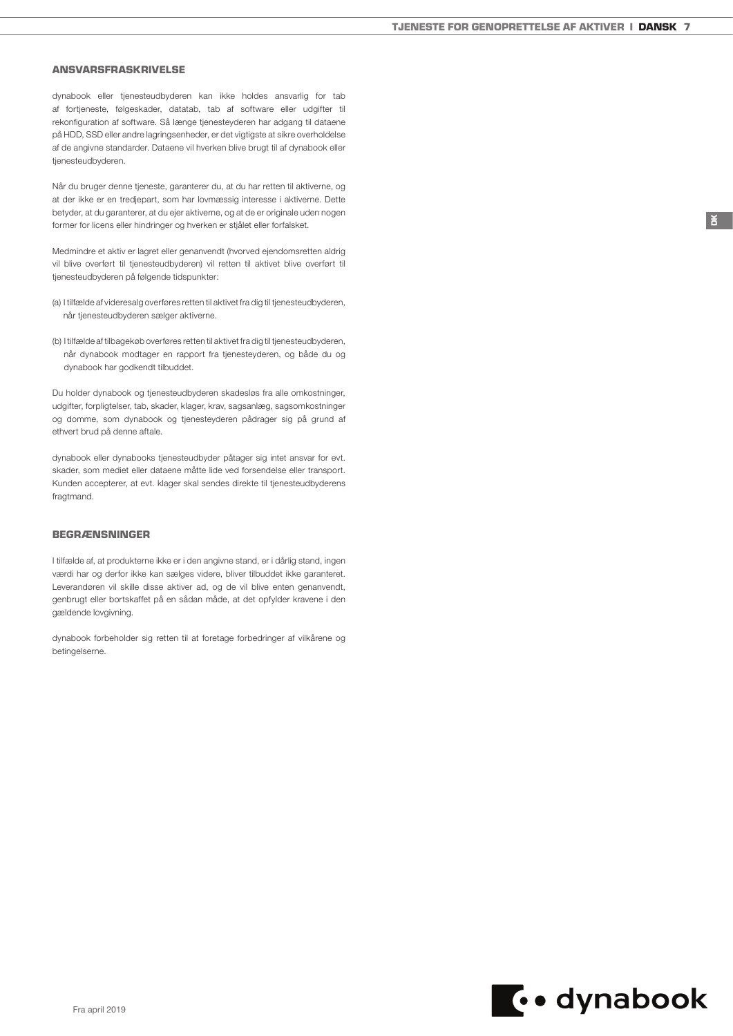#### ANSVARSFRASKRIVELSE

dynabook eller tjenesteudbyderen kan ikke holdes ansvarlig for tab af fortjeneste, følgeskader, datatab, tab af software eller udgifter til rekonfiguration af software. Så længe tjenesteyderen har adgang til dataene på HDD, SSD eller andre lagringsenheder, er det vigtigste at sikre overholdelse af de angivne standarder. Dataene vil hverken blive brugt til af dynabook eller tjenesteudbyderen.

Når du bruger denne tjeneste, garanterer du, at du har retten til aktiverne, og at der ikke er en tredjepart, som har lovmæssig interesse i aktiverne. Dette betyder, at du garanterer, at du ejer aktiverne, og at de er originale uden nogen former for licens eller hindringer og hverken er stjålet eller forfalsket.

Medmindre et aktiv er lagret eller genanvendt (hvorved ejendomsretten aldrig vil blive overført til tjenesteudbyderen) vil retten til aktivet blive overført til tjenesteudbyderen på følgende tidspunkter:

- (a) I tilfælde af videresalg overføres retten til aktivet fra dig til tjenesteudbyderen, når tjenesteudbyderen sælger aktiverne.
- (b) I tilfælde af tilbagekøb overføres retten til aktivet fra dig til tjenesteudbyderen, når dynabook modtager en rapport fra tjenesteyderen, og både du og dynabook har godkendt tilbuddet.

Du holder dynabook og tjenesteudbyderen skadesløs fra alle omkostninger, udgifter, forpligtelser, tab, skader, klager, krav, sagsanlæg, sagsomkostninger og domme, som dynabook og tjenesteyderen pådrager sig på grund af ethvert brud på denne aftale.

dynabook eller dynabooks tjenesteudbyder påtager sig intet ansvar for evt. skader, som mediet eller dataene måtte lide ved forsendelse eller transport. Kunden accepterer, at evt. klager skal sendes direkte til tjenesteudbyderens fragtmand.

## BEGRÆNSNINGER

I tilfælde af, at produkterne ikke er i den angivne stand, er i dårlig stand, ingen værdi har og derfor ikke kan sælges videre, bliver tilbuddet ikke garanteret. Leverandøren vil skille disse aktiver ad, og de vil blive enten genanvendt, genbrugt eller bortskaffet på en sådan måde, at det opfylder kravene i den gældende lovgivning.

dynabook forbeholder sig retten til at foretage forbedringer af vilkårene og betingelserne.

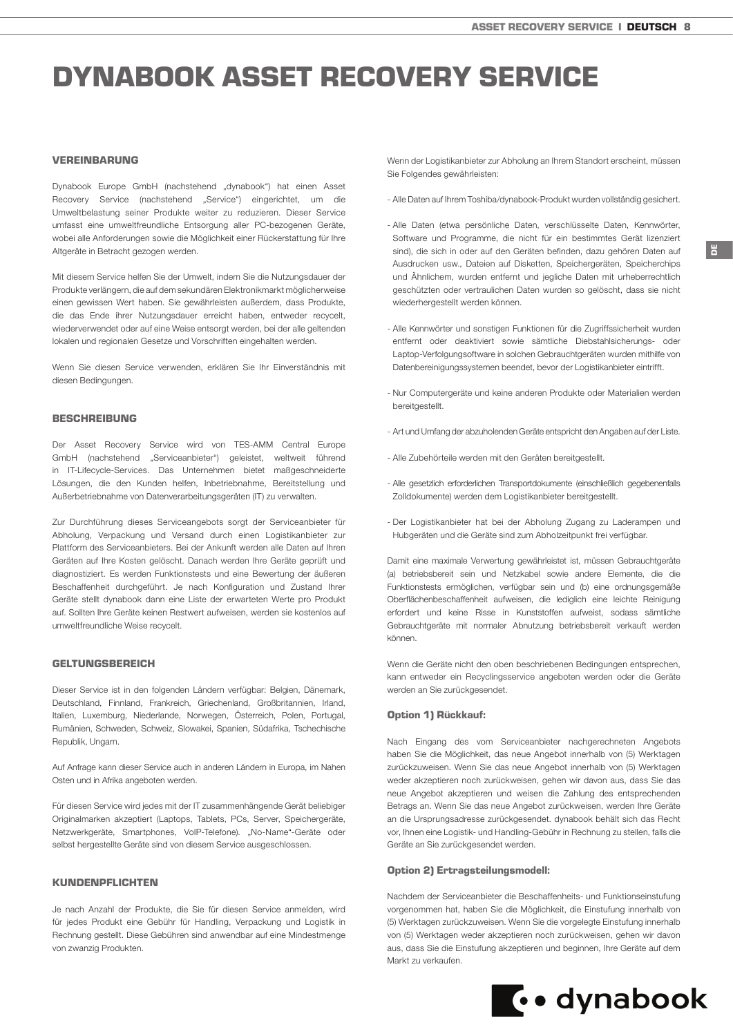# <span id="page-7-0"></span>DYNABOOK ASSET RECOVERY SERVICE

## VEREINBARUNG

Dynabook Europe GmbH (nachstehend "dynabook") hat einen Asset Recovery Service (nachstehend "Service") eingerichtet, um die Umweltbelastung seiner Produkte weiter zu reduzieren. Dieser Service umfasst eine umweltfreundliche Entsorgung aller PC-bezogenen Geräte, wobei alle Anforderungen sowie die Möglichkeit einer Rückerstattung für Ihre Altgeräte in Betracht gezogen werden.

Mit diesem Service helfen Sie der Umwelt, indem Sie die Nutzungsdauer der Produkte verlängern, die auf dem sekundären Elektronikmarkt möglicherweise einen gewissen Wert haben. Sie gewährleisten außerdem, dass Produkte, die das Ende ihrer Nutzungsdauer erreicht haben, entweder recycelt, wiederverwendet oder auf eine Weise entsorgt werden, bei der alle geltenden lokalen und regionalen Gesetze und Vorschriften eingehalten werden.

Wenn Sie diesen Service verwenden, erklären Sie Ihr Einverständnis mit diesen Bedingungen.

#### BESCHREIBUNG

Der Asset Recovery Service wird von TES-AMM Central Europe GmbH (nachstehend "Serviceanbieter") geleistet, weltweit führend in IT-Lifecycle-Services. Das Unternehmen bietet maßgeschneiderte Lösungen, die den Kunden helfen, Inbetriebnahme, Bereitstellung und Außerbetriebnahme von Datenverarbeitungsgeräten (IT) zu verwalten.

Zur Durchführung dieses Serviceangebots sorgt der Serviceanbieter für Abholung, Verpackung und Versand durch einen Logistikanbieter zur Plattform des Serviceanbieters. Bei der Ankunft werden alle Daten auf Ihren Geräten auf Ihre Kosten gelöscht. Danach werden Ihre Geräte geprüft und diagnostiziert. Es werden Funktionstests und eine Bewertung der äußeren Beschaffenheit durchgeführt. Je nach Konfiguration und Zustand Ihrer Geräte stellt dynabook dann eine Liste der erwarteten Werte pro Produkt auf. Sollten Ihre Geräte keinen Restwert aufweisen, werden sie kostenlos auf umweltfreundliche Weise recycelt.

## **GELTUNGSBEREICH**

Dieser Service ist in den folgenden Ländern verfügbar: Belgien, Dänemark, Deutschland, Finnland, Frankreich, Griechenland, Großbritannien, Irland, Italien, Luxemburg, Niederlande, Norwegen, Österreich, Polen, Portugal, Rumänien, Schweden, Schweiz, Slowakei, Spanien, Südafrika, Tschechische Republik, Ungarn.

Auf Anfrage kann dieser Service auch in anderen Ländern in Europa, im Nahen Osten und in Afrika angeboten werden.

Für diesen Service wird jedes mit der IT zusammenhängende Gerät beliebiger Originalmarken akzeptiert (Laptops, Tablets, PCs, Server, Speichergeräte, Netzwerkgeräte, Smartphones, VoIP-Telefone). "No-Name"-Geräte oder selbst hergestellte Geräte sind von diesem Service ausgeschlossen.

## KUNDENPELICHTEN

Je nach Anzahl der Produkte, die Sie für diesen Service anmelden, wird für jedes Produkt eine Gebühr für Handling, Verpackung und Logistik in Rechnung gestellt. Diese Gebühren sind anwendbar auf eine Mindestmenge von zwanzig Produkten.

Wenn der Logistikanbieter zur Abholung an Ihrem Standort erscheint, müssen Sie Folgendes gewährleisten:

- Alle Daten auf Ihrem Toshiba/dynabook-Produkt wurden vollständig gesichert.
- Alle Daten (etwa persönliche Daten, verschlüsselte Daten, Kennwörter, Software und Programme, die nicht für ein bestimmtes Gerät lizenziert sind), die sich in oder auf den Geräten befinden, dazu gehören Daten auf Ausdrucken usw., Dateien auf Disketten, Speichergeräten, Speicherchips und Ähnlichem, wurden entfernt und jegliche Daten mit urheberrechtlich geschützten oder vertraulichen Daten wurden so gelöscht, dass sie nicht wiederhergestellt werden können.
- Alle Kennwörter und sonstigen Funktionen für die Zugriffssicherheit wurden entfernt oder deaktiviert sowie sämtliche Diebstahlsicherungs- oder Laptop-Verfolgungsoftware in solchen Gebrauchtgeräten wurden mithilfe von Datenbereinigungssystemen beendet, bevor der Logistikanbieter eintrifft.
- Nur Computergeräte und keine anderen Produkte oder Materialien werden bereitgestellt.
- Art und Umfang der abzuholenden Geräte entspricht den Angaben auf der Liste.
- Alle Zubehörteile werden mit den Geräten bereitgestellt.
- Alle gesetzlich erforderlichen Transportdokumente (einschließlich gegebenenfalls Zolldokumente) werden dem Logistikanbieter bereitgestellt.
- Der Logistikanbieter hat bei der Abholung Zugang zu Laderampen und Hubgeräten und die Geräte sind zum Abholzeitpunkt frei verfügbar.

Damit eine maximale Verwertung gewährleistet ist, müssen Gebrauchtgeräte (a) betriebsbereit sein und Netzkabel sowie andere Elemente, die die Funktionstests ermöglichen, verfügbar sein und (b) eine ordnungsgemäße Oberflächenbeschaffenheit aufweisen, die lediglich eine leichte Reinigung erfordert und keine Risse in Kunststoffen aufweist, sodass sämtliche Gebrauchtgeräte mit normaler Abnutzung betriebsbereit verkauft werden können.

Wenn die Geräte nicht den oben beschriebenen Bedingungen entsprechen, kann entweder ein Recyclingsservice angeboten werden oder die Geräte werden an Sie zurückgesendet.

#### Option 1) Rückkauf:

Nach Eingang des vom Serviceanbieter nachgerechneten Angebots haben Sie die Möglichkeit, das neue Angebot innerhalb von (5) Werktagen zurückzuweisen. Wenn Sie das neue Angebot innerhalb von (5) Werktagen weder akzeptieren noch zurückweisen, gehen wir davon aus, dass Sie das neue Angebot akzeptieren und weisen die Zahlung des entsprechenden Betrags an. Wenn Sie das neue Angebot zurückweisen, werden Ihre Geräte an die Ursprungsadresse zurückgesendet. dynabook behält sich das Recht vor, Ihnen eine Logistik- und Handling-Gebühr in Rechnung zu stellen, falls die Geräte an Sie zurückgesendet werden.

## Option 2) Ertragsteilungsmodell:

Nachdem der Serviceanbieter die Beschaffenheits- und Funktionseinstufung vorgenommen hat, haben Sie die Möglichkeit, die Einstufung innerhalb von (5) Werktagen zurückzuweisen. Wenn Sie die vorgelegte Einstufung innerhalb von (5) Werktagen weder akzeptieren noch zurückweisen, gehen wir davon aus, dass Sie die Einstufung akzeptieren und beginnen, Ihre Geräte auf dem Markt zu verkaufen.

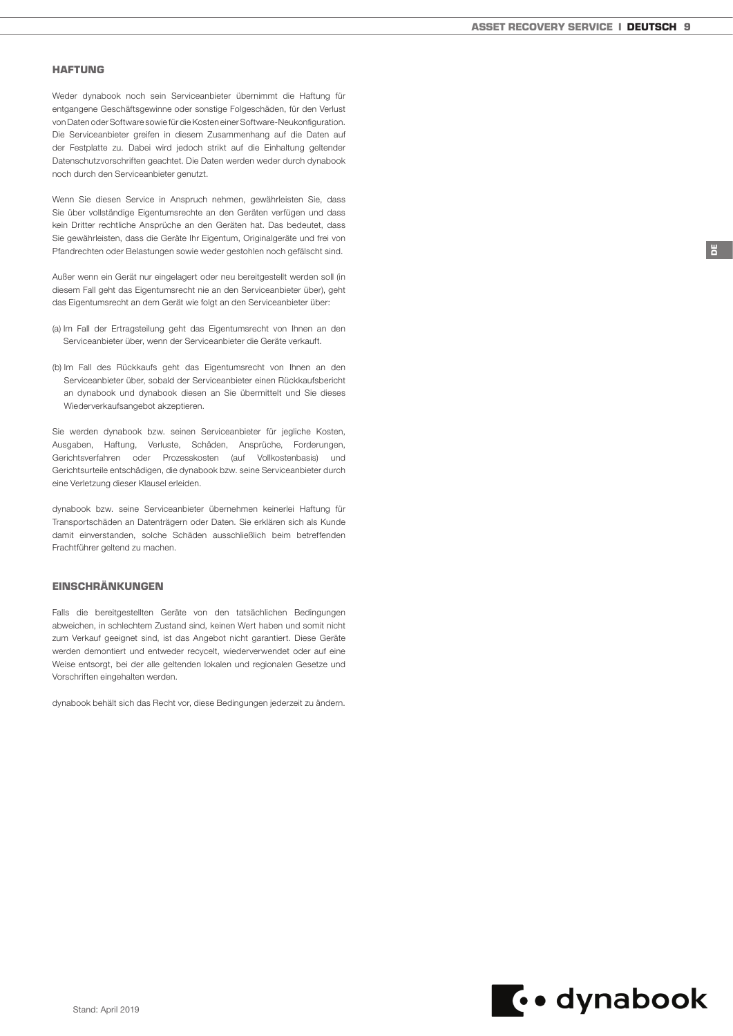## HAFTUNG

Weder dynabook noch sein Serviceanbieter übernimmt die Haftung für entgangene Geschäftsgewinne oder sonstige Folgeschäden, für den Verlust von Daten oder Software sowie für die Kosten einer Software-Neukonfiguration. Die Serviceanbieter greifen in diesem Zusammenhang auf die Daten auf der Festplatte zu. Dabei wird jedoch strikt auf die Einhaltung geltender Datenschutzvorschriften geachtet. Die Daten werden weder durch dynabook noch durch den Serviceanbieter genutzt.

Wenn Sie diesen Service in Anspruch nehmen, gewährleisten Sie, dass Sie über vollständige Eigentumsrechte an den Geräten verfügen und dass kein Dritter rechtliche Ansprüche an den Geräten hat. Das bedeutet, dass Sie gewährleisten, dass die Geräte Ihr Eigentum, Originalgeräte und frei von Pfandrechten oder Belastungen sowie weder gestohlen noch gefälscht sind.

Außer wenn ein Gerät nur eingelagert oder neu bereitgestellt werden soll (in diesem Fall geht das Eigentumsrecht nie an den Serviceanbieter über), geht das Eigentumsrecht an dem Gerät wie folgt an den Serviceanbieter über:

- (a) Im Fall der Ertragsteilung geht das Eigentumsrecht von Ihnen an den Serviceanbieter über, wenn der Serviceanbieter die Geräte verkauft.
- (b) Im Fall des Rückkaufs geht das Eigentumsrecht von Ihnen an den Serviceanbieter über, sobald der Serviceanbieter einen Rückkaufsbericht an dynabook und dynabook diesen an Sie übermittelt und Sie dieses Wiederverkaufsangebot akzeptieren.

Sie werden dynabook bzw. seinen Serviceanbieter für jegliche Kosten, Ausgaben, Haftung, Verluste, Schäden, Ansprüche, Forderungen, Gerichtsverfahren oder Prozesskosten (auf Vollkostenbasis) und Gerichtsurteile entschädigen, die dynabook bzw. seine Serviceanbieter durch eine Verletzung dieser Klausel erleiden.

dynabook bzw. seine Serviceanbieter übernehmen keinerlei Haftung für Transportschäden an Datenträgern oder Daten. Sie erklären sich als Kunde damit einverstanden, solche Schäden ausschließlich beim betreffenden Frachtführer geltend zu machen.

## **EINSCHRÄNKUNGEN**

Falls die bereitgestellten Geräte von den tatsächlichen Bedingungen abweichen, in schlechtem Zustand sind, keinen Wert haben und somit nicht zum Verkauf geeignet sind, ist das Angebot nicht garantiert. Diese Geräte werden demontiert und entweder recycelt, wiederverwendet oder auf eine Weise entsorgt, bei der alle geltenden lokalen und regionalen Gesetze und Vorschriften eingehalten werden.

dynabook behält sich das Recht vor, diese Bedingungen jederzeit zu ändern.

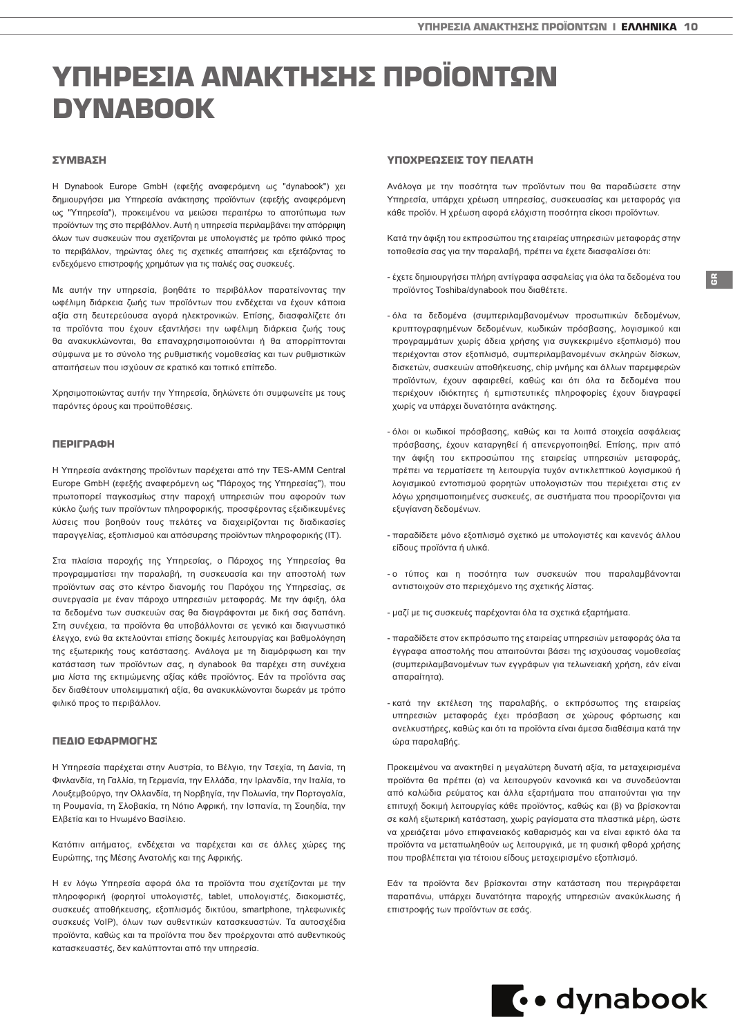# <span id="page-9-0"></span>ΥΠΗΡΕΣΙΑ ΑΝΑΚΤΗΣΗΣ ΠΡΟΪΟΝΤΩΝ DYNABOOK

## ΣΥΜΒΑΣΗ

Η Dynabook Europe GmbH (εφεξής αναφερόμενη ως "dynabook") χει δημιουργήσει μια Υπηρεσία ανάκτησης προϊόντων (εφεξής αναφερόμενη ως "Υπηρεσία"), προκειμένου να μειώσει περαιτέρω το αποτύπωμα των προϊόντων της στο περιβάλλον. Αυτή η υπηρεσία περιλαμβάνει την απόρριψη όλων των συσκευών που σχετίζονται με υπολογιστές με τρόπο φιλικό προς το περιβάλλον, τηρώντας όλες τις σχετικές απαιτήσεις και εξετάζοντας το ενδεχόμενο επιστροφής χρημάτων για τις παλιές σας συσκευές.

Με αυτήν την υπηρεσία, βοηθάτε το περιβάλλον παρατείνοντας την ωφέλιμη διάρκεια ζωής των προϊόντων που ενδέχεται να έχουν κάποια αξία στη δευτερεύουσα αγορά ηλεκτρονικών. Επίσης, διασφαλίζετε ότι τα προϊόντα που έχουν εξαντλήσει την ωφέλιμη διάρκεια ζωής τους θα ανακυκλώνονται, θα επαναχρησιμοποιούνται ή θα απορρίπτονται σύμφωνα με το σύνολο της ρυθμιστικής νομοθεσίας και των ρυθμιστικών απαιτήσεων που ισχύουν σε κρατικό και τοπικό επίπεδο.

Χρησιμοποιώντας αυτήν την Υπηρεσία, δηλώνετε ότι συμφωνείτε με τους παρόντες όρους και προϋποθέσεις.

#### ΠΕΡΙΓΡΑΦΗ

Η Υπηρεσία ανάκτησης προϊόντων παρέχεται από την TES-AMM Central Europe GmbH (εφεξής αναφερόμενη ως "Πάροχος της Υπηρεσίας"), που πρωτοπορεί παγκοσμίως στην παροχή υπηρεσιών που αφορούν των κύκλο ζωής των προϊόντων πληροφορικής, προσφέροντας εξειδικευμένες λύσεις που βοηθούν τους πελάτες να διαχειρίζονται τις διαδικασίες παραγγελίας, εξοπλισμού και απόσυρσης προϊόντων πληροφορικής (IT).

Στα πλαίσια παροχής της Υπηρεσίας, ο Πάροχος της Υπηρεσίας θα προγραμματίσει την παραλαβή, τη συσκευασία και την αποστολή των προϊόντων σας στο κέντρο διανομής του Παρόχου της Υπηρεσίας, σε συνεργασία με έναν πάροχο υπηρεσιών μεταφοράς. Με την άφιξη, όλα τα δεδομένα των συσκευών σας θα διαγράφονται με δική σας δαπάνη. Στη συνέχεια, τα προϊόντα θα υποβάλλονται σε γενικό και διαγνωστικό έλεγχο, ενώ θα εκτελούνται επίσης δοκιμές λειτουργίας και βαθμολόγηση της εξωτερικής τους κατάστασης. Ανάλογα με τη διαμόρφωση και την κατάσταση των προϊόντων σας, η dynabook θα παρέχει στη συνέχεια μια λίστα της εκτιμώμενης αξίας κάθε προϊόντος. Εάν τα προϊόντα σας δεν διαθέτουν υπολειμματική αξία, θα ανακυκλώνονται δωρεάν με τρόπο φιλικό προς το περιβάλλον.

### ΠΕΔΙΟ ΕΦΑΡΜΟΓΗΣ

Η Υπηρεσία παρέχεται στην Αυστρία, το Βέλγιο, την Τσεχία, τη Δανία, τη Φινλανδία, τη Γαλλία, τη Γερμανία, την Ελλάδα, την Ιρλανδία, την Ιταλία, το Λουξεμβούργο, την Ολλανδία, τη Νορβηγία, την Πολωνία, την Πορτογαλία, τη Ρουμανία, τη Σλοβακία, τη Νότιο Αφρική, την Ισπανία, τη Σουηδία, την Ελβετία και το Ηνωμένο Βασίλειο.

Κατόπιν αιτήματος, ενδέχεται να παρέχεται και σε άλλες χώρες της Ευρώπης, της Μέσης Ανατολής και της Αφρικής.

Η εν λόγω Υπηρεσία αφορά όλα τα προϊόντα που σχετίζονται με την πληροφορική (φορητοί υπολογιστές, tablet, υπολογιστές, διακομιστές, συσκευές αποθήκευσης, εξοπλισμός δικτύου, smartphone, τηλεφωνικές συσκευές VoIP), όλων των αυθεντικών κατασκευαστών. Τα αυτοσχέδια προϊόντα, καθώς και τα προϊόντα που δεν προέρχονται από αυθεντικούς κατασκευαστές, δεν καλύπτονται από την υπηρεσία.

# ΥΠΟΧΡΕΩΣΕΙΣ ΤΟΥ ΠΕΛΑΤΗ

Ανάλογα με την ποσότητα των προϊόντων που θα παραδώσετε στην Υπηρεσία, υπάρχει χρέωση υπηρεσίας, συσκευασίας και μεταφοράς για κάθε προϊόν. Η χρέωση αφορά ελάχιστη ποσότητα είκοσι προϊόντων.

Κατά την άφιξη του εκπροσώπου της εταιρείας υπηρεσιών μεταφοράς στην τοποθεσία σας για την παραλαβή, πρέπει να έχετε διασφαλίσει ότι:

- έχετε δημιουργήσει πλήρη αντίγραφα ασφαλείας για όλα τα δεδομένα του προϊόντος Toshiba/dynabook που διαθέτετε.

GR

- όλα τα δεδομένα (συμπεριλαμβανομένων προσωπικών δεδομένων, κρυπτογραφημένων δεδομένων, κωδικών πρόσβασης, λογισμικού και προγραμμάτων χωρίς άδεια χρήσης για συγκεκριμένο εξοπλισμό) που περιέχονται στον εξοπλισμό, συμπεριλαμβανομένων σκληρών δίσκων, δισκετών, συσκευών αποθήκευσης, chip μνήμης και άλλων παρεμφερών προϊόντων, έχουν αφαιρεθεί, καθώς και ότι όλα τα δεδομένα που περιέχουν ιδιόκτητες ή εμπιστευτικές πληροφορίες έχουν διαγραφεί χωρίς να υπάρχει δυνατότητα ανάκτησης.
- όλοι οι κωδικοί πρόσβασης, καθώς και τα λοιπά στοιχεία ασφάλειας πρόσβασης, έχουν καταργηθεί ή απενεργοποιηθεί. Επίσης, πριν από την άφιξη του εκπροσώπου της εταιρείας υπηρεσιών μεταφοράς, πρέπει να τερματίσετε τη λειτουργία τυχόν αντικλεπτικού λογισμικού ή λογισμικού εντοπισμού φορητών υπολογιστών που περιέχεται στις εν λόγω χρησιμοποιημένες συσκευές, σε συστήματα που προορίζονται για εξυγίανση δεδομένων.
- παραδίδετε μόνο εξοπλισμό σχετικό με υπολογιστές και κανενός άλλου είδους προϊόντα ή υλικά.
- ο τύπος και η ποσότητα των συσκευών που παραλαμβάνονται αντιστοιχούν στο περιεχόμενο της σχετικής λίστας.
- μαζί με τις συσκευές παρέχονται όλα τα σχετικά εξαρτήματα.
- παραδίδετε στον εκπρόσωπο της εταιρείας υπηρεσιών μεταφοράς όλα τα έγγραφα αποστολής που απαιτούνται βάσει της ισχύουσας νομοθεσίας (συμπεριλαμβανομένων των εγγράφων για τελωνειακή χρήση, εάν είναι απαραίτητα).
- κατά την εκτέλεση της παραλαβής, ο εκπρόσωπος της εταιρείας υπηρεσιών μεταφοράς έχει πρόσβαση σε χώρους φόρτωσης και ανελκυστήρες, καθώς και ότι τα προϊόντα είναι άμεσα διαθέσιμα κατά την ώρα παραλαβής.

Προκειμένου να ανακτηθεί η μεγαλύτερη δυνατή αξία, τα μεταχειρισμένα προϊόντα θα πρέπει (α) να λειτουργούν κανονικά και να συνοδεύονται από καλώδια ρεύματος και άλλα εξαρτήματα που απαιτούνται για την επιτυχή δοκιμή λειτουργίας κάθε προϊόντος, καθώς και (β) να βρίσκονται σε καλή εξωτερική κατάσταση, χωρίς ραγίσματα στα πλαστικά μέρη, ώστε να χρειάζεται μόνο επιφανειακός καθαρισμός και να είναι εφικτό όλα τα προϊόντα να μεταπωληθούν ως λειτουργικά, με τη φυσική φθορά χρήσης που προβλέπεται για τέτοιου είδους μεταχειρισμένο εξοπλισμό.

Εάν τα προϊόντα δεν βρίσκονται στην κατάσταση που περιγράφεται παραπάνω, υπάρχει δυνατότητα παροχής υπηρεσιών ανακύκλωσης ή επιστροφής των προϊόντων σε εσάς.

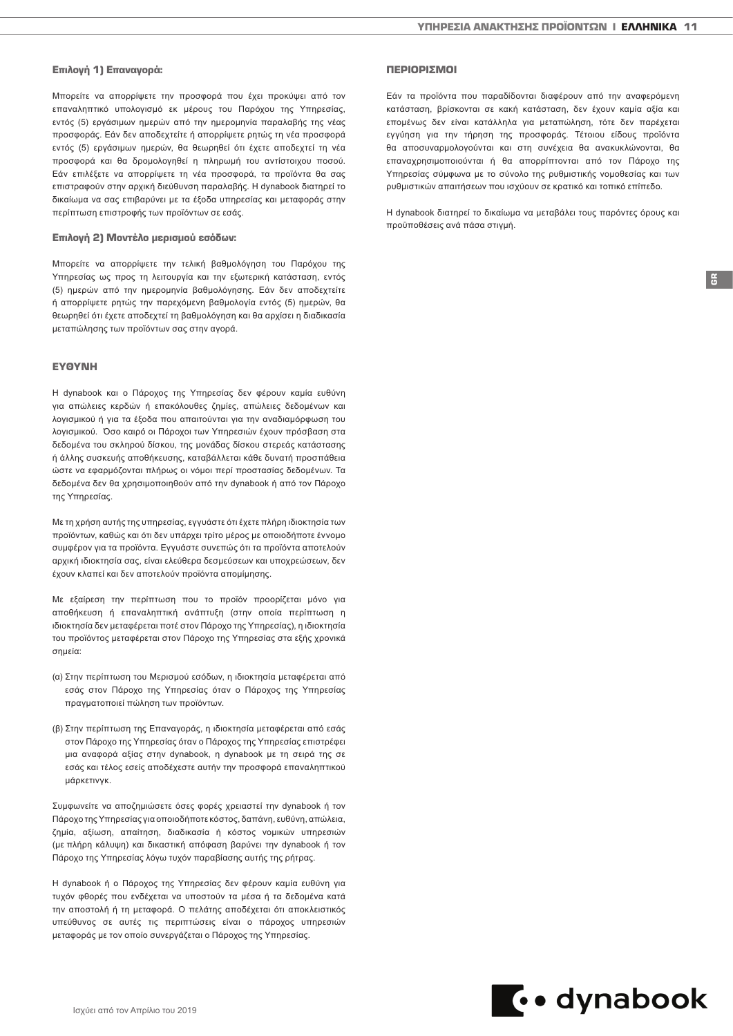#### Επιλογή 1) Επαναγορά:

Μπορείτε να απορρίψετε την προσφορά που έχει προκύψει από τον επαναληπτικό υπολογισμό εκ μέρους του Παρόχου της Υπηρεσίας, εντός (5) εργάσιμων ημερών από την ημερομηνία παραλαβής της νέας προσφοράς. Εάν δεν αποδεχτείτε ή απορρίψετε ρητώς τη νέα προσφορά εντός (5) εργάσιμων ημερών, θα θεωρηθεί ότι έχετε αποδεχτεί τη νέα προσφορά και θα δρομολογηθεί η πληρωμή του αντίστοιχου ποσού. Εάν επιλέξετε να απορρίψετε τη νέα προσφορά, τα προϊόντα θα σας επιστραφούν στην αρχική διεύθυνση παραλαβής. Η dynabook διατηρεί το δικαίωμα να σας επιβαρύνει με τα έξοδα υπηρεσίας και μεταφοράς στην περίπτωση επιστροφής των προϊόντων σε εσάς.

#### Επιλογή 2) Μοντέλο μερισμού εσόδων:

Μπορείτε να απορρίψετε την τελική βαθμολόγηση του Παρόχου της Υπηρεσίας ως προς τη λειτουργία και την εξωτερική κατάσταση, εντός (5) ημερών από την ημερομηνία βαθμολόγησης. Εάν δεν αποδεχτείτε ή απορρίψετε ρητώς την παρεχόμενη βαθμολογία εντός (5) ημερών, θα θεωρηθεί ότι έχετε αποδεχτεί τη βαθμολόγηση και θα αρχίσει η διαδικασία μεταπώλησης των προϊόντων σας στην αγορά.

### ΕΥΘΥΝΗ

Η dynabook και ο Πάροχος της Υπηρεσίας δεν φέρουν καμία ευθύνη για απώλειες κερδών ή επακόλουθες ζημίες, απώλειες δεδομένων και λογισμικού ή για τα έξοδα που απαιτούνται για την αναδιαμόρφωση του λογισμικού. Όσο καιρό οι Πάροχοι των Υπηρεσιών έχουν πρόσβαση στα δεδομένα του σκληρού δίσκου, της μονάδας δίσκου στερεάς κατάστασης ή άλλης συσκευής αποθήκευσης, καταβάλλεται κάθε δυνατή προσπάθεια ώστε να εφαρμόζονται πλήρως οι νόμοι περί προστασίας δεδομένων. Τα δεδομένα δεν θα χρησιμοποιηθούν από την dynabook ή από τον Πάροχο της Υπηρεσίας.

Με τη χρήση αυτής της υπηρεσίας, εγγυάστε ότι έχετε πλήρη ιδιοκτησία των προϊόντων, καθώς και ότι δεν υπάρχει τρίτο μέρος με οποιοδήποτε έννομο συμφέρον για τα προϊόντα. Εγγυάστε συνεπώς ότι τα προϊόντα αποτελούν αρχική ιδιοκτησία σας, είναι ελεύθερα δεσμεύσεων και υποχρεώσεων, δεν έχουν κλαπεί και δεν αποτελούν προϊόντα απομίμησης.

Με εξαίρεση την περίπτωση που το προϊόν προορίζεται μόνο για αποθήκευση ή επαναληπτική ανάπτυξη (στην οποία περίπτωση η ιδιοκτησία δεν μεταφέρεται ποτέ στον Πάροχο της Υπηρεσίας), η ιδιοκτησία του προϊόντος μεταφέρεται στον Πάροχο της Υπηρεσίας στα εξής χρονικά σημεία:

- (α) Στην περίπτωση του Μερισμού εσόδων, η ιδιοκτησία μεταφέρεται από εσάς στον Πάροχο της Υπηρεσίας όταν ο Πάροχος της Υπηρεσίας πραγματοποιεί πώληση των προϊόντων.
- (β) Στην περίπτωση της Επαναγοράς, η ιδιοκτησία μεταφέρεται από εσάς στον Πάροχο της Υπηρεσίας όταν ο Πάροχος της Υπηρεσίας επιστρέφει μια αναφορά αξίας στην dynabook, η dynabook με τη σειρά της σε εσάς και τέλος εσείς αποδέχεστε αυτήν την προσφορά επαναληπτικού μάρκετινγκ.

Συμφωνείτε να αποζημιώσετε όσες φορές χρειαστεί την dynabook ή τον Πάροχο της Υπηρεσίας για οποιοδήποτε κόστος, δαπάνη, ευθύνη, απώλεια, ζημία, αξίωση, απαίτηση, διαδικασία ή κόστος νομικών υπηρεσιών (με πλήρη κάλυψη) και δικαστική απόφαση βαρύνει την dynabook ή τον Πάροχο της Υπηρεσίας λόγω τυχόν παραβίασης αυτής της ρήτρας.

Η dynabook ή ο Πάροχος της Υπηρεσίας δεν φέρουν καμία ευθύνη για τυχόν φθορές που ενδέχεται να υποστούν τα μέσα ή τα δεδομένα κατά την αποστολή ή τη μεταφορά. Ο πελάτης αποδέχεται ότι αποκλειστικός υπεύθυνος σε αυτές τις περιπτώσεις είναι ο πάροχος υπηρεσιών μεταφοράς με τον οποίο συνεργάζεται ο Πάροχος της Υπηρεσίας.

#### ΠΕΡΙΟΡΙΣΜΟΙ

Εάν τα προϊόντα που παραδίδονται διαφέρουν από την αναφερόμενη κατάσταση, βρίσκονται σε κακή κατάσταση, δεν έχουν καμία αξία και επομένως δεν είναι κατάλληλα για μεταπώληση, τότε δεν παρέχεται εγγύηση για την τήρηση της προσφοράς. Τέτοιου είδους προϊόντα θα αποσυναρμολογούνται και στη συνέχεια θα ανακυκλώνονται, θα επαναχρησιμοποιούνται ή θα απορρίπτονται από τον Πάροχο της Υπηρεσίας σύμφωνα με το σύνολο της ρυθμιστικής νομοθεσίας και των ρυθμιστικών απαιτήσεων που ισχύουν σε κρατικό και τοπικό επίπεδο.

Η dynabook διατηρεί το δικαίωμα να μεταβάλει τους παρόντες όρους και προϋποθέσεις ανά πάσα στιγμή.

GR

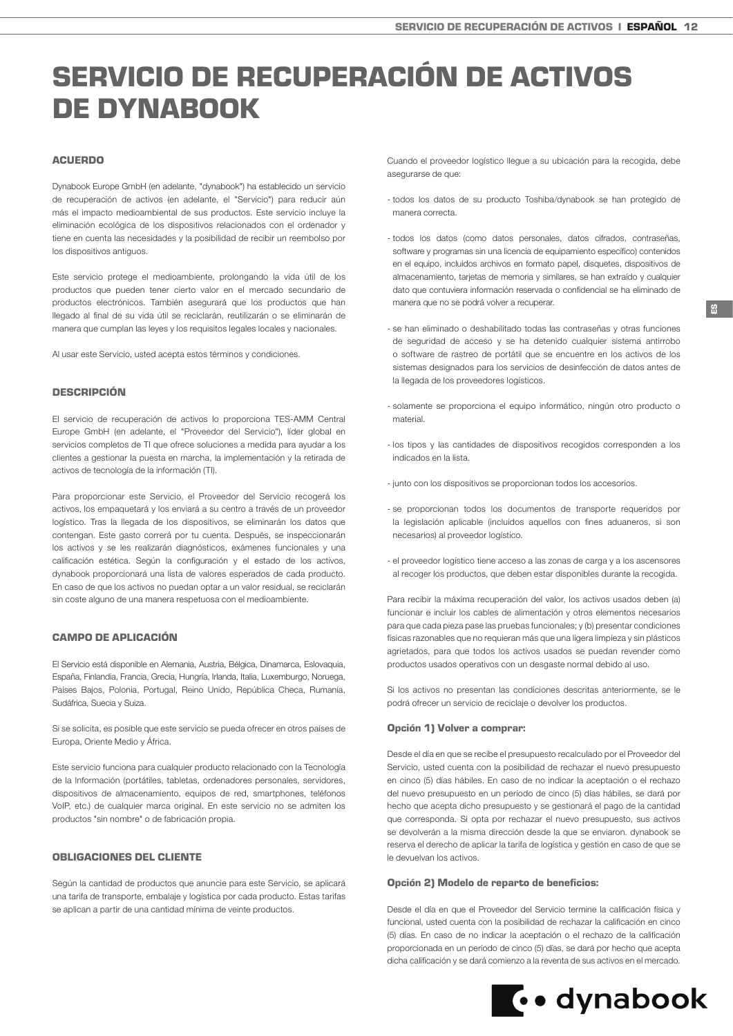# <span id="page-11-0"></span>SERVICIO DE RECUPERACIÓN DE ACTIVOS DE DYNABOOK

# ACUERDO

Dynabook Europe GmbH (en adelante, "dynabook") ha establecido un servicio de recuperación de activos (en adelante, el "Servicio") para reducir aún más el impacto medioambiental de sus productos. Este servicio incluye la eliminación ecológica de los dispositivos relacionados con el ordenador y tiene en cuenta las necesidades y la posibilidad de recibir un reembolso por los dispositivos antiguos.

Este servicio protege el medioambiente, prolongando la vida útil de los productos que pueden tener cierto valor en el mercado secundario de productos electrónicos. También asegurará que los productos que han llegado al final de su vida útil se reciclarán, reutilizarán o se eliminarán de manera que cumplan las leyes y los requisitos legales locales y nacionales.

Al usar este Servicio, usted acepta estos términos y condiciones.

#### DESCRIPCIÓN

El servicio de recuperación de activos lo proporciona TES-AMM Central Europe GmbH (en adelante, el "Proveedor del Servicio"), líder global en servicios completos de TI que ofrece soluciones a medida para ayudar a los clientes a gestionar la puesta en marcha, la implementación y la retirada de activos de tecnología de la información (TI).

Para proporcionar este Servicio, el Proveedor del Servicio recogerá los activos, los empaquetará y los enviará a su centro a través de un proveedor logístico. Tras la llegada de los dispositivos, se eliminarán los datos que contengan. Este gasto correrá por tu cuenta. Después, se inspeccionarán los activos y se les realizarán diagnósticos, exámenes funcionales y una calificación estética. Según la configuración y el estado de los activos, dynabook proporcionará una lista de valores esperados de cada producto. En caso de que los activos no puedan optar a un valor residual, se reciclarán sin coste alguno de una manera respetuosa con el medioambiente.

## CAMPO DE APLICACIÓN

El Servicio está disponible en Alemania, Austria, Bélgica, Dinamarca, Eslovaquia, España, Finlandia, Francia, Grecia, Hungría, Irlanda, Italia, Luxemburgo, Noruega, Países Bajos, Polonia, Portugal, Reino Unido, República Checa, Rumanía, Sudáfrica, Suecia y Suiza.

Si se solicita, es posible que este servicio se pueda ofrecer en otros países de Europa, Oriente Medio y África.

Este servicio funciona para cualquier producto relacionado con la Tecnología de la Información (portátiles, tabletas, ordenadores personales, servidores, dispositivos de almacenamiento, equipos de red, smartphones, teléfonos VoIP, etc.) de cualquier marca original. En este servicio no se admiten los productos "sin nombre" o de fabricación propia.

# OBLIGACIONES DEL CLIENTE

Según la cantidad de productos que anuncie para este Servicio, se aplicará una tarifa de transporte, embalaje y logística por cada producto. Estas tarifas se aplican a partir de una cantidad mínima de veinte productos.

Cuando el proveedor logístico llegue a su ubicación para la recogida, debe asegurarse de que:

- todos los datos de su producto Toshiba/dynabook se han protegido de manera correcta.
- todos los datos (como datos personales, datos cifrados, contraseñas, software y programas sin una licencia de equipamiento específico) contenidos en el equipo, incluidos archivos en formato papel, disquetes, dispositivos de almacenamiento, tarjetas de memoria y similares, se han extraído y cualquier dato que contuviera información reservada o confidencial se ha eliminado de manera que no se podrá volver a recuperar.
- se han eliminado o deshabilitado todas las contraseñas y otras funciones de seguridad de acceso y se ha detenido cualquier sistema antirrobo o software de rastreo de portátil que se encuentre en los activos de los sistemas designados para los servicios de desinfección de datos antes de la llegada de los proveedores logísticos.
- solamente se proporciona el equipo informático, ningún otro producto o material.
- los tipos y las cantidades de dispositivos recogidos corresponden a los indicados en la lista.
- junto con los dispositivos se proporcionan todos los accesorios.
- se proporcionan todos los documentos de transporte requeridos por la legislación aplicable (incluidos aquellos con fines aduaneros, si son necesarios) al proveedor logístico.
- el proveedor logístico tiene acceso a las zonas de carga y a los ascensores al recoger los productos, que deben estar disponibles durante la recogida.

Para recibir la máxima recuperación del valor, los activos usados deben (a) funcionar e incluir los cables de alimentación y otros elementos necesarios para que cada pieza pase las pruebas funcionales; y (b) presentar condiciones físicas razonables que no requieran más que una ligera limpieza y sin plásticos agrietados, para que todos los activos usados se puedan revender como productos usados operativos con un desgaste normal debido al uso.

Si los activos no presentan las condiciones descritas anteriormente, se le podrá ofrecer un servicio de reciclaje o devolver los productos.

### Opción 1) Volver a comprar:

Desde el día en que se recibe el presupuesto recalculado por el Proveedor del Servicio, usted cuenta con la posibilidad de rechazar el nuevo presupuesto en cinco (5) días hábiles. En caso de no indicar la aceptación o el rechazo del nuevo presupuesto en un período de cinco (5) días hábiles, se dará por hecho que acepta dicho presupuesto y se gestionará el pago de la cantidad que corresponda. Si opta por rechazar el nuevo presupuesto, sus activos se devolverán a la misma dirección desde la que se enviaron. dynabook se reserva el derecho de aplicar la tarifa de logística y gestión en caso de que se le devuelvan los activos.

#### Opción 2) Modelo de reparto de beneficios:

Desde el día en que el Proveedor del Servicio termine la calificación física y funcional, usted cuenta con la posibilidad de rechazar la calificación en cinco (5) días. En caso de no indicar la aceptación o el rechazo de la calificación proporcionada en un período de cinco (5) días, se dará por hecho que acepta dicha calificación y se dará comienzo a la reventa de sus activos en el mercado.

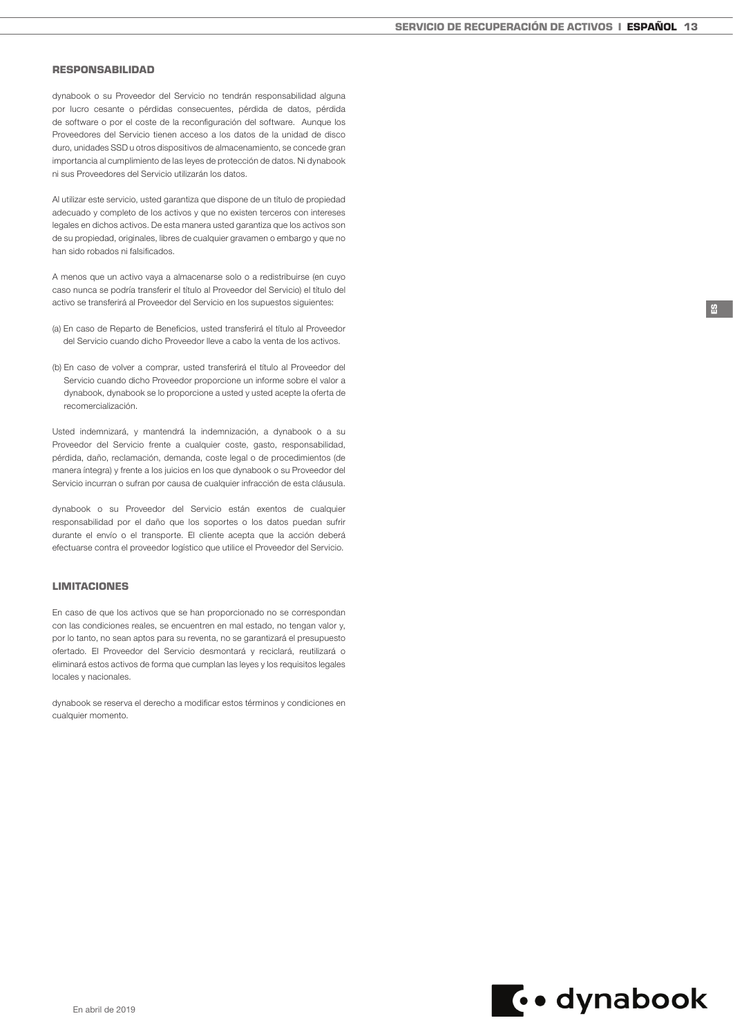### RESPONSABILIDAD

dynabook o su Proveedor del Servicio no tendrán responsabilidad alguna por lucro cesante o pérdidas consecuentes, pérdida de datos, pérdida de software o por el coste de la reconfiguración del software. Aunque los Proveedores del Servicio tienen acceso a los datos de la unidad de disco duro, unidades SSD u otros dispositivos de almacenamiento, se concede gran importancia al cumplimiento de las leyes de protección de datos. Ni dynabook ni sus Proveedores del Servicio utilizarán los datos.

Al utilizar este servicio, usted garantiza que dispone de un título de propiedad adecuado y completo de los activos y que no existen terceros con intereses legales en dichos activos. De esta manera usted garantiza que los activos son de su propiedad, originales, libres de cualquier gravamen o embargo y que no han sido robados ni falsificados.

A menos que un activo vaya a almacenarse solo o a redistribuirse (en cuyo caso nunca se podría transferir el título al Proveedor del Servicio) el título del activo se transferirá al Proveedor del Servicio en los supuestos siguientes:

- (a) En caso de Reparto de Beneficios, usted transferirá el título al Proveedor del Servicio cuando dicho Proveedor lleve a cabo la venta de los activos.
- (b) En caso de volver a comprar, usted transferirá el título al Proveedor del Servicio cuando dicho Proveedor proporcione un informe sobre el valor a dynabook, dynabook se lo proporcione a usted y usted acepte la oferta de recomercialización.

Usted indemnizará, y mantendrá la indemnización, a dynabook o a su Proveedor del Servicio frente a cualquier coste, gasto, responsabilidad, pérdida, daño, reclamación, demanda, coste legal o de procedimientos (de manera íntegra) y frente a los juicios en los que dynabook o su Proveedor del Servicio incurran o sufran por causa de cualquier infracción de esta cláusula.

dynabook o su Proveedor del Servicio están exentos de cualquier responsabilidad por el daño que los soportes o los datos puedan sufrir durante el envío o el transporte. El cliente acepta que la acción deberá efectuarse contra el proveedor logístico que utilice el Proveedor del Servicio.

## LIMITACIONES

En caso de que los activos que se han proporcionado no se correspondan con las condiciones reales, se encuentren en mal estado, no tengan valor y, por lo tanto, no sean aptos para su reventa, no se garantizará el presupuesto ofertado. El Proveedor del Servicio desmontará y reciclará, reutilizará o eliminará estos activos de forma que cumplan las leyes y los requisitos legales locales y nacionales.

dynabook se reserva el derecho a modificar estos términos y condiciones en cualquier momento.

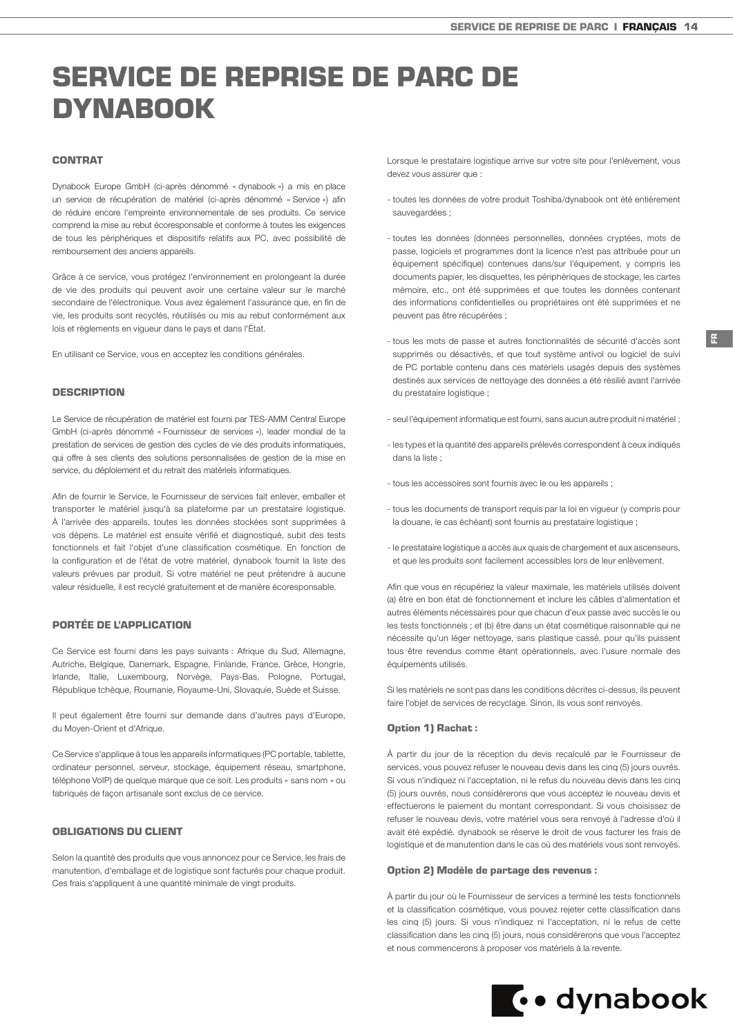# <span id="page-13-0"></span>SERVICE DE REPRISE DE PARC DE DYNABOOK

# CONTRAT

Dynabook Europe GmbH (ci-après dénommé « dynabook ») a mis en place un service de récupération de matériel (ci-après dénommé « Service ») afin de réduire encore l'empreinte environnementale de ses produits. Ce service comprend la mise au rebut écoresponsable et conforme à toutes les exigences de tous les périphériques et dispositifs relatifs aux PC, avec possibilité de remboursement des anciens appareils.

Grâce à ce service, vous protégez l'environnement en prolongeant la durée de vie des produits qui peuvent avoir une certaine valeur sur le marché secondaire de l'électronique. Vous avez également l'assurance que, en fin de vie, les produits sont recyclés, réutilisés ou mis au rebut conformément aux lois et règlements en vigueur dans le pays et dans l'État.

En utilisant ce Service, vous en acceptez les conditions générales.

#### **DESCRIPTION**

Le Service de récupération de matériel est fourni par TES-AMM Central Europe GmbH (ci-après dénommé « Fournisseur de services »), leader mondial de la prestation de services de gestion des cycles de vie des produits informatiques, qui offre à ses clients des solutions personnalisées de gestion de la mise en service, du déploiement et du retrait des matériels informatiques.

Afin de fournir le Service, le Fournisseur de services fait enlever, emballer et transporter le matériel jusqu'à sa plateforme par un prestataire logistique. À l'arrivée des appareils, toutes les données stockées sont supprimées à vos dépens. Le matériel est ensuite vérifié et diagnostiqué, subit des tests fonctionnels et fait l'objet d'une classification cosmétique. En fonction de la configuration et de l'état de votre matériel, dynabook fournit la liste des valeurs prévues par produit. Si votre matériel ne peut prétendre à aucune valeur résiduelle, il est recyclé gratuitement et de manière écoresponsable.

## PORTÉE DE L'APPLICATION

Ce Service est fourni dans les pays suivants : Afrique du Sud, Allemagne, Autriche, Belgique, Danemark, Espagne, Finlande, France, Grèce, Hongrie, Irlande, Italie, Luxembourg, Norvège, Pays-Bas, Pologne, Portugal, République tchèque, Roumanie, Royaume-Uni, Slovaquie, Suède et Suisse.

Il peut également être fourni sur demande dans d'autres pays d'Europe, du Moyen-Orient et d'Afrique.

Ce Service s'applique à tous les appareils informatiques (PC portable, tablette, ordinateur personnel, serveur, stockage, équipement réseau, smartphone, téléphone VoIP) de quelque marque que ce soit. Les produits « sans nom » ou fabriqués de façon artisanale sont exclus de ce service.

# OBLIGATIONS DU CLIENT

Selon la quantité des produits que vous annoncez pour ce Service, les frais de manutention, d'emballage et de logistique sont facturés pour chaque produit. Ces frais s'appliquent à une quantité minimale de vingt produits.

Lorsque le prestataire logistique arrive sur votre site pour l'enlèvement, vous devez vous assurer que :

- toutes les données de votre produit Toshiba/dynabook ont été entièrement sauvegardées :
- toutes les données (données personnelles, données cryptées, mots de passe, logiciels et programmes dont la licence n'est pas attribuée pour un équipement spécifique) contenues dans/sur l'équipement, y compris les documents papier, les disquettes, les périphériques de stockage, les cartes mémoire, etc., ont été supprimées et que toutes les données contenant des informations confidentielles ou propriétaires ont été supprimées et ne peuvent pas être récupérées ;
- tous les mots de passe et autres fonctionnalités de sécurité d'accès sont supprimés ou désactivés, et que tout système antivol ou logiciel de suivi de PC portable contenu dans ces matériels usagés depuis des systèmes destinés aux services de nettoyage des données a été résilié avant l'arrivée du prestataire logistique ;
- seul l'équipement informatique est fourni, sans aucun autre produit ni matériel ;
- les types et la quantité des appareils prélevés correspondent à ceux indiqués dans la liste ;
- tous les accessoires sont fournis avec le ou les appareils ;
- tous les documents de transport requis par la loi en vigueur (y compris pour la douane, le cas échéant) sont fournis au prestataire logistique ;
- le prestataire logistique a accès aux quais de chargement et aux ascenseurs, et que les produits sont facilement accessibles lors de leur enlèvement.

Afin que vous en récupériez la valeur maximale, les matériels utilisés doivent (a) être en bon état de fonctionnement et inclure les câbles d'alimentation et autres éléments nécessaires pour que chacun d'eux passe avec succès le ou les tests fonctionnels ; et (b) être dans un état cosmétique raisonnable qui ne nécessite qu'un léger nettoyage, sans plastique cassé, pour qu'ils puissent tous être revendus comme étant opérationnels, avec l'usure normale des équipements utilisés.

Si les matériels ne sont pas dans les conditions décrites ci-dessus, ils peuvent faire l'objet de services de recyclage. Sinon, ils vous sont renvoyés.

### Option 1) Rachat :

À partir du jour de la réception du devis recalculé par le Fournisseur de services, vous pouvez refuser le nouveau devis dans les cinq (5) jours ouvrés. Si vous n'indiquez ni l'acceptation, ni le refus du nouveau devis dans les cinq (5) jours ouvrés, nous considérerons que vous acceptez le nouveau devis et effectuerons le paiement du montant correspondant. Si vous choisissez de refuser le nouveau devis, votre matériel vous sera renvoyé à l'adresse d'où il avait été expédié. dynabook se réserve le droit de vous facturer les frais de logistique et de manutention dans le cas où des matériels vous sont renvoyés.

## Option 2) Modèle de partage des revenus :

À partir du jour où le Fournisseur de services a terminé les tests fonctionnels et la classification cosmétique, vous pouvez rejeter cette classification dans les cinq (5) jours. Si vous n'indiquez ni l'acceptation, ni le refus de cette classification dans les cinq (5) jours, nous considérerons que vous l'acceptez et nous commencerons à proposer vos matériels à la revente.

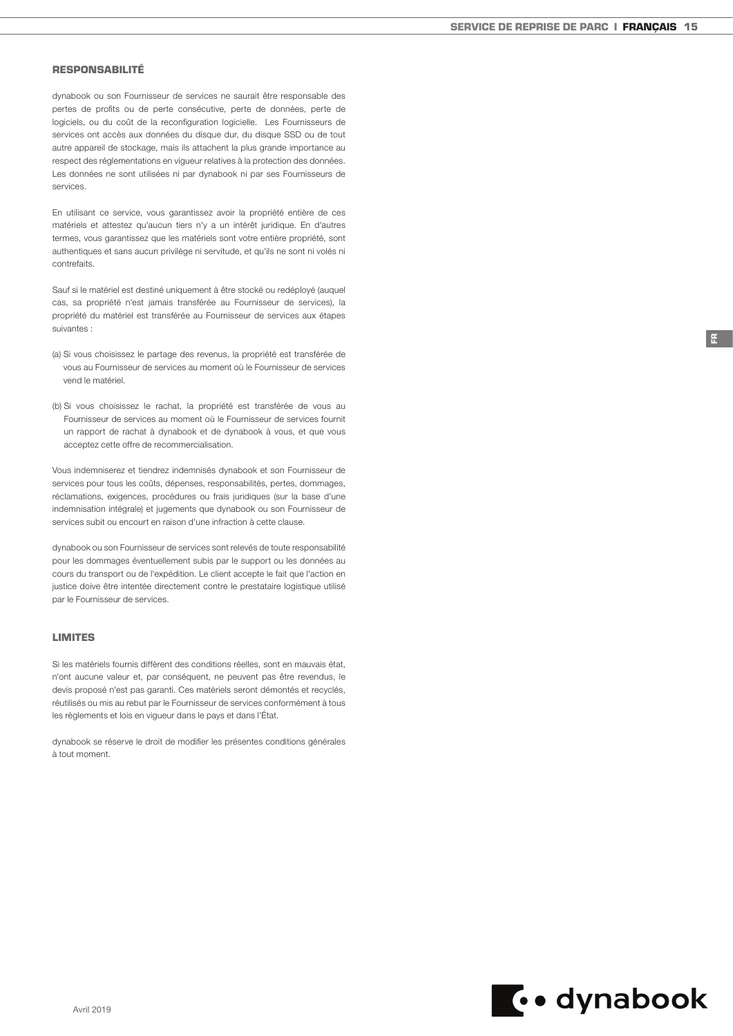### RESPONSABILITÉ

dynabook ou son Fournisseur de services ne saurait être responsable des pertes de profits ou de perte consécutive, perte de données, perte de logiciels, ou du coût de la reconfiguration logicielle. Les Fournisseurs de services ont accès aux données du disque dur, du disque SSD ou de tout autre appareil de stockage, mais ils attachent la plus grande importance au respect des réglementations en vigueur relatives à la protection des données. Les données ne sont utilisées ni par dynabook ni par ses Fournisseurs de services.

En utilisant ce service, vous garantissez avoir la propriété entière de ces matériels et attestez qu'aucun tiers n'y a un intérêt juridique. En d'autres termes, vous garantissez que les matériels sont votre entière propriété, sont authentiques et sans aucun privilège ni servitude, et qu'ils ne sont ni volés ni contrefaits.

Sauf si le matériel est destiné uniquement à être stocké ou redéployé (auquel cas, sa propriété n'est jamais transférée au Fournisseur de services), la propriété du matériel est transférée au Fournisseur de services aux étapes suivantes :

- (a) Si vous choisissez le partage des revenus, la propriété est transférée de vous au Fournisseur de services au moment où le Fournisseur de services vend le matériel.
- (b) Si vous choisissez le rachat, la propriété est transférée de vous au Fournisseur de services au moment où le Fournisseur de services fournit un rapport de rachat à dynabook et de dynabook à vous, et que vous acceptez cette offre de recommercialisation.

Vous indemniserez et tiendrez indemnisés dynabook et son Fournisseur de services pour tous les coûts, dépenses, responsabilités, pertes, dommages, réclamations, exigences, procédures ou frais juridiques (sur la base d'une indemnisation intégrale) et jugements que dynabook ou son Fournisseur de services subit ou encourt en raison d'une infraction à cette clause.

dynabook ou son Fournisseur de services sont relevés de toute responsabilité pour les dommages éventuellement subis par le support ou les données au cours du transport ou de l'expédition. Le client accepte le fait que l'action en justice doive être intentée directement contre le prestataire logistique utilisé par le Fournisseur de services.

#### LIMITES

Si les matériels fournis diffèrent des conditions réelles, sont en mauvais état, n'ont aucune valeur et, par conséquent, ne peuvent pas être revendus, le devis proposé n'est pas garanti. Ces matériels seront démontés et recyclés, réutilisés ou mis au rebut par le Fournisseur de services conformément à tous les règlements et lois en vigueur dans le pays et dans l'État.

dynabook se réserve le droit de modifier les présentes conditions générales à tout moment.

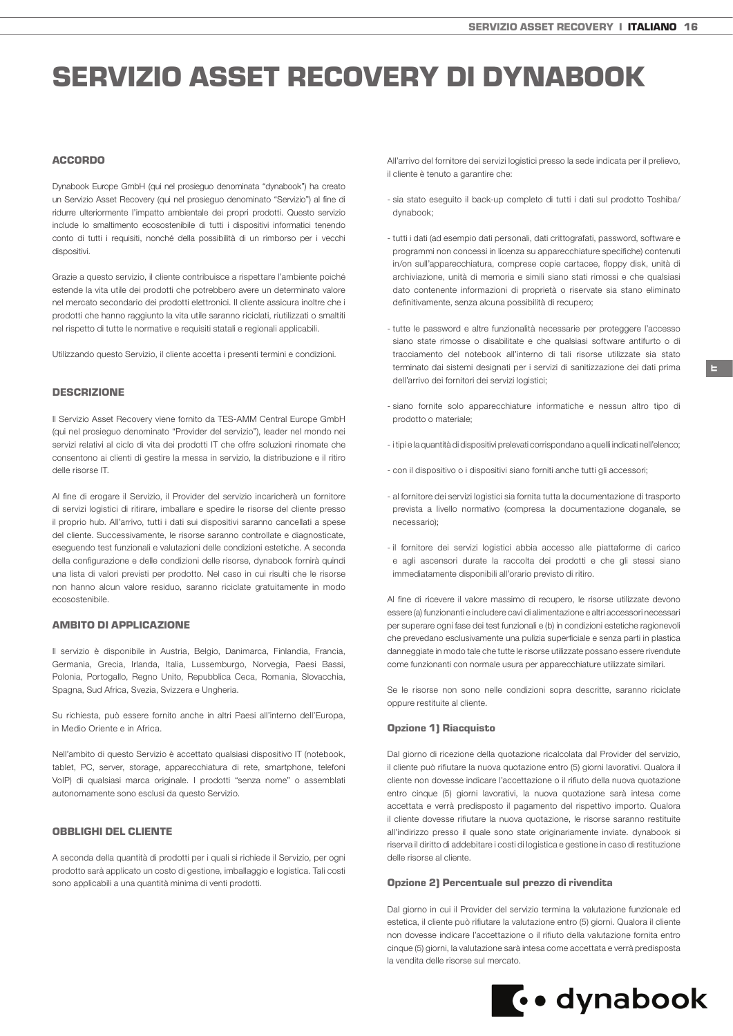# <span id="page-15-0"></span>SERVIZIO ASSET RECOVERY DI DYNABOOK

# ACCORDO

Dynabook Europe GmbH (qui nel prosieguo denominata "dynabook") ha creato un Servizio Asset Recovery (qui nel prosieguo denominato "Servizio") al fine di ridurre ulteriormente l'impatto ambientale dei propri prodotti. Questo servizio include lo smaltimento ecosostenibile di tutti i dispositivi informatici tenendo conto di tutti i requisiti, nonché della possibilità di un rimborso per i vecchi dispositivi.

Grazie a questo servizio, il cliente contribuisce a rispettare l'ambiente poiché estende la vita utile dei prodotti che potrebbero avere un determinato valore nel mercato secondario dei prodotti elettronici. Il cliente assicura inoltre che i prodotti che hanno raggiunto la vita utile saranno riciclati, riutilizzati o smaltiti nel rispetto di tutte le normative e requisiti statali e regionali applicabili.

Utilizzando questo Servizio, il cliente accetta i presenti termini e condizioni.

#### DESCRIZIONE

Il Servizio Asset Recovery viene fornito da TES-AMM Central Europe GmbH (qui nel prosieguo denominato "Provider del servizio"), leader nel mondo nei servizi relativi al ciclo di vita dei prodotti IT che offre soluzioni rinomate che consentono ai clienti di gestire la messa in servizio, la distribuzione e il ritiro delle risorse IT.

Al fine di erogare il Servizio, il Provider del servizio incaricherà un fornitore di servizi logistici di ritirare, imballare e spedire le risorse del cliente presso il proprio hub. All'arrivo, tutti i dati sui dispositivi saranno cancellati a spese del cliente. Successivamente, le risorse saranno controllate e diagnosticate, eseguendo test funzionali e valutazioni delle condizioni estetiche. A seconda della configurazione e delle condizioni delle risorse, dynabook fornirà quindi una lista di valori previsti per prodotto. Nel caso in cui risulti che le risorse non hanno alcun valore residuo, saranno riciclate gratuitamente in modo ecosostenibile.

### AMBITO DI APPLICAZIONE

Il servizio è disponibile in Austria, Belgio, Danimarca, Finlandia, Francia, Germania, Grecia, Irlanda, Italia, Lussemburgo, Norvegia, Paesi Bassi, Polonia, Portogallo, Regno Unito, Repubblica Ceca, Romania, Slovacchia, Spagna, Sud Africa, Svezia, Svizzera e Ungheria.

Su richiesta, può essere fornito anche in altri Paesi all'interno dell'Europa, in Medio Oriente e in Africa.

Nell'ambito di questo Servizio è accettato qualsiasi dispositivo IT (notebook, tablet, PC, server, storage, apparecchiatura di rete, smartphone, telefoni VoIP) di qualsiasi marca originale. I prodotti "senza nome" o assemblati autonomamente sono esclusi da questo Servizio.

# OBBLIGHI DEL CLIENTE

A seconda della quantità di prodotti per i quali si richiede il Servizio, per ogni prodotto sarà applicato un costo di gestione, imballaggio e logistica. Tali costi sono applicabili a una quantità minima di venti prodotti.

All'arrivo del fornitore dei servizi logistici presso la sede indicata per il prelievo, il cliente è tenuto a garantire che:

- sia stato eseguito il back-up completo di tutti i dati sul prodotto Toshiba/ dynabook;
- tutti i dati (ad esempio dati personali, dati crittografati, password, software e programmi non concessi in licenza su apparecchiature specifiche) contenuti in/on sull'apparecchiatura, comprese copie cartacee, floppy disk, unità di archiviazione, unità di memoria e simili siano stati rimossi e che qualsiasi dato contenente informazioni di proprietà o riservate sia stano eliminato definitivamente, senza alcuna possibilità di recupero;
- tutte le password e altre funzionalità necessarie per proteggere l'accesso siano state rimosse o disabilitate e che qualsiasi software antifurto o di tracciamento del notebook all'interno di tali risorse utilizzate sia stato terminato dai sistemi designati per i servizi di sanitizzazione dei dati prima dell'arrivo dei fornitori dei servizi logistici;

IT

- siano fornite solo apparecchiature informatiche e nessun altro tipo di prodotto o materiale;
- i tipi e la quantità di dispositivi prelevati corrispondano a quelli indicati nell'elenco;
- con il dispositivo o i dispositivi siano forniti anche tutti gli accessori;
- al fornitore dei servizi logistici sia fornita tutta la documentazione di trasporto prevista a livello normativo (compresa la documentazione doganale, se necessario);
- il fornitore dei servizi logistici abbia accesso alle piattaforme di carico e agli ascensori durate la raccolta dei prodotti e che gli stessi siano immediatamente disponibili all'orario previsto di ritiro.

Al fine di ricevere il valore massimo di recupero, le risorse utilizzate devono essere (a) funzionanti e includere cavi di alimentazione e altri accessori necessari per superare ogni fase dei test funzionali e (b) in condizioni estetiche ragionevoli che prevedano esclusivamente una pulizia superficiale e senza parti in plastica danneggiate in modo tale che tutte le risorse utilizzate possano essere rivendute come funzionanti con normale usura per apparecchiature utilizzate similari.

Se le risorse non sono nelle condizioni sopra descritte, saranno riciclate oppure restituite al cliente.

### Opzione 1) Riacquisto

Dal giorno di ricezione della quotazione ricalcolata dal Provider del servizio, il cliente può rifiutare la nuova quotazione entro (5) giorni lavorativi. Qualora il cliente non dovesse indicare l'accettazione o il rifiuto della nuova quotazione entro cinque (5) giorni lavorativi, la nuova quotazione sarà intesa come accettata e verrà predisposto il pagamento del rispettivo importo. Qualora il cliente dovesse rifiutare la nuova quotazione, le risorse saranno restituite all'indirizzo presso il quale sono state originariamente inviate. dynabook si riserva il diritto di addebitare i costi di logistica e gestione in caso di restituzione delle risorse al cliente.

#### Opzione 2) Percentuale sul prezzo di rivendita

Dal giorno in cui il Provider del servizio termina la valutazione funzionale ed estetica, il cliente può rifiutare la valutazione entro (5) giorni. Qualora il cliente non dovesse indicare l'accettazione o il rifiuto della valutazione fornita entro cinque (5) giorni, la valutazione sarà intesa come accettata e verrà predisposta la vendita delle risorse sul mercato.

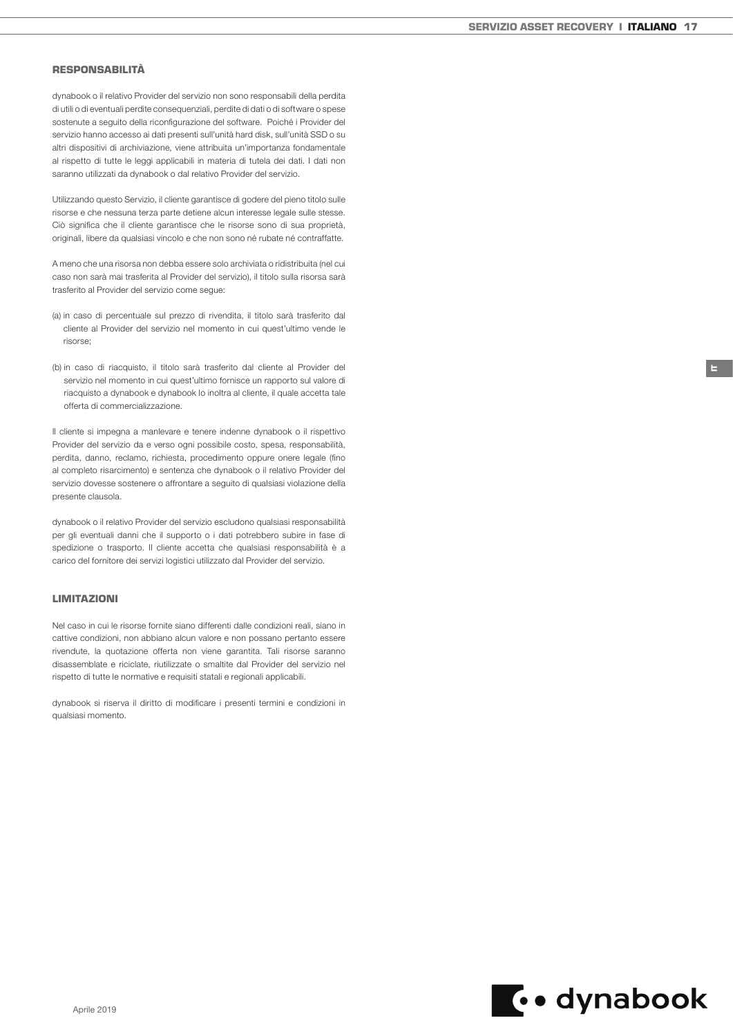IT

## **RESPONSABILITÀ**

dynabook o il relativo Provider del servizio non sono responsabili della perdita di utili o di eventuali perdite consequenziali, perdite di dati o di software o spese sostenute a seguito della riconfigurazione del software. Poiché i Provider del servizio hanno accesso ai dati presenti sull'unità hard disk, sull'unità SSD o su altri dispositivi di archiviazione, viene attribuita un'importanza fondamentale al rispetto di tutte le leggi applicabili in materia di tutela dei dati. I dati non saranno utilizzati da dynabook o dal relativo Provider del servizio.

Utilizzando questo Servizio, il cliente garantisce di godere del pieno titolo sulle risorse e che nessuna terza parte detiene alcun interesse legale sulle stesse. Ciò significa che il cliente garantisce che le risorse sono di sua proprietà, originali, libere da qualsiasi vincolo e che non sono né rubate né contraffatte.

A meno che una risorsa non debba essere solo archiviata o ridistribuita (nel cui caso non sarà mai trasferita al Provider del servizio), il titolo sulla risorsa sarà trasferito al Provider del servizio come segue:

- (a) in caso di percentuale sul prezzo di rivendita, il titolo sarà trasferito dal cliente al Provider del servizio nel momento in cui quest'ultimo vende le risorse;
- (b) in caso di riacquisto, il titolo sarà trasferito dal cliente al Provider del servizio nel momento in cui quest'ultimo fornisce un rapporto sul valore di riacquisto a dynabook e dynabook lo inoltra al cliente, il quale accetta tale offerta di commercializzazione.

Il cliente si impegna a manlevare e tenere indenne dynabook o il rispettivo Provider del servizio da e verso ogni possibile costo, spesa, responsabilità, perdita, danno, reclamo, richiesta, procedimento oppure onere legale (fino al completo risarcimento) e sentenza che dynabook o il relativo Provider del servizio dovesse sostenere o affrontare a seguito di qualsiasi violazione della presente clausola.

dynabook o il relativo Provider del servizio escludono qualsiasi responsabilità per gli eventuali danni che il supporto o i dati potrebbero subire in fase di spedizione o trasporto. Il cliente accetta che qualsiasi responsabilità è a carico del fornitore dei servizi logistici utilizzato dal Provider del servizio.

# LIMITAZIONI

Nel caso in cui le risorse fornite siano differenti dalle condizioni reali, siano in cattive condizioni, non abbiano alcun valore e non possano pertanto essere rivendute, la quotazione offerta non viene garantita. Tali risorse saranno disassemblate e riciclate, riutilizzate o smaltite dal Provider del servizio nel rispetto di tutte le normative e requisiti statali e regionali applicabili.

dynabook si riserva il diritto di modificare i presenti termini e condizioni in qualsiasi momento.

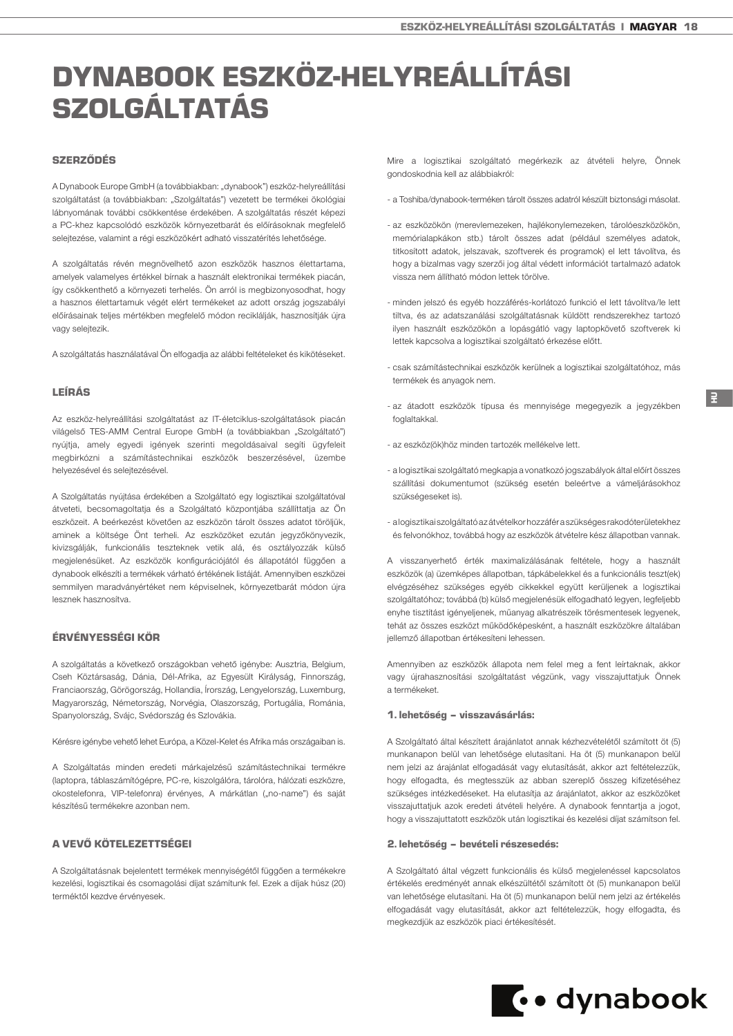# <span id="page-17-0"></span>DYNABOOK ESZKÖZ-HELYREÁLLÍTÁSI SZOLGÁLTATÁS

# SZERZŐDÉS

A Dynabook Europe GmbH (a továbbiakban: "dynabook") eszköz-helyreállítási szolgáltatást (a továbbiakban: "Szolgáltatás") vezetett be termékei ökológiai lábnyomának további csökkentése érdekében. A szolgáltatás részét képezi a PC-khez kapcsolódó eszközök környezetbarát és előírásoknak megfelelő selejtezése, valamint a régi eszközökért adható visszatérítés lehetősége.

A szolgáltatás révén megnövelhető azon eszközök hasznos élettartama, amelyek valamelyes értékkel bírnak a használt elektronikai termékek piacán, így csökkenthető a környezeti terhelés. Ön arról is megbizonyosodhat, hogy a hasznos élettartamuk végét elért termékeket az adott ország jogszabályi előírásainak teljes mértékben megfelelő módon reciklálják, hasznosítják újra vagy selejtezik.

A szolgáltatás használatával Ön elfogadja az alábbi feltételeket és kikötéseket.

#### LEÍRÁS

Az eszköz-helyreállítási szolgáltatást az IT-életciklus-szolgáltatások piacán világelső TES-AMM Central Europe GmbH (a továbbiakban "Szolgáltató") nyújtja, amely egyedi igények szerinti megoldásaival segíti ügyfeleit megbirkózni a számítástechnikai eszközök beszerzésével, üzembe helyezésével és selejtezésével.

A Szolgáltatás nyújtása érdekében a Szolgáltató egy logisztikai szolgáltatóval átveteti, becsomagoltatia és a Szolgáltató központiába szállíttatia az Ön eszközeit. A beérkezést követően az eszközön tárolt összes adatot töröljük, aminek a költsége Önt terheli. Az eszközöket ezután jegyzőkönyvezik, kivizsgálják, funkcionális teszteknek vetik alá, és osztályozzák külső megjelenésüket. Az eszközök konfigurációjától és állapotától függően a dynabook elkészíti a termékek várható értékének listáját. Amennyiben eszközei semmilyen maradványértéket nem képviselnek, környezetbarát módon újra lesznek hasznosítva.

# ÉRVÉNYESSÉGI KÖR

A szolgáltatás a következő országokban vehető igénybe: Ausztria, Belgium, Cseh Köztársaság, Dánia, Dél-Afrika, az Egyesült Királyság, Finnország, Franciaország, Görögország, Hollandia, Írország, Lengyelország, Luxemburg, Magyarország, Németország, Norvégia, Olaszország, Portugália, Románia, Spanyolország, Svájc, Svédország és Szlovákia.

Kérésre igénybe vehető lehet Európa, a Közel-Kelet és Afrika más országaiban is.

A Szolgáltatás minden eredeti márkajelzésű számítástechnikai termékre (laptopra, táblaszámítógépre, PC-re, kiszolgálóra, tárolóra, hálózati eszközre, okostelefonra, VIP-telefonra) érvényes, A márkátlan ("no-name") és saját készítésű termékekre azonban nem.

# A VEVŐ KÖTELEZETTSÉGEI

A Szolgáltatásnak bejelentett termékek mennyiségétől függően a termékekre kezelési, logisztikai és csomagolási díjat számítunk fel. Ezek a díjak húsz (20) terméktől kezdve érvényesek.

Mire a logisztikai szolgáltató megérkezik az átvételi helyre, Önnek gondoskodnia kell az alábbiakról:

- a Toshiba/dynabook-terméken tárolt összes adatról készült biztonsági másolat.
- az eszközökön (merevlemezeken, hajlékonylemezeken, tárolóeszközökön, memórialapkákon stb.) tárolt összes adat (például személyes adatok, titkosított adatok, jelszavak, szoftverek és programok) el lett távolítva, és hogy a bizalmas vagy szerzői jog által védett információt tartalmazó adatok vissza nem állítható módon lettek törölve.
- minden jelszó és egyéb hozzáférés-korlátozó funkció el lett távolítva/le lett tiltva, és az adatszanálási szolgáltatásnak küldött rendszerekhez tartozó ilyen használt eszközökön a lopásgátló vagy laptopkövető szoftverek ki lettek kapcsolva a logisztikai szolgáltató érkezése előtt.
- csak számítástechnikai eszközök kerülnek a logisztikai szolgáltatóhoz, más termékek és anyagok nem.
- az átadott eszközök típusa és mennyisége megegyezik a jegyzékben foglaltakkal.
- az eszköz(ök)höz minden tartozék mellékelve lett.
- a logisztikai szolgáltató megkapja a vonatkozó jogszabályok által előírt összes szállítási dokumentumot (szükség esetén beleértve a vámeljárásokhoz szükségeseket is).
- a logisztikai szolgáltató az átvételkor hozzáfér a szükséges rakodóterületekhez és felvonókhoz, továbbá hogy az eszközök átvételre kész állapotban vannak.

A visszanyerhető érték maximalizálásának feltétele, hogy a használt eszközök (a) üzemképes állapotban, tápkábelekkel és a funkcionális teszt(ek) elvégzéséhez szükséges egyéb cikkekkel együtt kerüljenek a logisztikai szolgáltatóhoz; továbbá (b) külső megjelenésük elfogadható legyen, legfeljebb enyhe tisztítást igényeljenek, műanyag alkatrészeik törésmentesek legyenek, tehát az összes eszközt működőképesként, a használt eszközökre általában jellemző állapotban értékesíteni lehessen.

Amennyiben az eszközök állapota nem felel meg a fent leírtaknak, akkor vagy újrahasznosítási szolgáltatást végzünk, vagy visszajuttatjuk Önnek a termékeket.

#### 1. lehetőség – visszavásárlás:

A Szolgáltató által készített árajánlatot annak kézhezvételétől számított öt (5) munkanapon belül van lehetősége elutasítani. Ha öt (5) munkanapon belül nem jelzi az árajánlat elfogadását vagy elutasítását, akkor azt feltételezzük, hogy elfogadta, és megtesszük az abban szereplő összeg kifizetéséhez szükséges intézkedéseket. Ha elutasítja az árajánlatot, akkor az eszközöket visszajuttatjuk azok eredeti átvételi helyére. A dynabook fenntartja a jogot, hogy a visszajuttatott eszközök után logisztikai és kezelési díjat számítson fel.

#### 2. lehetőség – bevételi részesedés:

A Szolgáltató által végzett funkcionális és külső megjelenéssel kapcsolatos értékelés eredményét annak elkészültétől számított öt (5) munkanapon belül van lehetősége elutasítani. Ha öt (5) munkanapon belül nem jelzi az értékelés elfogadását vagy elutasítását, akkor azt feltételezzük, hogy elfogadta, és megkezdjük az eszközök piaci értékesítését.

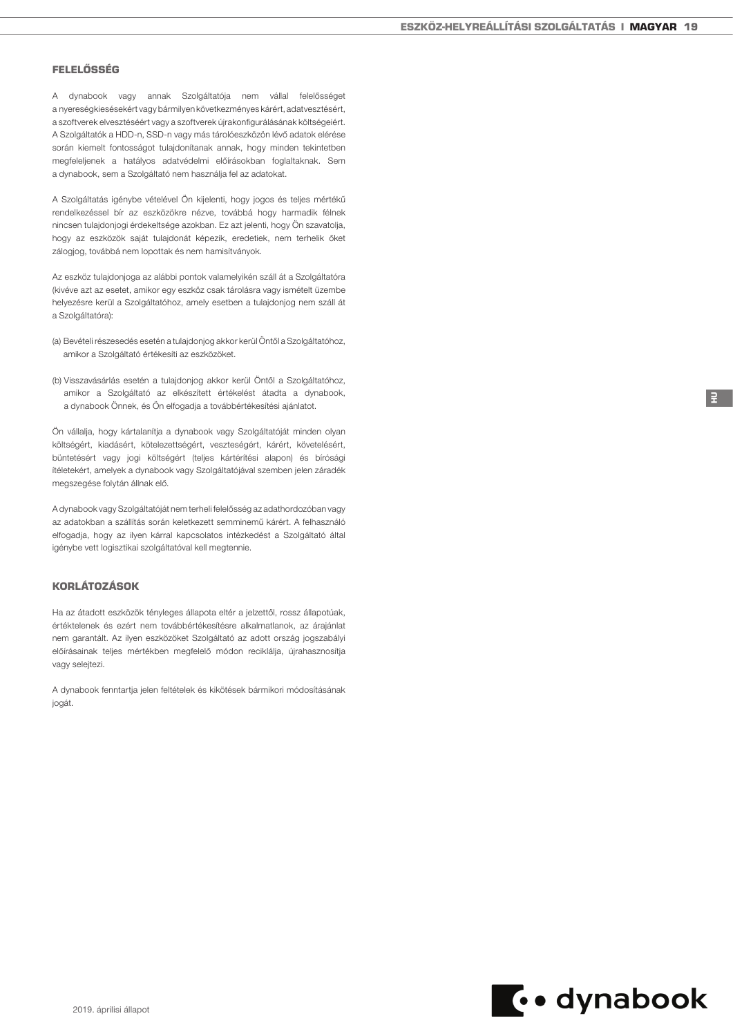# FELELŐSSÉG

A dynabook vagy annak Szolgáltatója nem vállal felelősséget a nyereségkiesésekért vagy bármilyen következményes kárért, adatvesztésért, a szoftverek elvesztéséért vagy a szoftverek újrakonfigurálásának költségeiért. A Szolgáltatók a HDD-n, SSD-n vagy más tárolóeszközön lévő adatok elérése során kiemelt fontosságot tulajdonítanak annak, hogy minden tekintetben megfeleljenek a hatályos adatvédelmi előírásokban foglaltaknak. Sem a dynabook, sem a Szolgáltató nem használja fel az adatokat.

A Szolgáltatás igénybe vételével Ön kijelenti, hogy jogos és teljes mértékű rendelkezéssel bír az eszközökre nézve, továbbá hogy harmadik félnek nincsen tulajdonjogi érdekeltsége azokban. Ez azt jelenti, hogy Ön szavatolja, hogy az eszközök saját tulajdonát képezik, eredetiek, nem terhelik őket zálogjog, továbbá nem lopottak és nem hamisítványok.

Az eszköz tulajdonjoga az alábbi pontok valamelyikén száll át a Szolgáltatóra (kivéve azt az esetet, amikor egy eszköz csak tárolásra vagy ismételt üzembe helyezésre kerül a Szolgáltatóhoz, amely esetben a tulajdonjog nem száll át a Szolgáltatóra):

- (a) Bevételi részesedés esetén a tulajdonjog akkor kerül Öntől a Szolgáltatóhoz, amikor a Szolgáltató értékesíti az eszközöket.
- (b) Visszavásárlás esetén a tulajdonjog akkor kerül Öntől a Szolgáltatóhoz, amikor a Szolgáltató az elkészített értékelést átadta a dynabook, a dynabook Önnek, és Ön elfogadja a továbbértékesítési ajánlatot.

Ön vállalja, hogy kártalanítja a dynabook vagy Szolgáltatóját minden olyan költségért, kiadásért, kötelezettségért, veszteségért, kárért, követelésért, büntetésért vagy jogi költségért (teljes kártérítési alapon) és bírósági ítéletekért, amelyek a dynabook vagy Szolgáltatójával szemben jelen záradék megszegése folytán állnak elő.

A dynabook vagy Szolgáltatóját nem terheli felelősség az adathordozóban vagy az adatokban a szállítás során keletkezett semminemű kárért. A felhasználó elfogadja, hogy az ilyen kárral kapcsolatos intézkedést a Szolgáltató által igénybe vett logisztikai szolgáltatóval kell megtennie.

# KORLÁTOZÁSOK

Ha az átadott eszközök tényleges állapota eltér a jelzettől, rossz állapotúak, értéktelenek és ezért nem továbbértékesítésre alkalmatlanok, az árajánlat nem garantált. Az ilyen eszközöket Szolgáltató az adott ország jogszabályi előírásainak teljes mértékben megfelelő módon reciklálja, újrahasznosítja vagy selejtezi.

A dynabook fenntartja jelen feltételek és kikötések bármikori módosításának jogát.



HU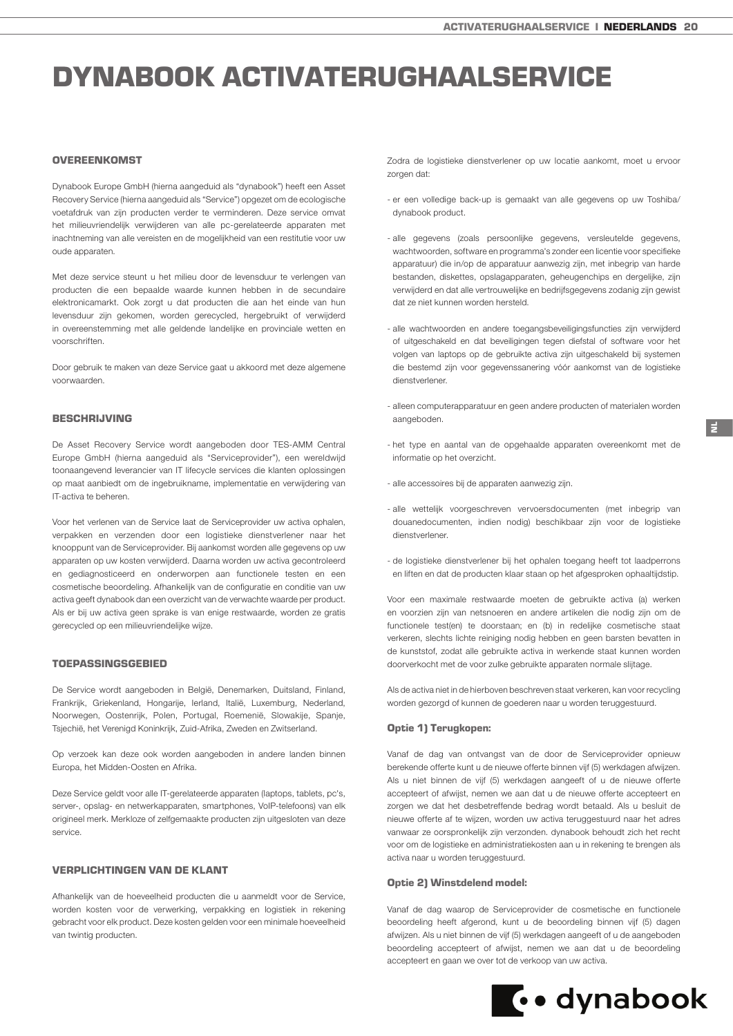# <span id="page-19-0"></span>DYNABOOK ACTIVATERUGHAALSERVICE

## **OVEREENKOMST**

Dynabook Europe GmbH (hierna aangeduid als "dynabook") heeft een Asset Recovery Service (hierna aangeduid als "Service") opgezet om de ecologische voetafdruk van zijn producten verder te verminderen. Deze service omvat het milieuvriendelijk verwijderen van alle pc-gerelateerde apparaten met inachtneming van alle vereisten en de mogelijkheid van een restitutie voor uw oude apparaten.

Met deze service steunt u het milieu door de levensduur te verlengen van producten die een bepaalde waarde kunnen hebben in de secundaire elektronicamarkt. Ook zorgt u dat producten die aan het einde van hun levensduur zijn gekomen, worden gerecycled, hergebruikt of verwijderd in overeenstemming met alle geldende landelijke en provinciale wetten en voorschriften.

Door gebruik te maken van deze Service gaat u akkoord met deze algemene voorwaarden.

### BESCHRIJVING

De Asset Recovery Service wordt aangeboden door TES-AMM Central Europe GmbH (hierna aangeduid als "Serviceprovider"), een wereldwijd toonaangevend leverancier van IT lifecycle services die klanten oplossingen op maat aanbiedt om de ingebruikname, implementatie en verwijdering van IT-activa te beheren.

Voor het verlenen van de Service laat de Serviceprovider uw activa ophalen, verpakken en verzenden door een logistieke dienstverlener naar het knooppunt van de Serviceprovider. Bij aankomst worden alle gegevens op uw apparaten op uw kosten verwijderd. Daarna worden uw activa gecontroleerd en gediagnosticeerd en onderworpen aan functionele testen en een cosmetische beoordeling. Afhankelijk van de configuratie en conditie van uw activa geeft dynabook dan een overzicht van de verwachte waarde per product. Als er bij uw activa geen sprake is van enige restwaarde, worden ze gratis gerecycled op een milieuvriendelijke wijze.

## TOEPASSINGSGEBIED

De Service wordt aangeboden in België, Denemarken, Duitsland, Finland, Frankrijk, Griekenland, Hongarije, Ierland, Italië, Luxemburg, Nederland, Noorwegen, Oostenrijk, Polen, Portugal, Roemenië, Slowakije, Spanje, Tsjechië, het Verenigd Koninkrijk, Zuid-Afrika, Zweden en Zwitserland.

Op verzoek kan deze ook worden aangeboden in andere landen binnen Europa, het Midden-Oosten en Afrika.

Deze Service geldt voor alle IT-gerelateerde apparaten (laptops, tablets, pc's, server-, opslag- en netwerkapparaten, smartphones, VoIP-telefoons) van elk origineel merk. Merkloze of zelfgemaakte producten zijn uitgesloten van deze service.

# VERPLICHTINGEN VAN DE KLANT

Afhankelijk van de hoeveelheid producten die u aanmeldt voor de Service, worden kosten voor de verwerking, verpakking en logistiek in rekening gebracht voor elk product. Deze kosten gelden voor een minimale hoeveelheid van twintig producten.

Zodra de logistieke dienstverlener op uw locatie aankomt, moet u ervoor zorgen dat:

- er een volledige back-up is gemaakt van alle gegevens op uw Toshiba/ dynabook product.
- alle gegevens (zoals persoonlijke gegevens, versleutelde gegevens, wachtwoorden, software en programma's zonder een licentie voor specifieke apparatuur) die in/op de apparatuur aanwezig zijn, met inbegrip van harde bestanden, diskettes, opslagapparaten, geheugenchips en dergelijke, zijn verwijderd en dat alle vertrouwelijke en bedrijfsgegevens zodanig zijn gewist dat ze niet kunnen worden hersteld.
- alle wachtwoorden en andere toegangsbeveiligingsfuncties zijn verwijderd of uitgeschakeld en dat beveiligingen tegen diefstal of software voor het volgen van laptops op de gebruikte activa zijn uitgeschakeld bij systemen die bestemd zijn voor gegevenssanering vóór aankomst van de logistieke dienstverlener.
- alleen computerapparatuur en geen andere producten of materialen worden aangeboden.
- het type en aantal van de opgehaalde apparaten overeenkomt met de informatie op het overzicht.
- alle accessoires bij de apparaten aanwezig zijn.
- alle wettelijk voorgeschreven vervoersdocumenten (met inbegrip van douanedocumenten, indien nodig) beschikbaar zijn voor de logistieke dienstverlener.
- de logistieke dienstverlener bij het ophalen toegang heeft tot laadperrons en liften en dat de producten klaar staan op het afgesproken ophaaltijdstip.

Voor een maximale restwaarde moeten de gebruikte activa (a) werken en voorzien zijn van netsnoeren en andere artikelen die nodig zijn om de functionele test(en) te doorstaan; en (b) in redelijke cosmetische staat verkeren, slechts lichte reiniging nodig hebben en geen barsten bevatten in de kunststof, zodat alle gebruikte activa in werkende staat kunnen worden doorverkocht met de voor zulke gebruikte apparaten normale slijtage.

Als de activa niet in de hierboven beschreven staat verkeren, kan voor recycling worden gezorgd of kunnen de goederen naar u worden teruggestuurd.

## Optie 1) Terugkopen:

Vanaf de dag van ontvangst van de door de Serviceprovider opnieuw berekende offerte kunt u de nieuwe offerte binnen vijf (5) werkdagen afwijzen. Als u niet binnen de vijf (5) werkdagen aangeeft of u de nieuwe offerte accepteert of afwijst, nemen we aan dat u de nieuwe offerte accepteert en zorgen we dat het desbetreffende bedrag wordt betaald. Als u besluit de nieuwe offerte af te wijzen, worden uw activa teruggestuurd naar het adres vanwaar ze oorspronkelijk zijn verzonden. dynabook behoudt zich het recht voor om de logistieke en administratiekosten aan u in rekening te brengen als activa naar u worden teruggestuurd.

#### Optie 2) Winstdelend model:

Vanaf de dag waarop de Serviceprovider de cosmetische en functionele beoordeling heeft afgerond, kunt u de beoordeling binnen vijf (5) dagen afwijzen. Als u niet binnen de vijf (5) werkdagen aangeeft of u de aangeboden beoordeling accepteert of afwijst, nemen we aan dat u de beoordeling accepteert en gaan we over tot de verkoop van uw activa.

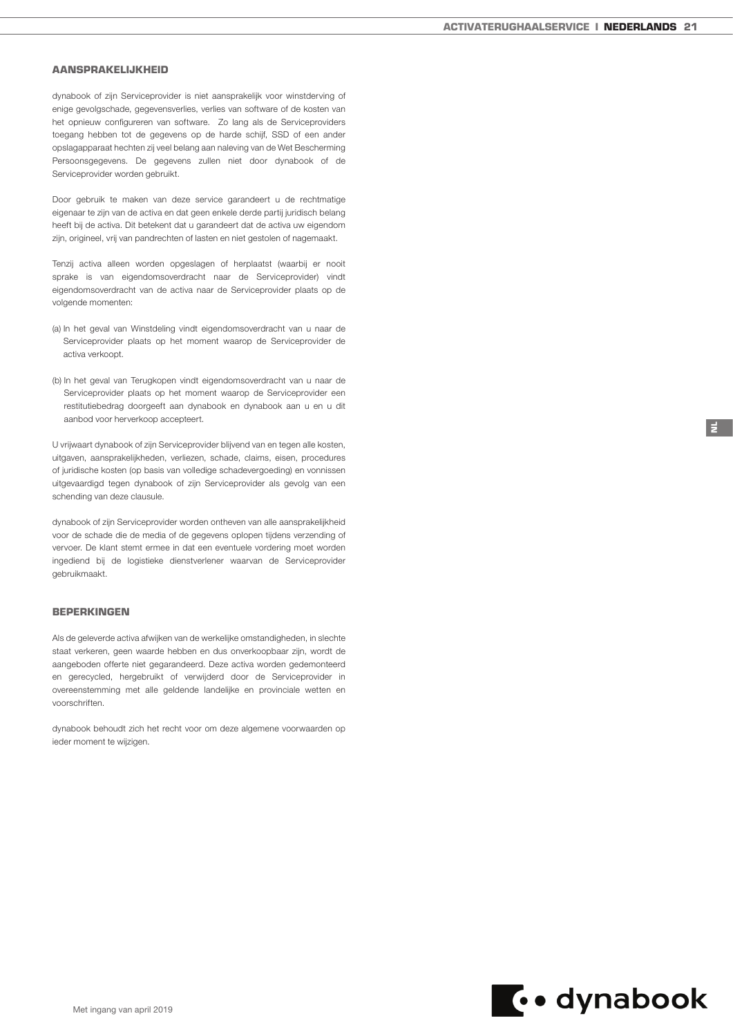NL

## AANSPRAKELIJKHEID

dynabook of zijn Serviceprovider is niet aansprakelijk voor winstderving of enige gevolgschade, gegevensverlies, verlies van software of de kosten van het opnieuw configureren van software. Zo lang als de Serviceproviders toegang hebben tot de gegevens op de harde schijf, SSD of een ander opslagapparaat hechten zij veel belang aan naleving van de Wet Bescherming Persoonsgegevens. De gegevens zullen niet door dynabook of de Serviceprovider worden gebruikt.

Door gebruik te maken van deze service garandeert u de rechtmatige eigenaar te zijn van de activa en dat geen enkele derde partij juridisch belang heeft bij de activa. Dit betekent dat u garandeert dat de activa uw eigendom zijn, origineel, vrij van pandrechten of lasten en niet gestolen of nagemaakt.

Tenzij activa alleen worden opgeslagen of herplaatst (waarbij er nooit sprake is van eigendomsoverdracht naar de Serviceprovider) vindt eigendomsoverdracht van de activa naar de Serviceprovider plaats op de volgende momenten:

- (a) In het geval van Winstdeling vindt eigendomsoverdracht van u naar de Serviceprovider plaats op het moment waarop de Serviceprovider de activa verkoopt.
- (b) In het geval van Terugkopen vindt eigendomsoverdracht van u naar de Serviceprovider plaats op het moment waarop de Serviceprovider een restitutiebedrag doorgeeft aan dynabook en dynabook aan u en u dit aanbod voor herverkoop accepteert.

U vrijwaart dynabook of zijn Serviceprovider blijvend van en tegen alle kosten, uitgaven, aansprakelijkheden, verliezen, schade, claims, eisen, procedures of juridische kosten (op basis van volledige schadevergoeding) en vonnissen uitgevaardigd tegen dynabook of zijn Serviceprovider als gevolg van een schending van deze clausule.

dynabook of zijn Serviceprovider worden ontheven van alle aansprakelijkheid voor de schade die de media of de gegevens oplopen tijdens verzending of vervoer. De klant stemt ermee in dat een eventuele vordering moet worden ingediend bij de logistieke dienstverlener waarvan de Serviceprovider gebruikmaakt.

## BEPERKINGEN

Als de geleverde activa afwijken van de werkelijke omstandigheden, in slechte staat verkeren, geen waarde hebben en dus onverkoopbaar zijn, wordt de aangeboden offerte niet gegarandeerd. Deze activa worden gedemonteerd en gerecycled, hergebruikt of verwijderd door de Serviceprovider in overeenstemming met alle geldende landelijke en provinciale wetten en voorschriften.

dynabook behoudt zich het recht voor om deze algemene voorwaarden op ieder moment te wijzigen.

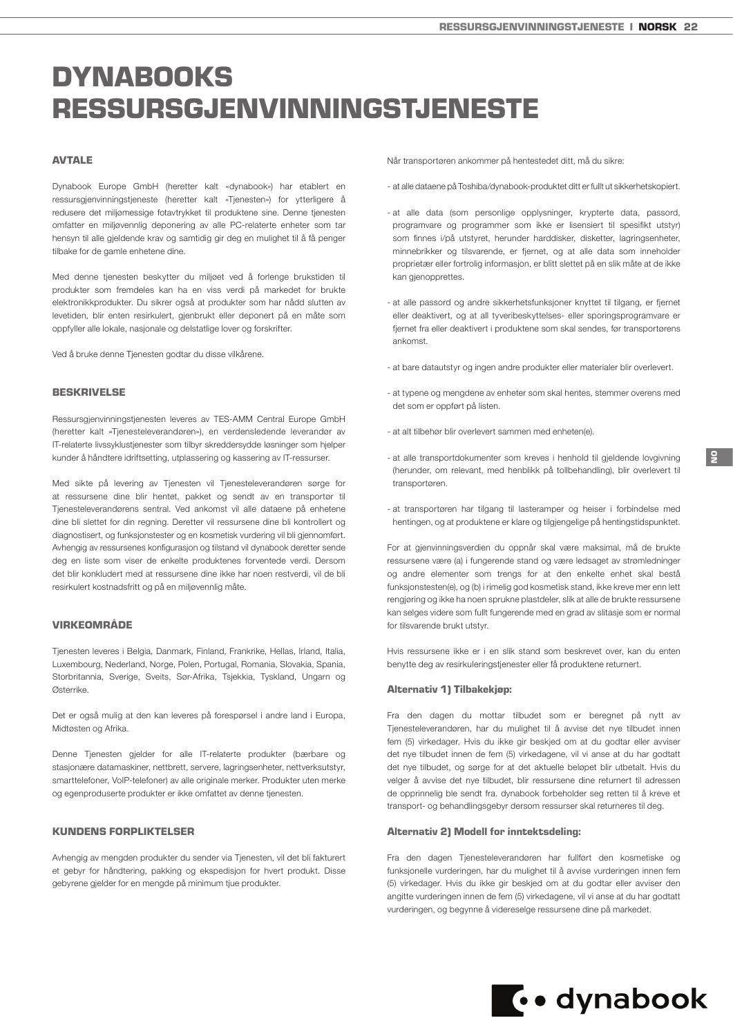# <span id="page-21-0"></span>**DYNABOOKS** RESSURSGJENVINNINGSTJENESTE

# AVTALE

Dynabook Europe GmbH (heretter kalt «dynabook») har etablert en ressursgjenvinningstjeneste (heretter kalt «Tjenesten») for ytterligere å redusere det miljømessige fotavtrykket til produktene sine. Denne tjenesten omfatter en miljøvennlig deponering av alle PC-relaterte enheter som tar hensyn til alle gjeldende krav og samtidig gir deg en mulighet til å få penger tilbake for de gamle enhetene dine.

Med denne tjenesten beskytter du miljøet ved å forlenge brukstiden til produkter som fremdeles kan ha en viss verdi på markedet for brukte elektronikkprodukter. Du sikrer også at produkter som har nådd slutten av levetiden, blir enten resirkulert, gjenbrukt eller deponert på en måte som oppfyller alle lokale, nasjonale og delstatlige lover og forskrifter.

Ved å bruke denne Tjenesten godtar du disse vilkårene.

#### BESKRIVELSE

Ressursgjenvinningstjenesten leveres av TES-AMM Central Europe GmbH (heretter kalt «Tjenesteleverandøren»), en verdensledende leverandør av IT-relaterte livssyklustjenester som tilbyr skreddersydde løsninger som hjelper kunder å håndtere idriftsetting, utplassering og kassering av IT-ressurser.

Med sikte på levering av Tjenesten vil Tjenesteleverandøren sørge for at ressursene dine blir hentet, pakket og sendt av en transportør til Tjenesteleverandørens sentral. Ved ankomst vil alle dataene på enhetene dine bli slettet for din regning. Deretter vil ressursene dine bli kontrollert og diagnostisert, og funksjonstester og en kosmetisk vurdering vil bli gjennomført. Avhengig av ressursenes konfigurasjon og tilstand vil dynabook deretter sende deg en liste som viser de enkelte produktenes forventede verdi. Dersom det blir konkludert med at ressursene dine ikke har noen restverdi, vil de bli resirkulert kostnadsfritt og på en miljøvennlig måte.

# VIRKEOMRÅDE

Tjenesten leveres i Belgia, Danmark, Finland, Frankrike, Hellas, Irland, Italia, Luxembourg, Nederland, Norge, Polen, Portugal, Romania, Slovakia, Spania, Storbritannia, Sverige, Sveits, Sør-Afrika, Tsjekkia, Tyskland, Ungarn og Østerrike.

Det er også mulig at den kan leveres på forespørsel i andre land i Europa, Midtøsten og Afrika.

Denne Tjenesten gjelder for alle IT-relaterte produkter (bærbare og stasjonære datamaskiner, nettbrett, servere, lagringsenheter, nettverksutstyr, smarttelefoner, VoIP-telefoner) av alle originale merker. Produkter uten merke og egenproduserte produkter er ikke omfattet av denne tjenesten.

## KUNDENS FORPLIKTELSER

Avhengig av mengden produkter du sender via Tjenesten, vil det bli fakturert et gebyr for håndtering, pakking og ekspedisjon for hvert produkt. Disse gebyrene gjelder for en mengde på minimum tjue produkter.

Når transportøren ankommer på hentestedet ditt, må du sikre:

- at alle dataene på Toshiba/dynabook-produktet ditt er fullt ut sikkerhetskopiert.
- at alle data (som personlige opplysninger, krypterte data, passord, programvare og programmer som ikke er lisensiert til spesifikt utstyr) som finnes i/på utstyret, herunder harddisker, disketter, lagringsenheter, minnebrikker og tilsvarende, er fjernet, og at alle data som inneholder proprietær eller fortrolig informasjon, er blitt slettet på en slik måte at de ikke kan gjenopprettes.
- at alle passord og andre sikkerhetsfunksjoner knyttet til tilgang, er fjernet eller deaktivert, og at all tyveribeskyttelses- eller sporingsprogramvare er fjernet fra eller deaktivert i produktene som skal sendes, før transportørens ankomst.
- at bare datautstyr og ingen andre produkter eller materialer blir overlevert.
- at typene og mengdene av enheter som skal hentes, stemmer overens med det som er oppført på listen.
- at alt tilbehør blir overlevert sammen med enheten(e).
- at alle transportdokumenter som kreves i henhold til gjeldende lovgivning (herunder, om relevant, med henblikk på tollbehandling), blir overlevert til transportøren.
- at transportøren har tilgang til lasteramper og heiser i forbindelse med hentingen, og at produktene er klare og tilgjengelige på hentingstidspunktet.

For at gjenvinningsverdien du oppnår skal være maksimal, må de brukte ressursene være (a) i fungerende stand og være ledsaget av strømledninger og andre elementer som trengs for at den enkelte enhet skal bestå funksjonstesten(e), og (b) i rimelig god kosmetisk stand, ikke kreve mer enn lett rengjøring og ikke ha noen sprukne plastdeler, slik at alle de brukte ressursene kan selges videre som fullt fungerende med en grad av slitasje som er normal for tilsvarende brukt utstyr.

Hvis ressursene ikke er i en slik stand som beskrevet over, kan du enten benytte deg av resirkuleringstjenester eller få produktene returnert.

#### Alternativ 1) Tilbakekjøp:

Fra den dagen du mottar tilbudet som er beregnet på nytt av Tjenesteleverandøren, har du mulighet til å avvise det nye tilbudet innen fem (5) virkedager. Hvis du ikke gir beskjed om at du godtar eller avviser det nye tilbudet innen de fem (5) virkedagene, vil vi anse at du har godtatt det nye tilbudet, og sørge for at det aktuelle beløpet blir utbetalt. Hvis du velger å avvise det nye tilbudet, blir ressursene dine returnert til adressen de opprinnelig ble sendt fra. dynabook forbeholder seg retten til å kreve et transport- og behandlingsgebyr dersom ressurser skal returneres til deg.

#### Alternativ 2) Modell for inntektsdeling:

Fra den dagen Tjenesteleverandøren har fullført den kosmetiske og funksjonelle vurderingen, har du mulighet til å avvise vurderingen innen fem (5) virkedager. Hvis du ikke gir beskjed om at du godtar eller avviser den angitte vurderingen innen de fem (5) virkedagene, vil vi anse at du har godtatt vurderingen, og begynne å videreselge ressursene dine på markedet.

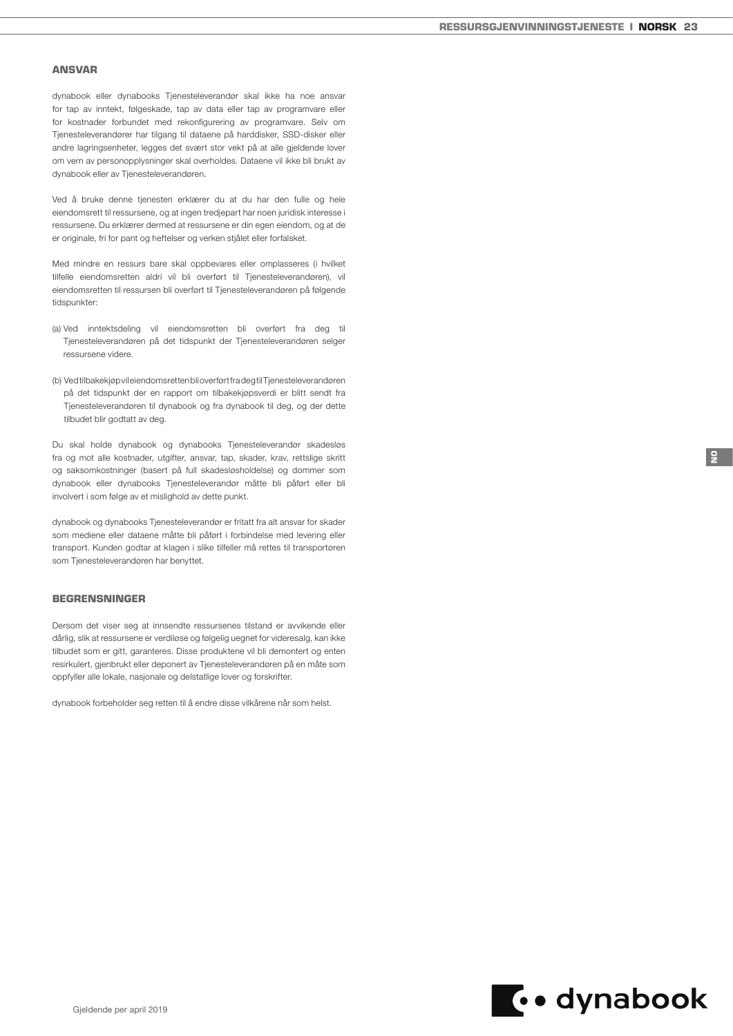### ANSVAR

dynabook eller dynabooks Tjenesteleverandør skal ikke ha noe ansvar for tap av inntekt, følgeskade, tap av data eller tap av programvare eller for kostnader forbundet med rekonfigurering av programvare. Selv om Tjenesteleverandører har tilgang til dataene på harddisker, SSD-disker eller andre lagringsenheter, legges det svært stor vekt på at alle gjeldende lover om vern av personopplysninger skal overholdes. Dataene vil ikke bli brukt av dynabook eller av Tjenesteleverandøren.

Ved å bruke denne tjenesten erklærer du at du har den fulle og hele eiendomsrett til ressursene, og at ingen tredjepart har noen juridisk interesse i ressursene. Du erklærer dermed at ressursene er din egen eiendom, og at de er originale, fri for pant og heftelser og verken stjålet eller forfalsket.

Med mindre en ressurs bare skal oppbevares eller omplasseres (i hvilket tilfelle eiendomsretten aldri vil bli overført til Tjenesteleverandøren), vil eiendomsretten til ressursen bli overført til Tjenesteleverandøren på følgende tidspunkter:

- (a) Ved inntektsdeling vil eiendomsretten bli overført fra deg til Tjenesteleverandøren på det tidspunkt der Tjenesteleverandøren selger ressursene videre.
- (b) Ved tilbakekjøp vil eiendomsretten bli overført fra deg til Tjenesteleverandøren på det tidspunkt der en rapport om tilbakekjøpsverdi er blitt sendt fra Tjenesteleverandøren til dynabook og fra dynabook til deg, og der dette tilbudet blir godtatt av deg.

Du skal holde dynabook og dynabooks Tjenesteleverandør skadesløs fra og mot alle kostnader, utgifter, ansvar, tap, skader, krav, rettslige skritt og saksomkostninger (basert på full skadesløsholdelse) og dommer som dynabook eller dynabooks Tjenesteleverandør måtte bli påført eller bli involvert i som følge av et mislighold av dette punkt.

dynabook og dynabooks Tjenesteleverandør er fritatt fra alt ansvar for skader som mediene eller dataene måtte bli påført i forbindelse med levering eller transport. Kunden godtar at klagen i slike tilfeller må rettes til transportøren som Tjenesteleverandøren har benyttet.

# BEGRENSNINGER

Dersom det viser seg at innsendte ressursenes tilstand er avvikende eller dårlig, slik at ressursene er verdiløse og følgelig uegnet for videresalg, kan ikke tilbudet som er gitt, garanteres. Disse produktene vil bli demontert og enten resirkulert, gjenbrukt eller deponert av Tjenesteleverandøren på en måte som oppfyller alle lokale, nasjonale og delstatlige lover og forskrifter.

dynabook forbeholder seg retten til å endre disse vilkårene når som helst.



NO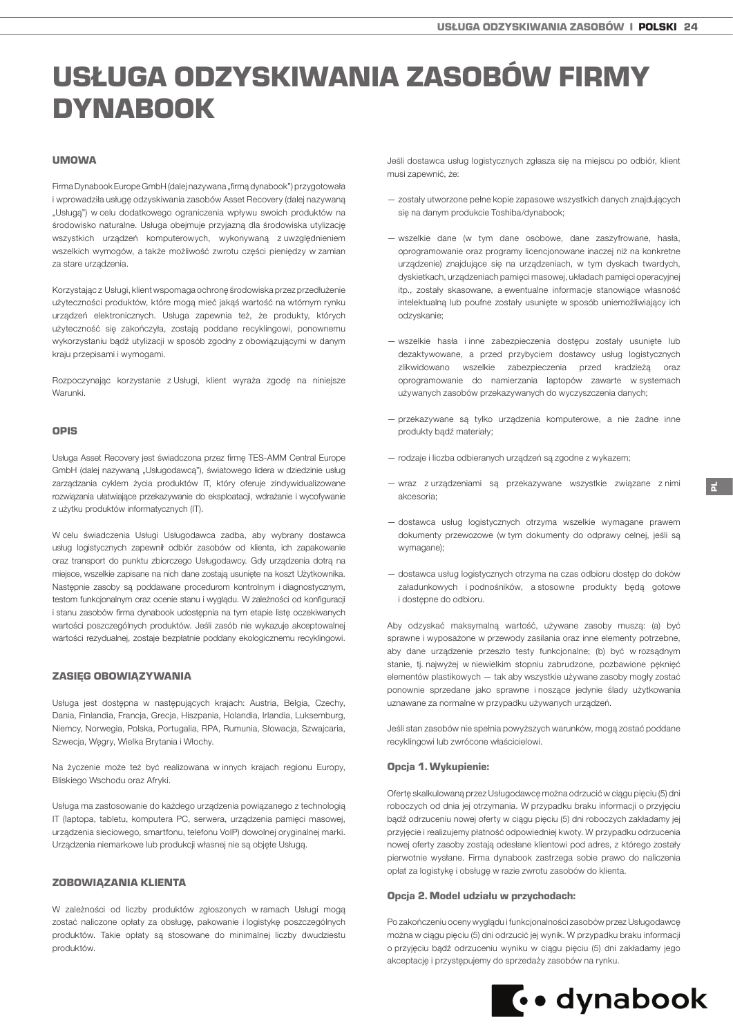# <span id="page-23-0"></span>USŁUGA ODZYSKIWANIA ZASOBÓW FIRMY DYNABOOK

# UMOWA

Firma Dynabook Europe GmbH (dalej nazywana "firmą dynabook") przygotowała i wprowadziła usługę odzyskiwania zasobów Asset Recovery (dalej nazywaną "Usługą") w celu dodatkowego ograniczenia wpływu swoich produktów na środowisko naturalne. Usługa obejmuje przyjazną dla środowiska utylizację wszystkich urządzeń komputerowych, wykonywaną z uwzględnieniem wszelkich wymogów, a także możliwość zwrotu części pieniędzy w zamian za stare urządzenia.

Korzystając z Usługi, klient wspomaga ochronę środowiska przez przedłużenie użyteczności produktów, które mogą mieć jakąś wartość na wtórnym rynku urządzeń elektronicznych. Usługa zapewnia też, że produkty, których użyteczność się zakończyła, zostają poddane recyklingowi, ponownemu wykorzystaniu bądź utylizacji w sposób zgodny z obowiązującymi w danym kraju przepisami i wymogami.

Rozpoczynając korzystanie z Usługi, klient wyraża zgodę na niniejsze Warunki

#### OPIS

Usługa Asset Recovery jest świadczona przez firmę TES-AMM Central Europe GmbH (dalej nazywana "Usługodawca"), światowego lidera w dziedzinie usług zarządzania cyklem życia produktów IT, który oferuje zindywidualizowane rozwiązania ułatwiające przekazywanie do eksploatacji, wdrażanie i wycofywanie z użytku produktów informatycznych (IT).

W celu świadczenia Usługi Usługodawca zadba, aby wybrany dostawca usług logistycznych zapewnił odbiór zasobów od klienta, ich zapakowanie oraz transport do punktu zbiorczego Usługodawcy. Gdy urządzenia dotrą na miejsce, wszelkie zapisane na nich dane zostają usunięte na koszt Użytkownika. Następnie zasoby są poddawane procedurom kontrolnym i diagnostycznym, testom funkcjonalnym oraz ocenie stanu i wyglądu. W zależności od konfiguracji i stanu zasobów firma dynabook udostępnia na tym etapie listę oczekiwanych wartości poszczególnych produktów. Jeśli zasób nie wykazuje akceptowalnej wartości rezydualnej, zostaje bezpłatnie poddany ekologicznemu recyklingowi.

#### ZASIĘG OBOWIĄZYWANIA

Usługa jest dostępna w następujących krajach: Austria, Belgia, Czechy, Dania, Finlandia, Francja, Grecja, Hiszpania, Holandia, Irlandia, Luksemburg, Niemcy, Norwegia, Polska, Portugalia, RPA, Rumunia, Słowacja, Szwajcaria, Szwecja, Węgry, Wielka Brytania i Włochy.

Na życzenie może też być realizowana w innych krajach regionu Europy, Bliskiego Wschodu oraz Afryki.

Usługa ma zastosowanie do każdego urządzenia powiązanego z technologią IT (laptopa, tabletu, komputera PC, serwera, urządzenia pamięci masowej, urządzenia sieciowego, smartfonu, telefonu VoIP) dowolnej oryginalnej marki. Urządzenia niemarkowe lub produkcji własnej nie są objęte Usługą.

## ZOBOWIĄZANIA KLIENTA

W zależności od liczby produktów zgłoszonych w ramach Usługi mogą zostać naliczone opłaty za obsługę, pakowanie i logistykę poszczególnych produktów. Takie opłaty są stosowane do minimalnej liczby dwudziestu produktów.

Jeśli dostawca usług logistycznych zgłasza się na miejscu po odbiór, klient musi zapewnić, że:

- zostały utworzone pełne kopie zapasowe wszystkich danych znajdujących się na danym produkcie Toshiba/dynabook;
- wszelkie dane (w tym dane osobowe, dane zaszyfrowane, hasła, oprogramowanie oraz programy licencjonowane inaczej niż na konkretne urządzenie) znajdujące się na urządzeniach, w tym dyskach twardych, dyskietkach, urządzeniach pamięci masowej, układach pamięci operacyjnej itp., zostały skasowane, a ewentualne informacje stanowiące własność intelektualną lub poufne zostały usunięte w sposób uniemożliwiający ich odzyskanie;
- wszelkie hasła i inne zabezpieczenia dostępu zostały usunięte lub dezaktywowane, a przed przybyciem dostawcy usług logistycznych zlikwidowano wszelkie zabezpieczenia przed kradzieżą oraz oprogramowanie do namierzania laptopów zawarte w systemach używanych zasobów przekazywanych do wyczyszczenia danych;
- przekazywane są tylko urządzenia komputerowe, a nie żadne inne produkty bądź materiały;
- rodzaje i liczba odbieranych urządzeń są zgodne z wykazem;
- wraz z urządzeniami są przekazywane wszystkie związane z nimi akcesoria;
- dostawca usług logistycznych otrzyma wszelkie wymagane prawem dokumenty przewozowe (w tym dokumenty do odprawy celnej, jeśli są wymagane);
- dostawca usług logistycznych otrzyma na czas odbioru dostęp do doków załadunkowych i podnośników, a stosowne produkty będą gotowe i dostępne do odbioru.

Aby odzyskać maksymalną wartość, używane zasoby muszą: (a) być sprawne i wyposażone w przewody zasilania oraz inne elementy potrzebne, aby dane urządzenie przeszło testy funkcjonalne; (b) być w rozsądnym stanie, tj. najwyżej w niewielkim stopniu zabrudzone, pozbawione pęknięć elementów plastikowych — tak aby wszystkie używane zasoby mogły zostać ponownie sprzedane jako sprawne i noszące jedynie ślady użytkowania uznawane za normalne w przypadku używanych urządzeń.

Jeśli stan zasobów nie spełnia powyższych warunków, mogą zostać poddane recyklingowi lub zwrócone właścicielowi.

#### Opcja 1. Wykupienie:

Ofertę skalkulowaną przez Usługodawcę można odrzucić w ciągu pięciu (5) dni roboczych od dnia jej otrzymania. W przypadku braku informacji o przyjęciu bądź odrzuceniu nowej oferty w ciągu pięciu (5) dni roboczych zakładamy jej przyjęcie i realizujemy płatność odpowiedniej kwoty. W przypadku odrzucenia nowej oferty zasoby zostają odesłane klientowi pod adres, z którego zostały pierwotnie wysłane. Firma dynabook zastrzega sobie prawo do naliczenia opłat za logistykę i obsługę w razie zwrotu zasobów do klienta.

### Opcja 2. Model udziału w przychodach:

Po zakończeniu oceny wyglądu i funkcjonalności zasobów przez Usługodawcę można w ciągu pięciu (5) dni odrzucić jej wynik. W przypadku braku informacji o przyjęciu bądź odrzuceniu wyniku w ciągu pięciu (5) dni zakładamy jego akceptację i przystępujemy do sprzedaży zasobów na rynku.

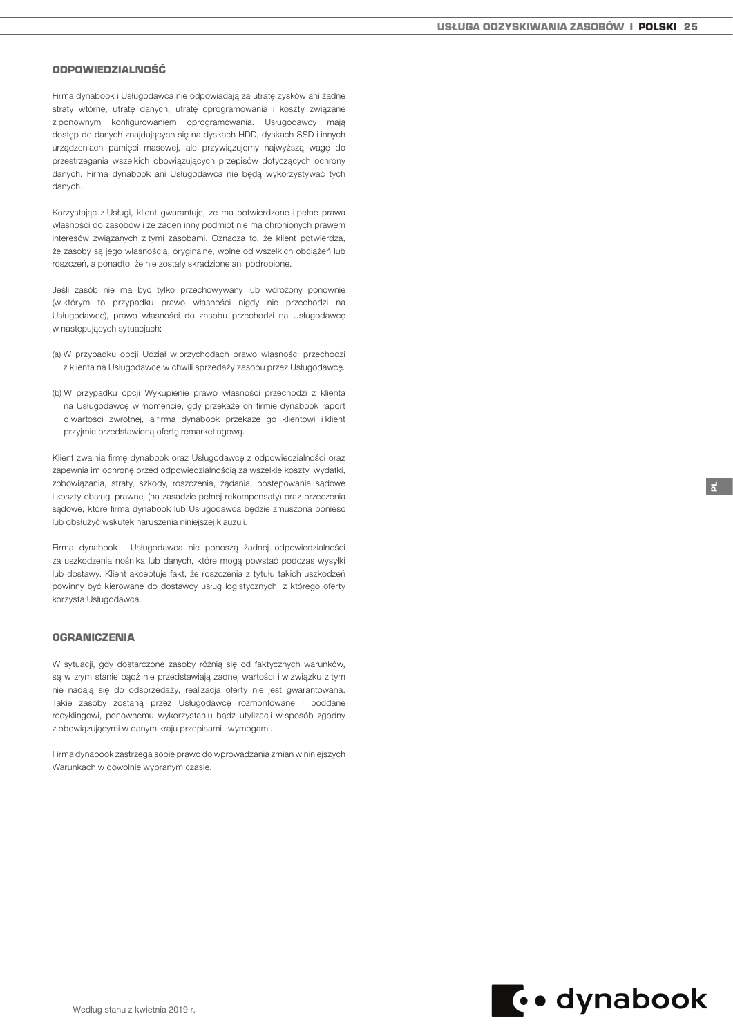# ODPOWIEDZIALNOŚĆ

Firma dynabook i Usługodawca nie odpowiadają za utratę zysków ani żadne straty wtórne, utratę danych, utratę oprogramowania i koszty związane z ponownym konfigurowaniem oprogramowania. Usługodawcy mają dostęp do danych znajdujących się na dyskach HDD, dyskach SSD i innych urządzeniach pamięci masowej, ale przywiązujemy najwyższą wagę do przestrzegania wszelkich obowiązujących przepisów dotyczących ochrony danych. Firma dynabook ani Usługodawca nie będą wykorzystywać tych danych.

Korzystając z Usługi, klient gwarantuje, że ma potwierdzone i pełne prawa własności do zasobów i że żaden inny podmiot nie ma chronionych prawem interesów związanych z tymi zasobami. Oznacza to, że klient potwierdza, że zasoby są jego własnością, oryginalne, wolne od wszelkich obciążeń lub roszczeń, a ponadto, że nie zostały skradzione ani podrobione.

Jeśli zasób nie ma być tylko przechowywany lub wdrożony ponownie (w którym to przypadku prawo własności nigdy nie przechodzi na Usługodawcę), prawo własności do zasobu przechodzi na Usługodawcę w następujących sytuacjach:

- (a) W przypadku opcji Udział w przychodach prawo własności przechodzi z klienta na Usługodawcę w chwili sprzedaży zasobu przez Usługodawcę.
- (b) W przypadku opcji Wykupienie prawo własności przechodzi z klienta na Usługodawcę w momencie, gdy przekaże on firmie dynabook raport o wartości zwrotnej, a firma dynabook przekaże go klientowi i klient przyjmie przedstawioną ofertę remarketingową.

Klient zwalnia firmę dynabook oraz Usługodawcę z odpowiedzialności oraz zapewnia im ochronę przed odpowiedzialnością za wszelkie koszty, wydatki, zobowiązania, straty, szkody, roszczenia, żądania, postępowania sądowe i koszty obsługi prawnej (na zasadzie pełnej rekompensaty) oraz orzeczenia sądowe, które firma dynabook lub Usługodawca będzie zmuszona ponieść lub obsłużyć wskutek naruszenia niniejszej klauzuli.

Firma dynabook i Usługodawca nie ponoszą żadnej odpowiedzialności za uszkodzenia nośnika lub danych, które mogą powstać podczas wysyłki lub dostawy. Klient akceptuje fakt, że roszczenia z tytułu takich uszkodzeń powinny być kierowane do dostawcy usług logistycznych, z którego oferty korzysta Usługodawca.

#### **OGRANICZENIA**

W sytuacji, gdy dostarczone zasoby różnią się od faktycznych warunków, są w złym stanie bądź nie przedstawiają żadnej wartości i w związku z tym nie nadają się do odsprzedaży, realizacja oferty nie jest gwarantowana. Takie zasoby zostaną przez Usługodawcę rozmontowane i poddane recyklingowi, ponownemu wykorzystaniu bądź utylizacji w sposób zgodny z obowiązującymi w danym kraju przepisami i wymogami.

Firma dynabook zastrzega sobie prawo do wprowadzania zmian w niniejszych Warunkach w dowolnie wybranym czasie.



PL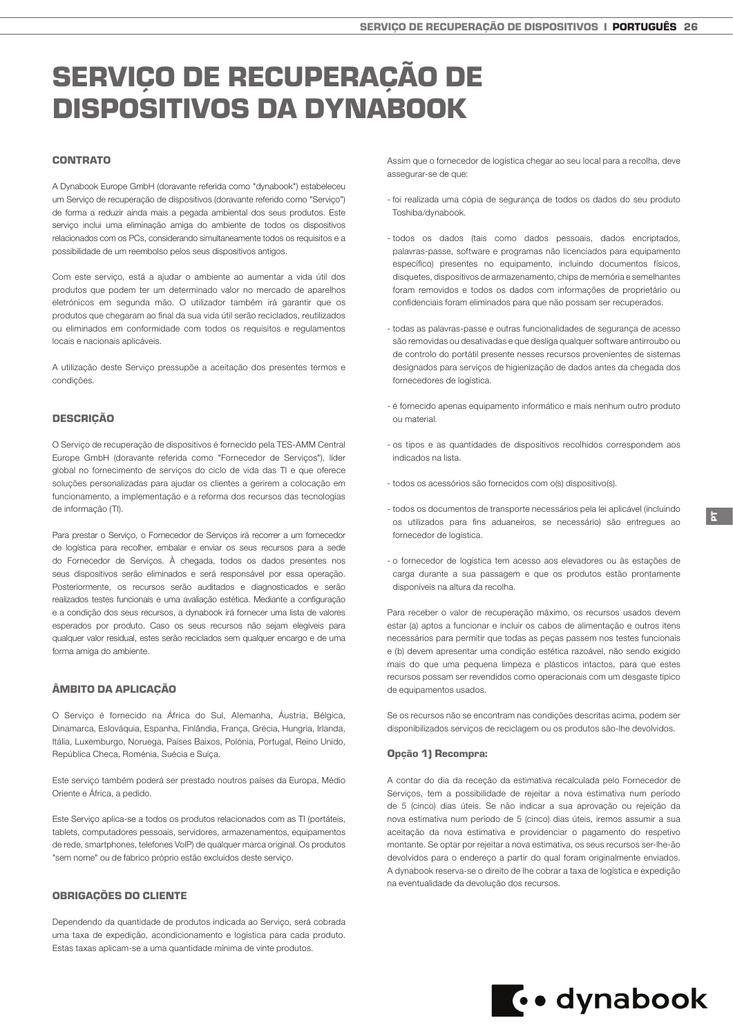# <span id="page-25-0"></span>SERVIÇO DE RECUPERAÇÃO DE DISPOSITIVOS DA DYNABOOK

# CONTRATO

A Dynabook Europe GmbH (doravante referida como "dynabook") estabeleceu um Serviço de recuperação de dispositivos (doravante referido como "Serviço") de forma a reduzir ainda mais a pegada ambiental dos seus produtos. Este serviço inclui uma eliminação amiga do ambiente de todos os dispositivos relacionados com os PCs, considerando simultaneamente todos os requisitos e a possibilidade de um reembolso pelos seus dispositivos antigos.

Com este serviço, está a ajudar o ambiente ao aumentar a vida útil dos produtos que podem ter um determinado valor no mercado de aparelhos eletrónicos em segunda mão. O utilizador também irá garantir que os produtos que chegaram ao final da sua vida útil serão reciclados, reutilizados ou eliminados em conformidade com todos os requisitos e regulamentos locais e nacionais aplicáveis.

A utilização deste Serviço pressupõe a aceitação dos presentes termos e condições.

### **DESCRIÇÃO**

O Serviço de recuperação de dispositivos é fornecido pela TES-AMM Central Europe GmbH (doravante referida como "Fornecedor de Serviços"), líder global no fornecimento de serviços do ciclo de vida das TI e que oferece soluções personalizadas para ajudar os clientes a gerirem a colocação em funcionamento, a implementação e a reforma dos recursos das tecnologias de informação (TI).

Para prestar o Serviço, o Fornecedor de Serviços irá recorrer a um fornecedor de logística para recolher, embalar e enviar os seus recursos para a sede do Fornecedor de Serviços. À chegada, todos os dados presentes nos seus dispositivos serão eliminados e será responsável por essa operação. Posteriormente, os recursos serão auditados e diagnosticados e serão realizados testes funcionais e uma avaliação estética. Mediante a configuração e a condição dos seus recursos, a dynabook irá fornecer uma lista de valores esperados por produto. Caso os seus recursos não sejam elegíveis para qualquer valor residual, estes serão reciclados sem qualquer encargo e de uma forma amiga do ambiente.

## ÂMBITO DA APLICAÇÃO

O Serviço é fornecido na África do Sul, Alemanha, Áustria, Bélgica, Dinamarca, Eslováquia, Espanha, Finlândia, França, Grécia, Hungria, Irlanda, Itália, Luxemburgo, Noruega, Países Baixos, Polónia, Portugal, Reino Unido, República Checa, Roménia, Suécia e Suíça.

Este serviço também poderá ser prestado noutros países da Europa, Médio Oriente e África, a pedido.

Este Serviço aplica-se a todos os produtos relacionados com as TI (portáteis, tablets, computadores pessoais, servidores, armazenamentos, equipamentos de rede, smartphones, telefones VoIP) de qualquer marca original. Os produtos "sem nome" ou de fabrico próprio estão excluídos deste serviço.

# OBRIGAÇÕES DO CLIENTE

Dependendo da quantidade de produtos indicada ao Serviço, será cobrada uma taxa de expedição, acondicionamento e logística para cada produto. Estas taxas aplicam-se a uma quantidade mínima de vinte produtos.

Assim que o fornecedor de logística chegar ao seu local para a recolha, deve assegurar-se de que:

- foi realizada uma cópia de segurança de todos os dados do seu produto Toshiba/dynabook.
- todos os dados (tais como dados pessoais, dados encriptados, palavras-passe, software e programas não licenciados para equipamento específico) presentes no equipamento, incluindo documentos físicos, disquetes, dispositivos de armazenamento, chips de memória e semelhantes foram removidos e todos os dados com informações de proprietário ou confidenciais foram eliminados para que não possam ser recuperados.
- todas as palavras-passe e outras funcionalidades de segurança de acesso são removidas ou desativadas e que desliga qualquer software antirroubo ou de controlo do portátil presente nesses recursos provenientes de sistemas designados para serviços de higienização de dados antes da chegada dos fornecedores de logística.
- é fornecido apenas equipamento informático e mais nenhum outro produto ou material.
- os tipos e as quantidades de dispositivos recolhidos correspondem aos indicados na lista.
- todos os acessórios são fornecidos com o(s) dispositivo(s).
- todos os documentos de transporte necessários pela lei aplicável (incluindo os utilizados para fins aduaneiros, se necessário) são entregues ao fornecedor de logística.
- o fornecedor de logística tem acesso aos elevadores ou às estações de carga durante a sua passagem e que os produtos estão prontamente disponíveis na altura da recolha.

Para receber o valor de recuperação máximo, os recursos usados devem estar (a) aptos a funcionar e incluir os cabos de alimentação e outros itens necessários para permitir que todas as peças passem nos testes funcionais e (b) devem apresentar uma condição estética razoável, não sendo exigido mais do que uma pequena limpeza e plásticos intactos, para que estes recursos possam ser revendidos como operacionais com um desgaste típico de equipamentos usados.

Se os recursos não se encontram nas condições descritas acima, podem ser disponibilizados serviços de reciclagem ou os produtos são-lhe devolvidos.

# Opção 1) Recompra:

A contar do dia da receção da estimativa recalculada pelo Fornecedor de Serviços, tem a possibilidade de rejeitar a nova estimativa num período de 5 (cinco) dias úteis. Se não indicar a sua aprovação ou rejeição da nova estimativa num período de 5 (cinco) dias úteis, iremos assumir a sua aceitação da nova estimativa e providenciar o pagamento do respetivo montante. Se optar por rejeitar a nova estimativa, os seus recursos ser-lhe-ão devolvidos para o endereço a partir do qual foram originalmente enviados. A dynabook reserva-se o direito de lhe cobrar a taxa de logística e expedição na eventualidade da devolução dos recursos.

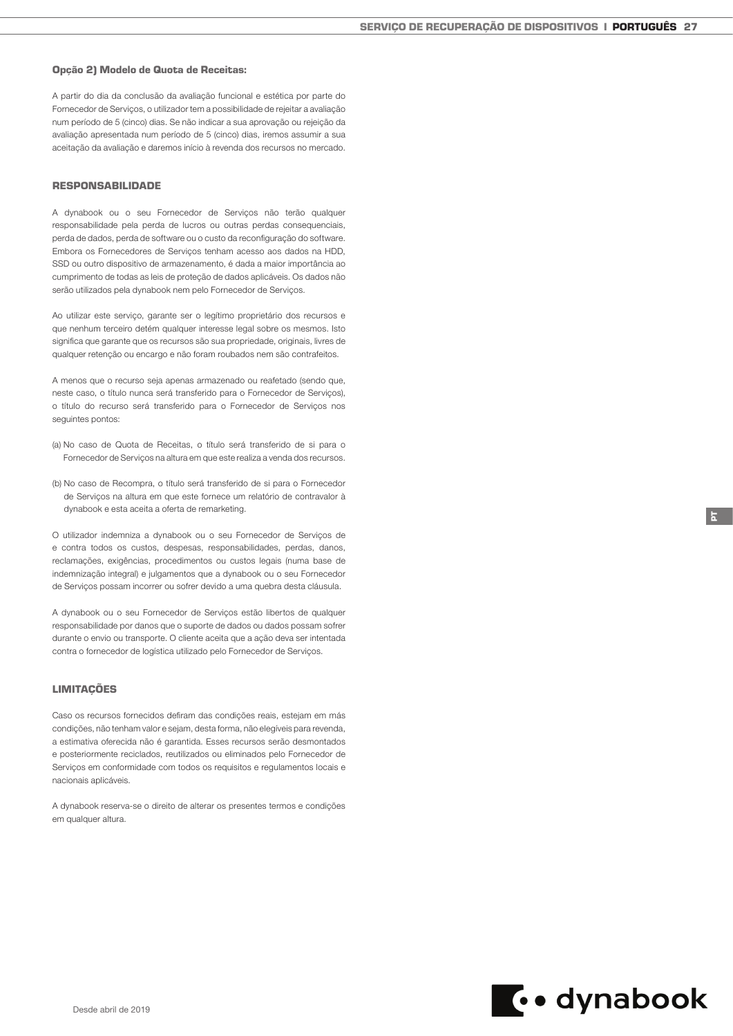### Opção 2) Modelo de Quota de Receitas:

A partir do dia da conclusão da avaliação funcional e estética por parte do Fornecedor de Serviços, o utilizador tem a possibilidade de rejeitar a avaliação num período de 5 (cinco) dias. Se não indicar a sua aprovação ou rejeição da avaliação apresentada num período de 5 (cinco) dias, iremos assumir a sua aceitação da avaliação e daremos início à revenda dos recursos no mercado.

#### RESPONSABILIDADE

A dynabook ou o seu Fornecedor de Serviços não terão qualquer responsabilidade pela perda de lucros ou outras perdas consequenciais, perda de dados, perda de software ou o custo da reconfiguração do software. Embora os Fornecedores de Serviços tenham acesso aos dados na HDD, SSD ou outro dispositivo de armazenamento, é dada a maior importância ao cumprimento de todas as leis de proteção de dados aplicáveis. Os dados não serão utilizados pela dynabook nem pelo Fornecedor de Serviços.

Ao utilizar este serviço, garante ser o legítimo proprietário dos recursos e que nenhum terceiro detém qualquer interesse legal sobre os mesmos. Isto significa que garante que os recursos são sua propriedade, originais, livres de qualquer retenção ou encargo e não foram roubados nem são contrafeitos.

A menos que o recurso seja apenas armazenado ou reafetado (sendo que, neste caso, o título nunca será transferido para o Fornecedor de Serviços), o título do recurso será transferido para o Fornecedor de Serviços nos seguintes pontos:

- (a) No caso de Quota de Receitas, o título será transferido de si para o Fornecedor de Serviços na altura em que este realiza a venda dos recursos.
- (b) No caso de Recompra, o título será transferido de si para o Fornecedor de Serviços na altura em que este fornece um relatório de contravalor à dynabook e esta aceita a oferta de remarketing.

O utilizador indemniza a dynabook ou o seu Fornecedor de Serviços de e contra todos os custos, despesas, responsabilidades, perdas, danos, reclamações, exigências, procedimentos ou custos legais (numa base de indemnização integral) e julgamentos que a dynabook ou o seu Fornecedor de Serviços possam incorrer ou sofrer devido a uma quebra desta cláusula.

A dynabook ou o seu Fornecedor de Serviços estão libertos de qualquer responsabilidade por danos que o suporte de dados ou dados possam sofrer durante o envio ou transporte. O cliente aceita que a ação deva ser intentada contra o fornecedor de logística utilizado pelo Fornecedor de Serviços.

#### LIMITAÇÕES

Caso os recursos fornecidos defiram das condições reais, estejam em más condições, não tenham valor e sejam, desta forma, não elegíveis para revenda, a estimativa oferecida não é garantida. Esses recursos serão desmontados e posteriormente reciclados, reutilizados ou eliminados pelo Fornecedor de Serviços em conformidade com todos os requisitos e regulamentos locais e nacionais aplicáveis.

A dynabook reserva-se o direito de alterar os presentes termos e condições em qualquer altura.



PT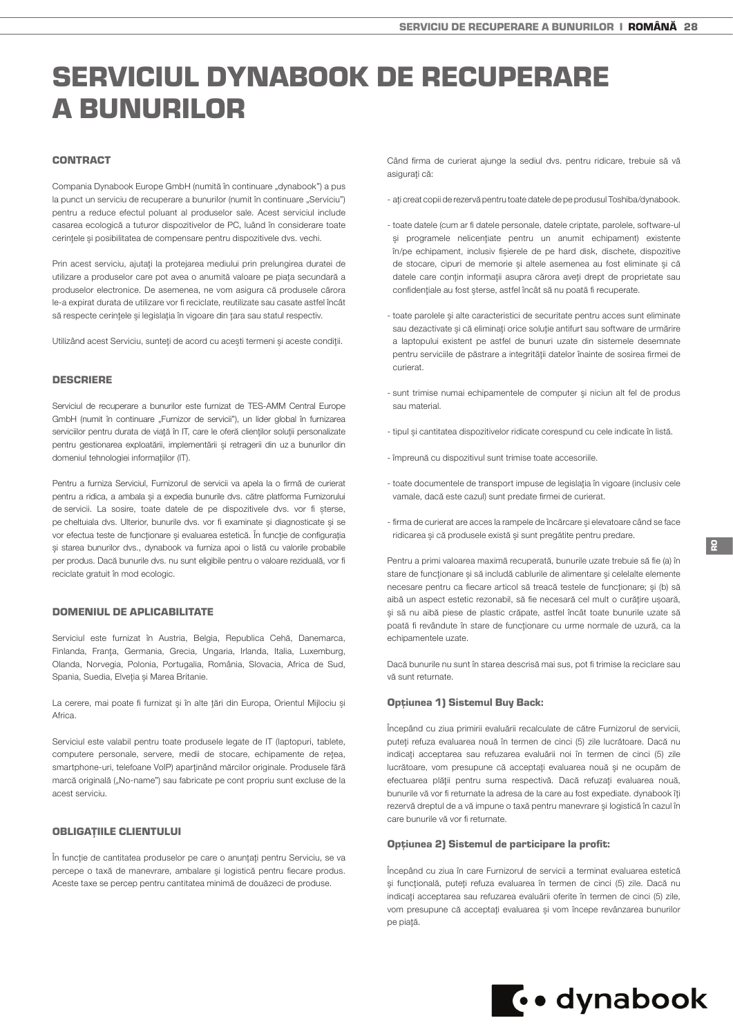# <span id="page-27-0"></span>SERVICIUL DYNABOOK DE RECUPERARE A BUNURILOR

# CONTRACT

Compania Dynabook Europe GmbH (numită în continuare "dynabook") a pus la punct un serviciu de recuperare a bunurilor (numit în continuare "Serviciu") pentru a reduce efectul poluant al produselor sale. Acest serviciul include casarea ecologică a tuturor dispozitivelor de PC, luând în considerare toate cerinţele şi posibilitatea de compensare pentru dispozitivele dvs. vechi.

Prin acest serviciu, ajutaţi la protejarea mediului prin prelungirea duratei de utilizare a produselor care pot avea o anumită valoare pe piata secundară a produselor electronice. De asemenea, ne vom asigura că produsele cărora le-a expirat durata de utilizare vor fi reciclate, reutilizate sau casate astfel încât să respecte cerinţele şi legislaţia în vigoare din ţara sau statul respectiv.

Utilizând acest Serviciu, sunteţi de acord cu aceşti termeni şi aceste condiţii.

#### DESCRIERE

Serviciul de recuperare a bunurilor este furnizat de TES-AMM Central Europe GmbH (numit în continuare "Furnizor de servicii"), un lider global în furnizarea serviciilor pentru durata de viață în IT, care le oferă clienților soluții personalizate pentru gestionarea exploatării, implementării şi retragerii din uz a bunurilor din domeniul tehnologiei informatiilor (IT).

Pentru a furniza Serviciul, Furnizorul de servicii va apela la o firmă de curierat pentru a ridica, a ambala şi a expedia bunurile dvs. către platforma Furnizorului de servicii. La sosire, toate datele de pe dispozitivele dvs. vor fi șterse, pe cheltuiala dvs. Ulterior, bunurile dvs. vor fi examinate si diagnosticate si se vor efectua teste de functionare și evaluarea estetică. În funcție de configurația şi starea bunurilor dvs., dynabook va furniza apoi o listă cu valorile probabile per produs. Dacă bunurile dvs. nu sunt eligibile pentru o valoare reziduală, vor fi reciclate gratuit în mod ecologic.

# DOMENIUL DE APLICABILITATE

Serviciul este furnizat în Austria, Belgia, Republica Cehă, Danemarca, Finlanda, Franta, Germania, Grecia, Ungaria, Irlanda, Italia, Luxemburg, Olanda, Norvegia, Polonia, Portugalia, România, Slovacia, Africa de Sud, Spania, Suedia, Elveţia şi Marea Britanie.

La cerere, mai poate fi furnizat şi în alte ţări din Europa, Orientul Mijlociu şi Africa.

Serviciul este valabil pentru toate produsele legate de IT (laptopuri, tablete, computere personale, servere, medii de stocare, echipamente de reţea, smartphone-uri, telefoane VoIP) aparținând mărcilor originale. Produsele fără marcă originală ("No-name") sau fabricate pe cont propriu sunt excluse de la acest serviciu.

# **OBLIGATIILE CLIENTULUI**

În functie de cantitatea produselor pe care o anunțați pentru Serviciu, se va percepe o taxă de manevrare, ambalare şi logistică pentru fiecare produs. Aceste taxe se percep pentru cantitatea minimă de douăzeci de produse.

Când firma de curierat ajunge la sediul dvs. pentru ridicare, trebuie să vă asigurati că:

- aţi creat copii de rezervă pentru toate datele de pe produsul Toshiba/dynabook.
- toate datele (cum ar fi datele personale, datele criptate, parolele, software-ul şi programele nelicenţiate pentru un anumit echipament) existente în/pe echipament, inclusiv fişierele de pe hard disk, dischete, dispozitive de stocare, cipuri de memorie şi altele asemenea au fost eliminate şi că datele care contin informatii asupra cărora aveti drept de proprietate sau confidenţiale au fost şterse, astfel încât să nu poată fi recuperate.
- toate parolele şi alte caracteristici de securitate pentru acces sunt eliminate sau dezactivate și că eliminați orice soluție antifurt sau software de urmărire a laptopului existent pe astfel de bunuri uzate din sistemele desemnate pentru serviciile de păstrare a integrităţii datelor înainte de sosirea firmei de curierat.
- sunt trimise numai echipamentele de computer şi niciun alt fel de produs sau material.
- tipul şi cantitatea dispozitivelor ridicate corespund cu cele indicate în listă.
- împreună cu dispozitivul sunt trimise toate accesoriile.
- toate documentele de transport impuse de legislaţia în vigoare (inclusiv cele vamale, dacă este cazul) sunt predate firmei de curierat.
- firma de curierat are acces la rampele de încărcare şi elevatoare când se face ridicarea şi că produsele există şi sunt pregătite pentru predare.

Pentru a primi valoarea maximă recuperată, bunurile uzate trebuie să fie (a) în stare de funcţionare şi să includă cablurile de alimentare şi celelalte elemente necesare pentru ca fiecare articol să treacă testele de funcţionare; şi (b) să aibă un aspect estetic rezonabil, să fie necesară cel mult o curățire usoară, şi să nu aibă piese de plastic crăpate, astfel încât toate bunurile uzate să poată fi revândute în stare de funcţionare cu urme normale de uzură, ca la echipamentele uzate.

Dacă bunurile nu sunt în starea descrisă mai sus, pot fi trimise la reciclare sau vă sunt returnate.

#### Optiunea 1) Sistemul Buy Back:

Începând cu ziua primirii evaluării recalculate de către Furnizorul de servicii, puteţi refuza evaluarea nouă în termen de cinci (5) zile lucrătoare. Dacă nu indicati acceptarea sau refuzarea evaluării noi în termen de cinci (5) zile lucrătoare, vom presupune că acceptați evaluarea nouă și ne ocupăm de efectuarea plăţii pentru suma respectivă. Dacă refuzaţi evaluarea nouă, bunurile vă vor fi returnate la adresa de la care au fost expediate. dynabook îţi rezervă dreptul de a vă impune o taxă pentru manevrare şi logistică în cazul în care bunurile vă vor fi returnate.

#### Optiunea 2) Sistemul de participare la profit:

Începând cu ziua în care Furnizorul de servicii a terminat evaluarea estetică si funcțională, puteți refuza evaluarea în termen de cinci (5) zile. Dacă nu indicaţi acceptarea sau refuzarea evaluării oferite în termen de cinci (5) zile, vom presupune că acceptaţi evaluarea şi vom începe revânzarea bunurilor pe piaţă.

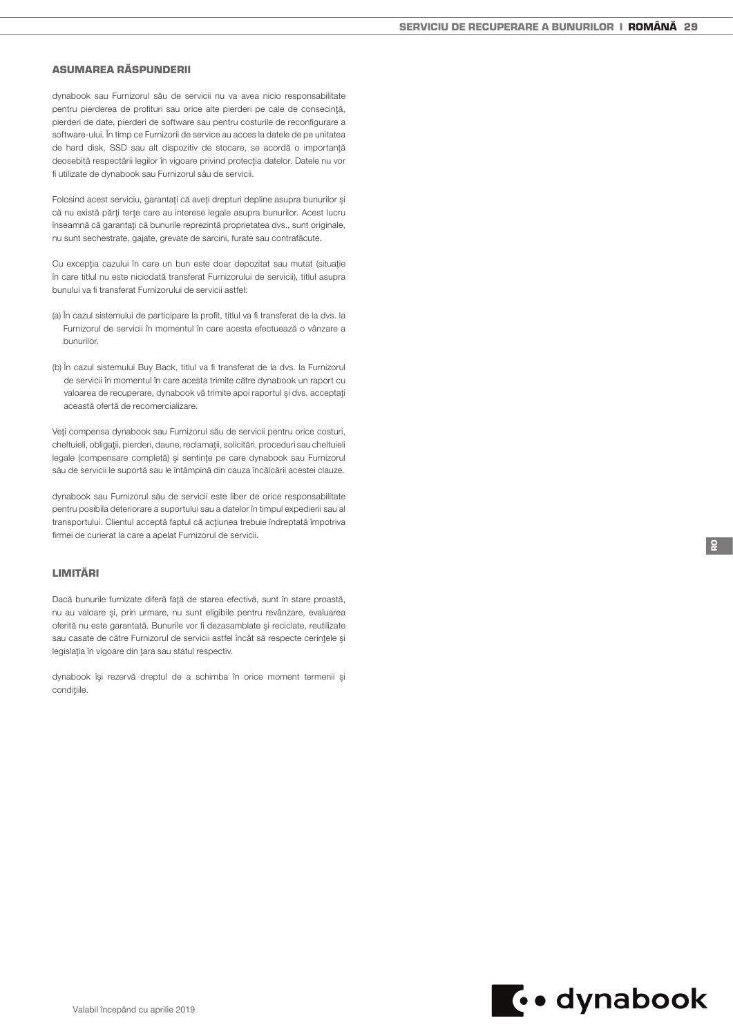# ASUMAREA RĂSPUNDERII

dynabook sau Furnizorul său de servicii nu va avea nicio responsabilitate pentru pierderea de profituri sau orice alte pierderi pe cale de consecinţă, pierderi de date, pierderi de software sau pentru costurile de reconfigurare a software-ului. În timp ce Furnizorii de service au acces la datele de pe unitatea de hard disk, SSD sau alt dispozitiv de stocare, se acordă o importanţă deosebită respectării legilor în vigoare privind protecţia datelor. Datele nu vor fi utilizate de dynabook sau Furnizorul său de servicii.

Folosind acest serviciu, garantaţi că aveţi drepturi depline asupra bunurilor şi că nu există părţi terţe care au interese legale asupra bunurilor. Acest lucru înseamnă că garantaţi că bunurile reprezintă proprietatea dvs., sunt originale, nu sunt sechestrate, gajate, grevate de sarcini, furate sau contrafăcute.

Cu excepţia cazului în care un bun este doar depozitat sau mutat (situaţie în care titlul nu este niciodată transferat Furnizorului de servicii), titlul asupra bunului va fi transferat Furnizorului de servicii astfel:

- (a) În cazul sistemului de participare la profit, titlul va fi transferat de la dvs. la Furnizorul de servicii în momentul în care acesta efectuează o vânzare a bunurilor.
- (b) În cazul sistemului Buy Back, titlul va fi transferat de la dvs. la Furnizorul de servicii în momentul în care acesta trimite către dynabook un raport cu valoarea de recuperare, dynabook vă trimite apoi raportul şi dvs. acceptaţi această ofertă de recomercializare.

Veţi compensa dynabook sau Furnizorul său de servicii pentru orice costuri, cheltuieli, obligaţii, pierderi, daune, reclamaţii, solicitări, proceduri sau cheltuieli legale (compensare completă) şi sentinţe pe care dynabook sau Furnizorul său de servicii le suportă sau le întâmpină din cauza încălcării acestei clauze.

dynabook sau Furnizorul său de servicii este liber de orice responsabilitate pentru posibila deteriorare a suportului sau a datelor în timpul expedierii sau al transportului. Clientul acceptă faptul că acțiunea trebuie îndreptată împotriva firmei de curierat la care a apelat Furnizorul de servicii.

## LIMITĂRI

Dacă bunurile furnizate diferă față de starea efectivă, sunt în stare proastă, nu au valoare şi, prin urmare, nu sunt eligibile pentru revânzare, evaluarea oferită nu este garantată. Bunurile vor fi dezasamblate şi reciclate, reutilizate sau casate de către Furnizorul de servicii astfel încât să respecte cerinţele şi legislatia în vigoare din tara sau statul respectiv.

dynabook îşi rezervă dreptul de a schimba în orice moment termenii şi condițiile.



RO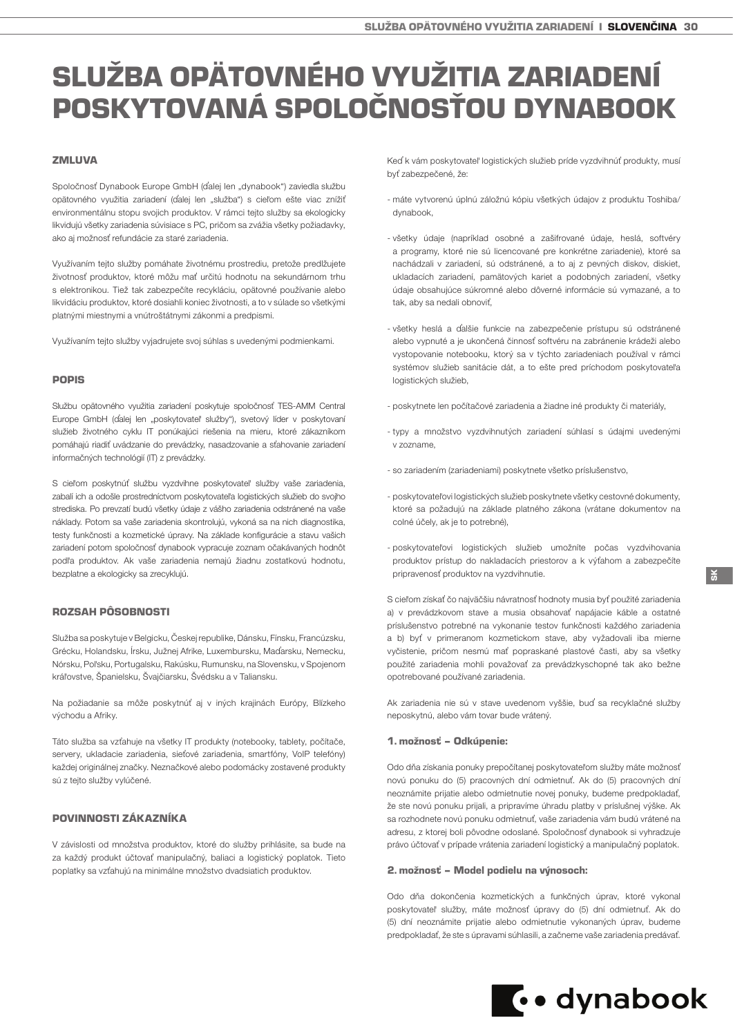# <span id="page-29-0"></span>SLUŽBA OPÄTOVNÉHO VYUŽITIA ZARIADENÍ POSKYTOVANÁ SPOLOČNOSŤOU DYNABOOK

# **ZMLUVA**

Spoločnosť Dynabook Europe GmbH (ďalej len "dynabook") zaviedla službu opätovného využitia zariadení (ďalej len "služba") s cieľom ešte viac znížiť environmentálnu stopu svojich produktov. V rámci tejto služby sa ekologicky likvidujú všetky zariadenia súvisiace s PC, pričom sa zvážia všetky požiadavky, ako aj možnosť refundácie za staré zariadenia.

Využívaním tejto služby pomáhate životnému prostrediu, pretože predlžujete životnosť produktov, ktoré môžu mať určitú hodnotu na sekundárnom trhu s elektronikou. Tiež tak zabezpečíte recykláciu, opätovné používanie alebo likvidáciu produktov, ktoré dosiahli koniec životnosti, a to v súlade so všetkými platnými miestnymi a vnútroštátnymi zákonmi a predpismi.

Využívaním tejto služby vyjadrujete svoj súhlas s uvedenými podmienkami.

#### POPIS

Službu opätovného využitia zariadení poskytuje spoločnosť TES-AMM Central Europe GmbH (ďalej len "poskytovateľ služby"), svetový líder v poskytovaní služieb životného cyklu IT ponúkajúci riešenia na mieru, ktoré zákazníkom pomáhajú riadiť uvádzanie do prevádzky, nasadzovanie a sťahovanie zariadení informačných technológií (IT) z prevádzky.

S cieľom poskytnúť službu vyzdvihne poskytovateľ služby vaše zariadenia, zabalí ich a odošle prostredníctvom poskytovateľa logistických služieb do svojho strediska. Po prevzatí budú všetky údaje z vášho zariadenia odstránené na vaše náklady. Potom sa vaše zariadenia skontrolujú, vykoná sa na nich diagnostika, testy funkčnosti a kozmetické úpravy. Na základe konfigurácie a stavu vašich zariadení potom spoločnosť dynabook vypracuje zoznam očakávaných hodnôt podľa produktov. Ak vaše zariadenia nemajú žiadnu zostatkovú hodnotu, bezplatne a ekologicky sa zrecyklujú.

## ROZSAH PÔSOBNOSTI

Služba sa poskytuje v Belgicku, Českej republike, Dánsku, Fínsku, Francúzsku, Grécku, Holandsku, Írsku, Južnej Afrike, Luxembursku, Maďarsku, Nemecku, Nórsku, Poľsku, Portugalsku, Rakúsku, Rumunsku, na Slovensku, v Spojenom kráľovstve, Španielsku, Švajčiarsku, Švédsku a v Taliansku.

Na požiadanie sa môže poskytnúť aj v iných krajinách Európy, Blízkeho východu a Afriky.

Táto služba sa vzťahuje na všetky IT produkty (notebooky, tablety, počítače, servery, ukladacie zariadenia, sieťové zariadenia, smartfóny, VoIP telefóny) každej originálnej značky. Neznačkové alebo podomácky zostavené produkty sú z tejto služby vylúčené.

### POVINNOSTI ZÁKAZNÍKA

V závislosti od množstva produktov, ktoré do služby prihlásite, sa bude na za každý produkt účtovať manipulačný, baliaci a logistický poplatok. Tieto poplatky sa vzťahujú na minimálne množstvo dvadsiatich produktov.

Keď k vám poskytovateľ logistických služieb príde vyzdvihnúť produkty, musí byť zabezpečené, že:

- máte vytvorenú úplnú záložnú kópiu všetkých údajov z produktu Toshiba/ dynabook,
- všetky údaje (napríklad osobné a zašifrované údaje, heslá, softvéry a programy, ktoré nie sú licencované pre konkrétne zariadenie), ktoré sa nachádzali v zariadení, sú odstránené, a to aj z pevných diskov, diskiet, ukladacích zariadení, pamätových kariet a podobných zariadení, všetky údaje obsahujúce súkromné alebo dôverné informácie sú vymazané, a to tak, aby sa nedali obnoviť,
- všetky heslá a ďalšie funkcie na zabezpečenie prístupu sú odstránené alebo vypnuté a je ukončená činnosť softvéru na zabránenie krádeži alebo vystopovanie notebooku, ktorý sa v týchto zariadeniach používal v rámci systémov služieb sanitácie dát, a to ešte pred príchodom poskytovateľa logistických služieb,
- poskytnete len počítačové zariadenia a žiadne iné produkty či materiály,
- typy a množstvo vyzdvihnutých zariadení súhlasí s údajmi uvedenými v zozname,
- so zariadením (zariadeniami) poskytnete všetko príslušenstvo,
- poskytovateľovi logistických služieb poskytnete všetky cestovné dokumenty, ktoré sa požadujú na základe platného zákona (vrátane dokumentov na colné účely, ak je to potrebné),
- poskytovateľovi logistických služieb umožníte počas vyzdvihovania produktov prístup do nakladacích priestorov a k výťahom a zabezpečíte pripravenosť produktov na vyzdvihnutie.

S cieľom získať čo najväčšiu návratnosť hodnoty musia byť použité zariadenia a) v prevádzkovom stave a musia obsahovať napájacie káble a ostatné príslušenstvo potrebné na vykonanie testov funkčnosti každého zariadenia a b) byť v primeranom kozmetickom stave, aby vyžadovali iba mierne vyčistenie, pričom nesmú mať popraskané plastové časti, aby sa všetky použité zariadenia mohli považovať za prevádzkyschopné tak ako bežne opotrebované používané zariadenia.

Ak zariadenia nie sú v stave uvedenom vyššie, buď sa recyklačné služby neposkytnú, alebo vám tovar bude vrátený.

#### 1. možnosť – Odkúpenie:

Odo dňa získania ponuky prepočítanej poskytovateľom služby máte možnosť novú ponuku do (5) pracovných dní odmietnuť. Ak do (5) pracovných dní neoznámite prijatie alebo odmietnutie novej ponuky, budeme predpokladať, že ste novú ponuku prijali, a pripravíme úhradu platby v príslušnej výške. Ak sa rozhodnete novú ponuku odmietnuť, vaše zariadenia vám budú vrátené na adresu, z ktorej boli pôvodne odoslané. Spoločnosť dynabook si vyhradzuje právo účtovať v prípade vrátenia zariadení logistický a manipulačný poplatok.

### 2. možnosť – Model podielu na výnosoch:

Odo dňa dokončenia kozmetických a funkčných úprav, ktoré vykonal poskytovateľ služby, máte možnosť úpravy do (5) dní odmietnuť. Ak do (5) dní neoznámite prijatie alebo odmietnutie vykonaných úprav, budeme predpokladať, že ste s úpravami súhlasili, a začneme vaše zariadenia predávať.

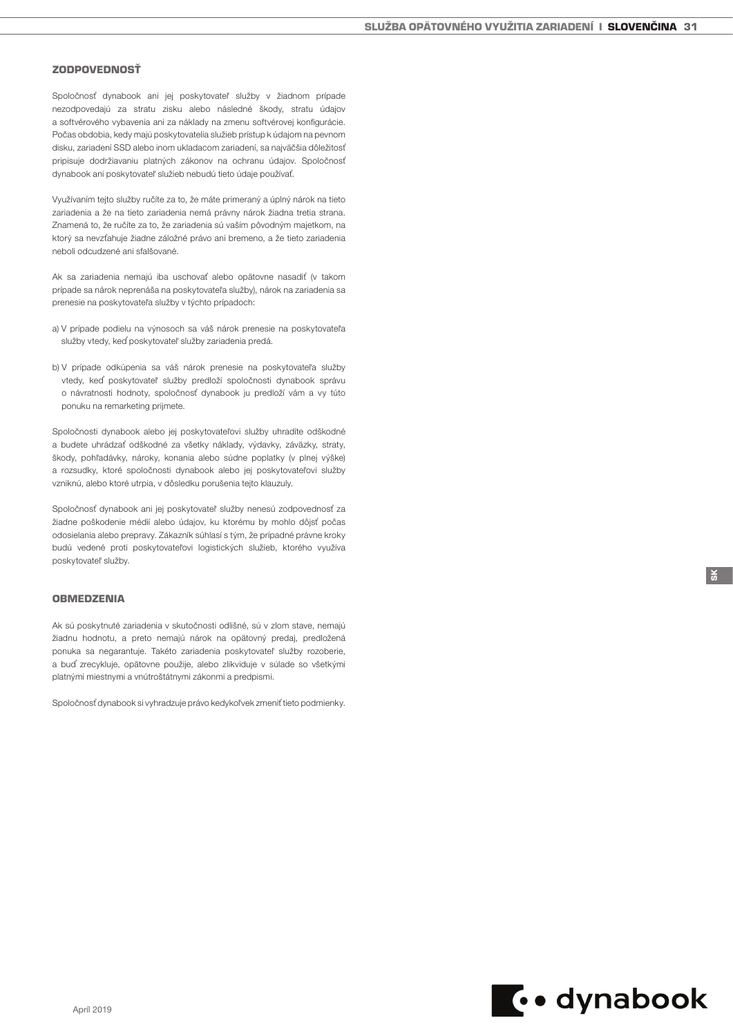#### ZODPOVEDNOSŤ

Spoločnosť dynabook ani jej poskytovateľ služby v žiadnom prípade nezodpovedajú za stratu zisku alebo následné škody, stratu údajov a softvérového vybavenia ani za náklady na zmenu softvérovej konfigurácie. Počas obdobia, kedy majú poskytovatelia služieb prístup k údajom na pevnom disku, zariadení SSD alebo inom ukladacom zariadení, sa najväčšia dôležitosť pripisuje dodržiavaniu platných zákonov na ochranu údajov. Spoločnosť dynabook ani poskytovateľ služieb nebudú tieto údaje používať.

Využívaním tejto služby ručíte za to, že máte primeraný a úplný nárok na tieto zariadenia a že na tieto zariadenia nemá právny nárok žiadna tretia strana. Znamená to, že ručíte za to, že zariadenia sú vaším pôvodným majetkom, na ktorý sa nevzťahuje žiadne záložné právo ani bremeno, a že tieto zariadenia neboli odcudzené ani sfalšované.

Ak sa zariadenia nemajú iba uschovať alebo opätovne nasadiť (v takom prípade sa nárok neprenáša na poskytovateľa služby), nárok na zariadenia sa prenesie na poskytovateľa služby v týchto prípadoch:

- a) V prípade podielu na výnosoch sa váš nárok prenesie na poskytovateľa služby vtedy, keď poskytovateľ služby zariadenia predá.
- b) V prípade odkúpenia sa váš nárok prenesie na poskytovateľa služby vtedy, keď poskytovateľ služby predloží spoločnosti dynabook správu o návratnosti hodnoty, spoločnosť dynabook ju predloží vám a vy túto ponuku na remarketing prijmete.

Spoločnosti dynabook alebo jej poskytovateľovi služby uhradíte odškodné a budete uhrádzať odškodné za všetky náklady, výdavky, záväzky, straty, škody, pohľadávky, nároky, konania alebo súdne poplatky (v plnej výške) a rozsudky, ktoré spoločnosti dynabook alebo jej poskytovateľovi služby vzniknú, alebo ktoré utrpia, v dôsledku porušenia tejto klauzuly.

Spoločnosť dynabook ani jej poskytovateľ služby nenesú zodpovednosť za žiadne poškodenie médií alebo údajov, ku ktorému by mohlo dôjsť počas odosielania alebo prepravy. Zákazník súhlasí s tým, že prípadné právne kroky budú vedené proti poskytovateľovi logistických služieb, ktorého využíva poskytovateľ služby.

# **OBMEDZENIA**

Ak sú poskytnuté zariadenia v skutočnosti odlišné, sú v zlom stave, nemajú žiadnu hodnotu, a preto nemajú nárok na opätovný predaj, predložená ponuka sa negarantuje. Takéto zariadenia poskytovateľ služby rozoberie, a buď zrecykluje, opätovne použije, alebo zlikviduje v súlade so všetkými platnými miestnymi a vnútroštátnymi zákonmi a predpismi.

Spoločnosť dynabook si vyhradzuje právo kedykoľvek zmeniť tieto podmienky.

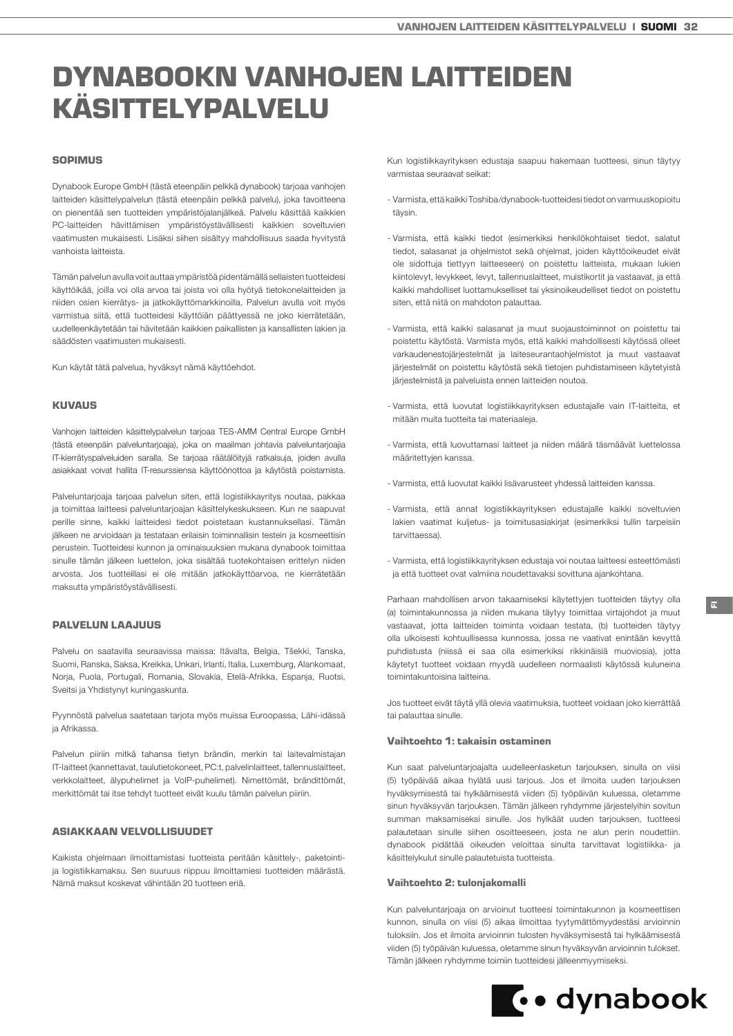# <span id="page-31-0"></span>DYNABOOKN VANHOJEN LAITTEIDEN KÄSITTELYPALVELU

# SOPIMUS

Dynabook Europe GmbH (tästä eteenpäin pelkkä dynabook) tarjoaa vanhojen laitteiden käsittelypalvelun (tästä eteenpäin pelkkä palvelu), joka tavoitteena on pienentää sen tuotteiden ympäristöjalanjälkeä. Palvelu käsittää kaikkien PC-laitteiden hävittämisen ympäristöystävällisesti kaikkien soveltuvien vaatimusten mukaisesti. Lisäksi siihen sisältyy mahdollisuus saada hyvitystä vanhoista laitteista.

Tämän palvelun avulla voit auttaa ympäristöä pidentämällä sellaisten tuotteidesi käyttöikää, joilla voi olla arvoa tai joista voi olla hyötyä tietokonelaitteiden ja niiden osien kierrätys- ja jatkokäyttömarkkinoilla. Palvelun avulla voit myös varmistua siitä, että tuotteidesi käyttöiän päättyessä ne joko kierrätetään, uudelleenkäytetään tai hävitetään kaikkien paikallisten ja kansallisten lakien ja säädösten vaatimusten mukaisesti.

Kun käytät tätä palvelua, hyväksyt nämä käyttöehdot.

#### **KUVAUS**

Vanhojen laitteiden käsittelypalvelun tarjoaa TES-AMM Central Europe GmbH (tästä eteenpäin palveluntarjoaja), joka on maailman johtavia palveluntarjoajia IT-kierrätyspalveluiden saralla. Se tarjoaa räätälöityjä ratkaisuja, joiden avulla asiakkaat voivat hallita IT-resurssiensa käyttöönottoa ja käytöstä poistamista.

Palveluntarjoaja tarjoaa palvelun siten, että logistiikkayritys noutaa, pakkaa ja toimittaa laitteesi palveluntarjoajan käsittelykeskukseen. Kun ne saapuvat perille sinne, kaikki laitteidesi tiedot poistetaan kustannuksellasi. Tämän jälkeen ne arvioidaan ja testataan erilaisin toiminnallisin testein ja kosmeettisin perustein. Tuotteidesi kunnon ja ominaisuuksien mukana dynabook toimittaa sinulle tämän jälkeen luettelon, joka sisältää tuotekohtaisen erittelyn niiden arvosta. Jos tuotteillasi ei ole mitään jatkokäyttöarvoa, ne kierrätetään maksutta ympäristöystävällisesti.

# PALVELUN LAAJUUS

Palvelu on saatavilla seuraavissa maissa: Itävalta, Belgia, Tšekki, Tanska, Suomi, Ranska, Saksa, Kreikka, Unkari, Irlanti, Italia, Luxemburg, Alankomaat, Norja, Puola, Portugali, Romania, Slovakia, Etelä-Afrikka, Espanja, Ruotsi, Sveitsi ja Yhdistynyt kuningaskunta.

Pyynnöstä palvelua saatetaan tarjota myös muissa Euroopassa, Lähi-idässä ja Afrikassa.

Palvelun piiriin mitkä tahansa tietyn brändin, merkin tai laitevalmistajan IT-laitteet (kannettavat, taulutietokoneet, PC:t, palvelinlaitteet, tallennuslaitteet, verkkolaitteet, älypuhelimet ja VoIP-puhelimet). Nimettömät, brändittömät, merkittömät tai itse tehdyt tuotteet eivät kuulu tämän palvelun piiriin.

## ASIAKKAAN VELVOLLISUUDET

Kaikista ohjelmaan ilmoittamistasi tuotteista peritään käsittely-, paketointija logistiikkamaksu. Sen suuruus riippuu ilmoittamiesi tuotteiden määrästä. Nämä maksut koskevat vähintään 20 tuotteen eriä.

Kun logistiikkayrityksen edustaja saapuu hakemaan tuotteesi, sinun täytyy varmistaa seuraavat seikat:

- Varmista, että kaikki Toshiba/dynabook-tuotteidesi tiedot on varmuuskopioitu täysin.
- Varmista, että kaikki tiedot (esimerkiksi henkilökohtaiset tiedot, salatut tiedot, salasanat ja ohjelmistot sekä ohjelmat, joiden käyttöoikeudet eivät ole sidottuja tiettyyn laitteeseen) on poistettu laitteista, mukaan lukien kiintolevyt, levykkeet, levyt, tallennuslaitteet, muistikortit ja vastaavat, ja että kaikki mahdolliset luottamukselliset tai yksinoikeudelliset tiedot on poistettu siten, että niitä on mahdoton palauttaa.
- Varmista, että kaikki salasanat ja muut suojaustoiminnot on poistettu tai poistettu käytöstä. Varmista myös, että kaikki mahdollisesti käytössä olleet varkaudenestojärjestelmät ja laiteseurantaohjelmistot ja muut vastaavat järjestelmät on poistettu käytöstä sekä tietojen puhdistamiseen käytetyistä järjestelmistä ja palveluista ennen laitteiden noutoa.
- Varmista, että luovutat logistiikkayrityksen edustajalle vain IT-laitteita, et mitään muita tuotteita tai materiaaleja.
- Varmista, että luovuttamasi laitteet ja niiden määrä täsmäävät luettelossa määritettyjen kanssa.
- Varmista, että luovutat kaikki lisävarusteet yhdessä laitteiden kanssa.
- Varmista, että annat logistiikkayrityksen edustajalle kaikki soveltuvien lakien vaatimat kuljetus- ja toimitusasiakirjat (esimerkiksi tullin tarpeisiin tarvittaessa).
- Varmista, että logistiikkayrityksen edustaja voi noutaa laitteesi esteettömästi ja että tuotteet ovat valmiina noudettavaksi sovittuna ajankohtana.

Parhaan mahdollisen arvon takaamiseksi käytettyjen tuotteiden täytyy olla (a) toimintakunnossa ja niiden mukana täytyy toimittaa virtajohdot ja muut vastaavat, jotta laitteiden toiminta voidaan testata, (b) tuotteiden täytyy olla ulkoisesti kohtuullisessa kunnossa, jossa ne vaativat enintään kevyttä puhdistusta (niissä ei saa olla esimerkiksi rikkinäisiä muoviosia), jotta käytetyt tuotteet voidaan myydä uudelleen normaalisti käytössä kuluneina toimintakuntoisina laitteina.

Jos tuotteet eivät täytä yllä olevia vaatimuksia, tuotteet voidaan joko kierrättää tai palauttaa sinulle.

#### Vaihtoehto 1: takaisin ostaminen

Kun saat palveluntarjoajalta uudelleenlasketun tarjouksen, sinulla on viisi (5) työpäivää aikaa hylätä uusi tarjous. Jos et ilmoita uuden tarjouksen hyväksymisestä tai hylkäämisestä viiden (5) työpäivän kuluessa, oletamme sinun hyväksyvän tarjouksen. Tämän jälkeen ryhdymme järjestelyihin sovitun summan maksamiseksi sinulle. Jos hylkäät uuden tarjouksen, tuotteesi palautetaan sinulle siihen osoitteeseen, josta ne alun perin noudettiin. dynabook pidättää oikeuden veloittaa sinulta tarvittavat logistiikka- ja käsittelykulut sinulle palautetuista tuotteista.

#### Vaihtoehto 2: tulonjakomalli

Kun palveluntarjoaja on arvioinut tuotteesi toimintakunnon ja kosmeettisen kunnon, sinulla on viisi (5) aikaa ilmoittaa tyytymättömyydestäsi arvioinnin tuloksiin. Jos et ilmoita arvioinnin tulosten hyväksymisestä tai hylkäämisestä viiden (5) työpäivän kuluessa, oletamme sinun hyväksyvän arvioinnin tulokset. Tämän jälkeen ryhdymme toimiin tuotteidesi jälleenmyymiseksi.

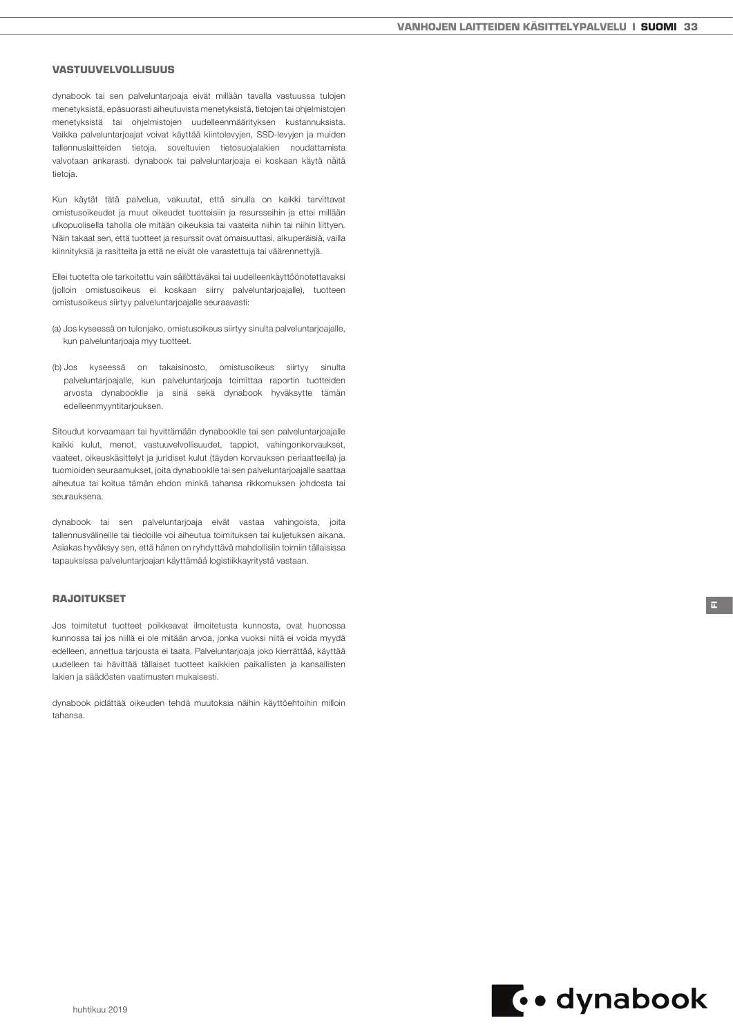## VASTUUVELVOLLISUUS

dynabook tai sen palveluntarjoaja eivät millään tavalla vastuussa tulojen menetyksistä, epäsuorasti aiheutuvista menetyksistä, tietojen tai ohjelmistojen menetyksistä tai ohjelmistojen uudelleenmäärityksen kustannuksista. Vaikka palveluntarjoajat voivat käyttää kiintolevyjen, SSD-levyjen ja muiden tallennuslaitteiden tietoja, soveltuvien tietosuojalakien noudattamista valvotaan ankarasti. dynabook tai palveluntarjoaja ei koskaan käytä näitä tietoja.

Kun käytät tätä palvelua, vakuutat, että sinulla on kaikki tarvittavat omistusoikeudet ja muut oikeudet tuotteisiin ja resursseihin ja ettei millään ulkopuolisella taholla ole mitään oikeuksia tai vaateita niihin tai niihin liittyen. Näin takaat sen, että tuotteet ja resurssit ovat omaisuuttasi, alkuperäisiä, vailla kiinnityksiä ja rasitteita ja että ne eivät ole varastettuja tai väärennettyjä.

Ellei tuotetta ole tarkoitettu vain säilöttäväksi tai uudelleenkäyttöönotettavaksi (jolloin omistusoikeus ei koskaan siirry palveluntarjoajalle), tuotteen omistusoikeus siirtyy palveluntarjoajalle seuraavasti:

- (a) Jos kyseessä on tulonjako, omistusoikeus siirtyy sinulta palveluntarjoajalle, kun palveluntarjoaja myy tuotteet.
- (b) Jos kyseessä on takaisinosto, omistusoikeus siirtyy sinulta palveluntarjoajalle, kun palveluntarjoaja toimittaa raportin tuotteiden arvosta dynabooklle ja sinä sekä dynabook hyväksytte tämän edelleenmyyntitarjouksen.

Sitoudut korvaamaan tai hyvittämään dynabooklle tai sen palveluntarjoajalle kaikki kulut, menot, vastuuvelvollisuudet, tappiot, vahingonkorvaukset, vaateet, oikeuskäsittelyt ja juridiset kulut (täyden korvauksen periaatteella) ja tuomioiden seuraamukset, joita dynabooklle tai sen palveluntarjoajalle saattaa aiheutua tai koitua tämän ehdon minkä tahansa rikkomuksen johdosta tai seurauksena.

dynabook tai sen palveluntarjoaja eivät vastaa vahingoista, joita tallennusvälineille tai tiedoille voi aiheutua toimituksen tai kuljetuksen aikana. Asiakas hyväksyy sen, että hänen on ryhdyttävä mahdollisiin toimiin tällaisissa tapauksissa palveluntarjoajan käyttämää logistiikkayritystä vastaan.

# RAJOITUKSET

Jos toimitetut tuotteet poikkeavat ilmoitetusta kunnosta, ovat huonossa kunnossa tai jos niillä ei ole mitään arvoa, jonka vuoksi niitä ei voida myydä edelleen, annettua tarjousta ei taata. Palveluntarjoaja joko kierrättää, käyttää uudelleen tai hävittää tällaiset tuotteet kaikkien paikallisten ja kansallisten lakien ja säädösten vaatimusten mukaisesti.

dynabook pidättää oikeuden tehdä muutoksia näihin käyttöehtoihin milloin tahansa.



FI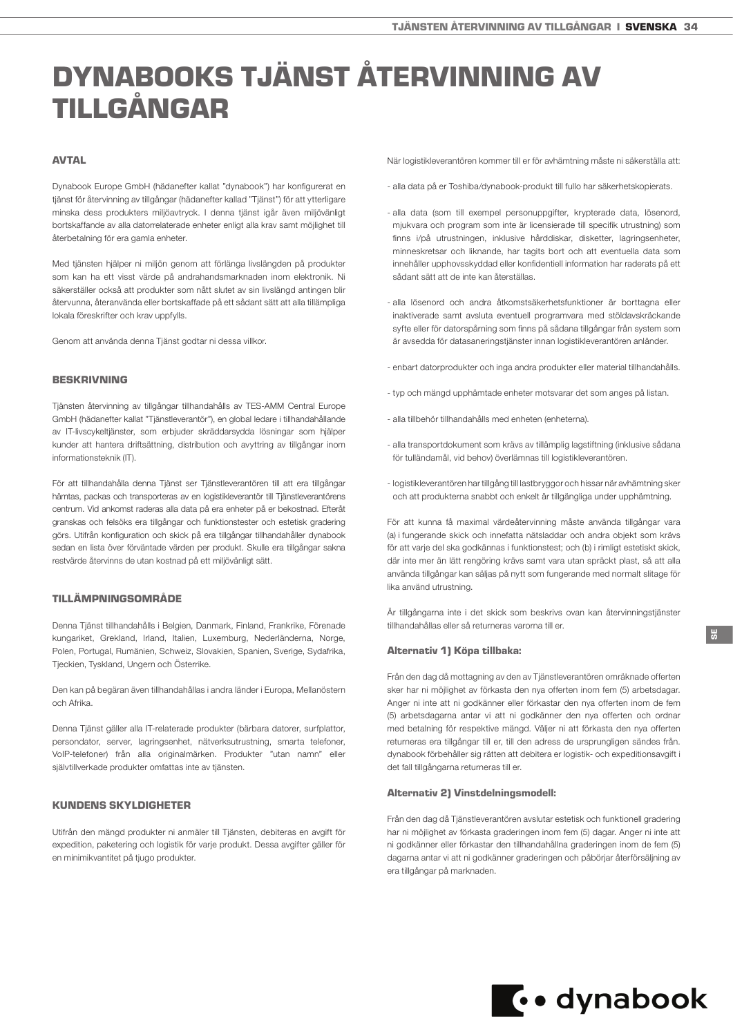# <span id="page-33-0"></span>DYNABOOKS TJÄNST ÅTERVINNING AV TILLGÅNGAR

# **AVTAL**

Dynabook Europe GmbH (hädanefter kallat "dynabook") har konfigurerat en tjänst för återvinning av tillgångar (hädanefter kallad "Tjänst") för att ytterligare minska dess produkters miljöavtryck. I denna tjänst igår även miljövänligt bortskaffande av alla datorrelaterade enheter enligt alla krav samt möjlighet till återbetalning för era gamla enheter.

Med tjänsten hjälper ni miljön genom att förlänga livslängden på produkter som kan ha ett visst värde på andrahandsmarknaden inom elektronik. Ni säkerställer också att produkter som nått slutet av sin livslängd antingen blir återvunna, återanvända eller bortskaffade på ett sådant sätt att alla tillämpliga lokala föreskrifter och krav uppfylls.

Genom att använda denna Tjänst godtar ni dessa villkor.

#### BESKRIVNING

Tjänsten återvinning av tillgångar tillhandahålls av TES-AMM Central Europe GmbH (hädanefter kallat "Tjänstleverantör"), en global ledare i tillhandahållande av IT-livscykeltjänster, som erbjuder skräddarsydda lösningar som hjälper kunder att hantera driftsättning, distribution och avyttring av tillgångar inom informationsteknik (IT).

För att tillhandahålla denna Tjänst ser Tjänstleverantören till att era tillgångar hämtas, packas och transporteras av en logistikleverantör till Tjänstleverantörens centrum. Vid ankomst raderas alla data på era enheter på er bekostnad. Efteråt granskas och felsöks era tillgångar och funktionstester och estetisk gradering görs. Utifrån konfiguration och skick på era tillgångar tillhandahåller dynabook sedan en lista över förväntade värden per produkt. Skulle era tillgångar sakna restvärde återvinns de utan kostnad på ett miljövänligt sätt.

# TILLÄMPNINGSOMRÅDE

Denna Tjänst tillhandahålls i Belgien, Danmark, Finland, Frankrike, Förenade kungariket, Grekland, Irland, Italien, Luxemburg, Nederländerna, Norge, Polen, Portugal, Rumänien, Schweiz, Slovakien, Spanien, Sverige, Sydafrika, Tjeckien, Tyskland, Ungern och Österrike.

Den kan på begäran även tillhandahållas i andra länder i Europa, Mellanöstern och Afrika.

Denna Tjänst gäller alla IT-relaterade produkter (bärbara datorer, surfplattor, persondator, server, lagringsenhet, nätverksutrustning, smarta telefoner, VoIP-telefoner) från alla originalmärken. Produkter "utan namn" eller självtillverkade produkter omfattas inte av tjänsten.

# KUNDENS SKYLDIGHETER

Utifrån den mängd produkter ni anmäler till Tjänsten, debiteras en avgift för expedition, paketering och logistik för varje produkt. Dessa avgifter gäller för en minimikvantitet på tjugo produkter.

När logistikleverantören kommer till er för avhämtning måste ni säkerställa att:

- alla data på er Toshiba/dynabook-produkt till fullo har säkerhetskopierats.
- alla data (som till exempel personuppgifter, krypterade data, lösenord, mjukvara och program som inte är licensierade till specifik utrustning) som finns i/på utrustningen, inklusive hårddiskar, disketter, lagringsenheter, minneskretsar och liknande, har tagits bort och att eventuella data som innehåller upphovsskyddad eller konfidentiell information har raderats på ett sådant sätt att de inte kan återställas.
- alla lösenord och andra åtkomstsäkerhetsfunktioner är borttagna eller inaktiverade samt avsluta eventuell programvara med stöldavskräckande syfte eller för datorspårning som finns på sådana tillgångar från system som är avsedda för datasaneringstjänster innan logistikleverantören anländer.
- enbart datorprodukter och inga andra produkter eller material tillhandahålls.
- typ och mängd upphämtade enheter motsvarar det som anges på listan.
- alla tillbehör tillhandahålls med enheten (enheterna).
- alla transportdokument som krävs av tillämplig lagstiftning (inklusive sådana för tulländamål, vid behov) överlämnas till logistikleverantören.
- logistikleverantören har tillgång till lastbryggor och hissar när avhämtning sker och att produkterna snabbt och enkelt är tillgängliga under upphämtning.

För att kunna få maximal värdeåtervinning måste använda tillgångar vara (a) i fungerande skick och innefatta nätsladdar och andra objekt som krävs för att varje del ska godkännas i funktionstest; och (b) i rimligt estetiskt skick, där inte mer än lätt rengöring krävs samt vara utan spräckt plast, så att alla använda tillgångar kan säljas på nytt som fungerande med normalt slitage för lika använd utrustning.

Är tillgångarna inte i det skick som beskrivs ovan kan återvinningstjänster tillhandahållas eller så returneras varorna till er.

#### Alternativ 1) Köpa tillbaka:

Från den dag då mottagning av den av Tjänstleverantören omräknade offerten sker har ni möjlighet av förkasta den nya offerten inom fem (5) arbetsdagar. Anger ni inte att ni godkänner eller förkastar den nya offerten inom de fem (5) arbetsdagarna antar vi att ni godkänner den nya offerten och ordnar med betalning för respektive mängd. Väljer ni att förkasta den nya offerten returneras era tillgångar till er, till den adress de ursprungligen sändes från. dynabook förbehåller sig rätten att debitera er logistik- och expeditionsavgift i det fall tillgångarna returneras till er.

#### Alternativ 2) Vinstdelningsmodell:

Från den dag då Tjänstleverantören avslutar estetisk och funktionell gradering har ni möjlighet av förkasta graderingen inom fem (5) dagar. Anger ni inte att ni godkänner eller förkastar den tillhandahållna graderingen inom de fem (5) dagarna antar vi att ni godkänner graderingen och påbörjar återförsäljning av era tillgångar på marknaden.